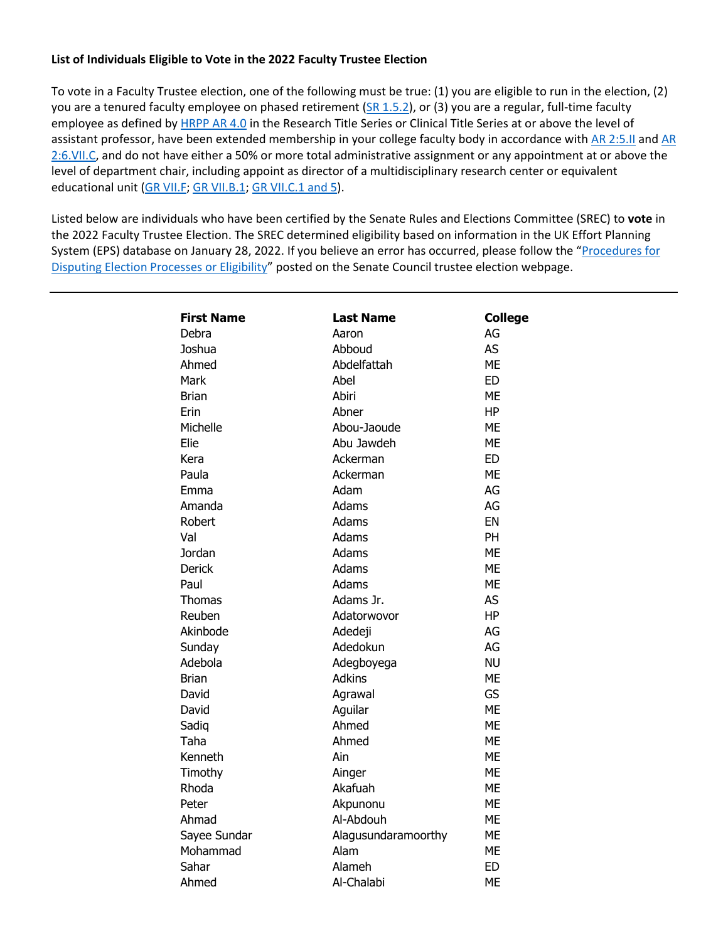## **List of Individuals Eligible to Vote in the 2022 Faculty Trustee Election**

To vote in a Faculty Trustee election, one of the following must be true: (1) you are eligible to run in the election, (2) you are a tenured faculty employee on phased retirement [\(SR 1.5.2\)](https://www.uky.edu/universitysenate/sites/www.uky.edu.universitysenate/files/Rules/Current_SRs/MASTER%20RULES%20September%202021_clean.pdf), or (3) you are a regular, full-time faculty employee as defined by [HRPP AR 4.0](https://www.uky.edu/hr/policies/employee-status) in the Research Title Series or Clinical Title Series at or above the level of assistant professor, have been extended membership in your college faculty body in accordance with [AR 2:5.II](https://www.uky.edu/regs/sites/www.uky.edu.regs/files/files/ar/ar2-5.pdf) and AR [2:6.VII.C,](https://www.uky.edu/regs/sites/www.uky.edu.regs/files/files/ar/ar2-6.pdf) and do not have either a 50% or more total administrative assignment or any appointment at or above the level of department chair, including appoint as director of a multidisciplinary research center or equivalent educational unit [\(GR VII.F; GR VII.B.1; GR VII.C.1 and 5\)](http://www.uky.edu/regs/sites/www.uky.edu.regs/files/files/gr/gr7.pdf).

Listed below are individuals who have been certified by the Senate Rules and Elections Committee (SREC) to **vote** in the 2022 Faculty Trustee Election. The SREC determined eligibility based on information in the UK Effort Planning System (EPS) database on January 28, 2022. If you believe an error has occurred, please follow the "[Procedures for](https://drive.google.com/file/d/17UVtnCXNkHImvKNp2bZSKfMZ0yfzsinX/view?usp=sharing)  [Disputing Election Processes or Eligibility](https://drive.google.com/file/d/17UVtnCXNkHImvKNp2bZSKfMZ0yfzsinX/view?usp=sharing)" posted on the Senate Council trustee election webpage.

| <b>First Name</b> | <b>Last Name</b>    |                      |
|-------------------|---------------------|----------------------|
| Debra             | Aaron               | <b>College</b><br>AG |
| Joshua            | Abboud              | AS                   |
| Ahmed             | Abdelfattah         | <b>ME</b>            |
| Mark              | Abel                | <b>ED</b>            |
|                   |                     |                      |
| <b>Brian</b>      | Abiri               | <b>ME</b>            |
| Erin              | Abner               | <b>HP</b>            |
| Michelle          | Abou-Jaoude         | <b>ME</b>            |
| Elie              | Abu Jawdeh          | <b>ME</b>            |
| Kera              | Ackerman            | <b>ED</b>            |
| Paula             | Ackerman            | <b>ME</b>            |
| Emma              | Adam                | AG                   |
| Amanda            | Adams               | AG                   |
| Robert            | Adams               | EN                   |
| Val               | Adams               | <b>PH</b>            |
| Jordan            | Adams               | <b>ME</b>            |
| <b>Derick</b>     | Adams               | <b>ME</b>            |
| Paul              | Adams               | <b>ME</b>            |
| Thomas            | Adams Jr.           | AS                   |
| Reuben            | Adatorwovor         | <b>HP</b>            |
| Akinbode          | Adedeji             | AG                   |
| Sunday            | Adedokun            | AG                   |
| Adebola           | Adegboyega          | <b>NU</b>            |
| <b>Brian</b>      | <b>Adkins</b>       | <b>ME</b>            |
| David             | Agrawal             | GS                   |
| David             | Aguilar             | <b>ME</b>            |
| Sadiq             | Ahmed               | <b>ME</b>            |
| Taha              | Ahmed               | <b>ME</b>            |
| Kenneth           | Ain                 | <b>ME</b>            |
| Timothy           | Ainger              | <b>ME</b>            |
| Rhoda             | Akafuah             | <b>ME</b>            |
| Peter             | Akpunonu            | <b>ME</b>            |
| Ahmad             | Al-Abdouh           | <b>ME</b>            |
| Sayee Sundar      | Alagusundaramoorthy | <b>ME</b>            |
| Mohammad          | Alam                | <b>ME</b>            |
| Sahar             | Alameh              | <b>ED</b>            |
| Ahmed             | Al-Chalabi          | <b>ME</b>            |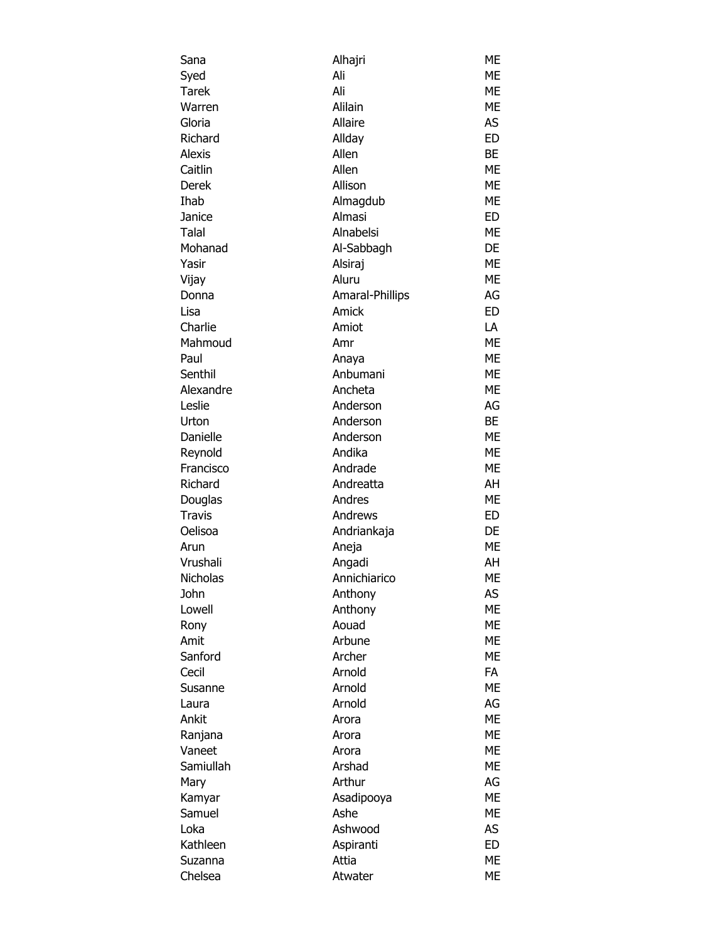| Sana             | Alhajri            | ME        |
|------------------|--------------------|-----------|
| Syed             | Ali                | ME        |
| <b>Tarek</b>     | Ali                | ME        |
| Warren           | Alilain            | ME        |
| Gloria           | Allaire            | AS        |
| Richard          | Allday             | <b>ED</b> |
| <b>Alexis</b>    | Allen              | BE        |
| Caitlin          | Allen              | ME        |
| Derek            | Allison            | ME        |
| Ihab             | Almagdub           | ME        |
| Janice           | Almasi             | ED.       |
| Talal            | Alnabelsi          | ME        |
| Mohanad          | Al-Sabbagh         | DE        |
| Yasir            | Alsiraj            | ME        |
| Vijay            | Aluru              | ME        |
| Donna            | Amaral-Phillips    | AG        |
| Lisa             | Amick              | <b>ED</b> |
| Charlie          | Amiot              | LA        |
| Mahmoud          | Amr                | ME        |
| Paul             | Anaya              | ME        |
| Senthil          | Anbumani           | ME        |
| Alexandre        | Ancheta            | ME        |
| Leslie           | Anderson           | AG        |
| Urton            | Anderson           | BE        |
| Danielle         | Anderson           | ME        |
| Reynold          | Andika             | ME        |
| Francisco        | Andrade            | ME        |
| Richard          | Andreatta          | AH        |
| Douglas          | Andres             | ME        |
| <b>Travis</b>    | Andrews            | ED        |
| Oelisoa          | Andriankaja        | DE        |
| Arun             | Aneja              | ME        |
| Vrushali         | Angadi             | AH        |
| Nicholas         | Annichiarico       | ME        |
| John             | Anthony            | AS        |
| Lowell           | Anthony            | ME        |
| Rony             | Aouad              | ME        |
| Amit             | Arbune             | ME        |
| Sanford          | Archer             | ME        |
| Cecil            | Arnold             | <b>FA</b> |
| Susanne          | Arnold             | ME        |
| Laura            | Arnold             | AG        |
| Ankit            | Arora              | <b>ME</b> |
| Ranjana          | Arora              | ME        |
| Vaneet           | Arora              | ME        |
| Samiullah        | Arshad             | ME        |
| Mary             | Arthur             | AG        |
|                  |                    | ME        |
| Kamyar<br>Samuel | Asadipooya<br>Ashe | ME        |
|                  |                    | AS        |
| Loka             | Ashwood            |           |
| Kathleen         | Aspiranti          | <b>ED</b> |
| Suzanna          | Attia              | <b>ME</b> |
| Chelsea          | Atwater            | ME        |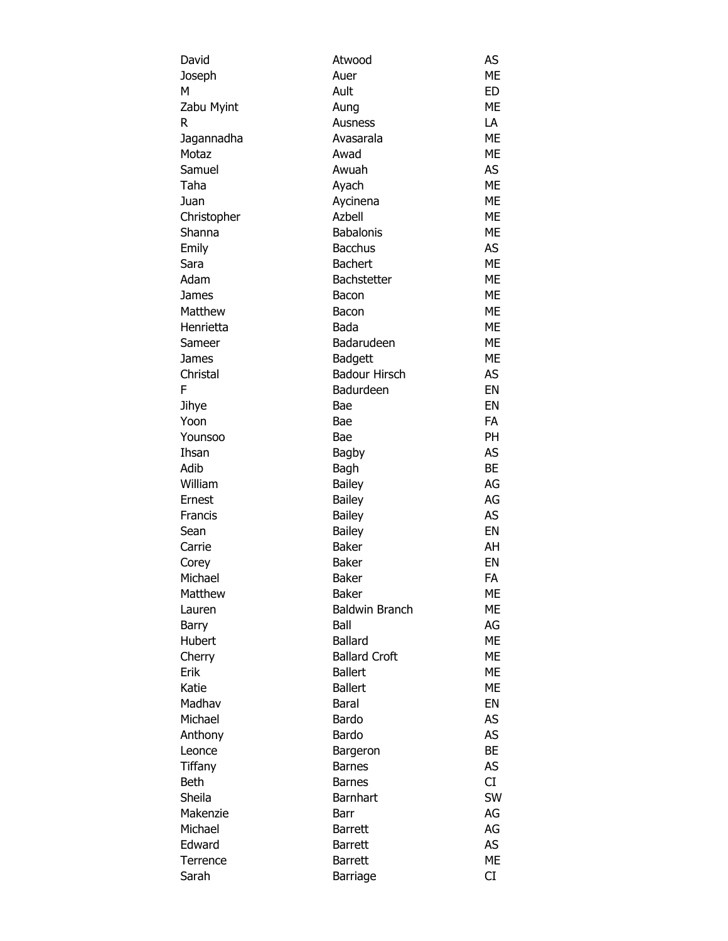| David       | Atwood                | AS        |
|-------------|-----------------------|-----------|
| Joseph      | Auer                  | <b>ME</b> |
| М           | Ault                  | ED        |
| Zabu Myint  | Aung                  | <b>ME</b> |
| R           | Ausness               | LA        |
| Jagannadha  | Avasarala             | <b>ME</b> |
| Motaz       | Awad                  | <b>ME</b> |
| Samuel      | Awuah                 | AS.       |
| Taha        | Ayach                 | <b>ME</b> |
| Juan        | Aycinena              | <b>ME</b> |
| Christopher | Azbell                | ME        |
| Shanna      | <b>Babalonis</b>      | <b>ME</b> |
| Emily       | <b>Bacchus</b>        | AS        |
| Sara        | <b>Bachert</b>        | <b>ME</b> |
| Adam        | Bachstetter           | <b>ME</b> |
| James       | Bacon                 | <b>ME</b> |
| Matthew     | Bacon                 | <b>ME</b> |
| Henrietta   | Bada                  | <b>ME</b> |
| Sameer      | Badarudeen            | <b>ME</b> |
| James       | <b>Badgett</b>        | <b>ME</b> |
| Christal    | <b>Badour Hirsch</b>  | AS        |
| F           | Badurdeen             | EN        |
| Jihye       | Bae                   | EN        |
| Yoon        | Bae                   | <b>FA</b> |
| Younsoo     | Bae                   | <b>PH</b> |
| Ihsan       | <b>Bagby</b>          | <b>AS</b> |
| Adib        | Bagh                  | <b>BE</b> |
| William     | <b>Bailey</b>         | AG        |
| Ernest      | Bailey                | AG        |
| Francis     |                       | <b>AS</b> |
|             | Bailey                | EN        |
| Sean        | Bailey                |           |
| Carrie      | <b>Baker</b>          | AH        |
| Corey       | <b>Baker</b>          | EN        |
| Michael     | Baker                 | FA        |
| Matthew     | <b>Baker</b>          | ME        |
| Lauren      | <b>Baldwin Branch</b> | ME        |
| Barry       | Ball                  | AG        |
| Hubert      | <b>Ballard</b>        | <b>ME</b> |
| Cherry      | <b>Ballard Croft</b>  | <b>ME</b> |
| Erik        | <b>Ballert</b>        | <b>ME</b> |
| Katie       | <b>Ballert</b>        | ME        |
| Madhav      | <b>Baral</b>          | EN        |
| Michael     | Bardo                 | AS        |
| Anthony     | Bardo                 | AS        |
| Leonce      | Bargeron              | <b>BE</b> |
| Tiffany     | <b>Barnes</b>         | AS        |
| Beth        | <b>Barnes</b>         | CI        |
| Sheila      | <b>Barnhart</b>       | <b>SW</b> |
| Makenzie    | Barr                  | AG        |
| Michael     | <b>Barrett</b>        | AG        |
| Edward      | <b>Barrett</b>        | <b>AS</b> |
| Terrence    | <b>Barrett</b>        | <b>ME</b> |
| Sarah       | Barriage              | CI        |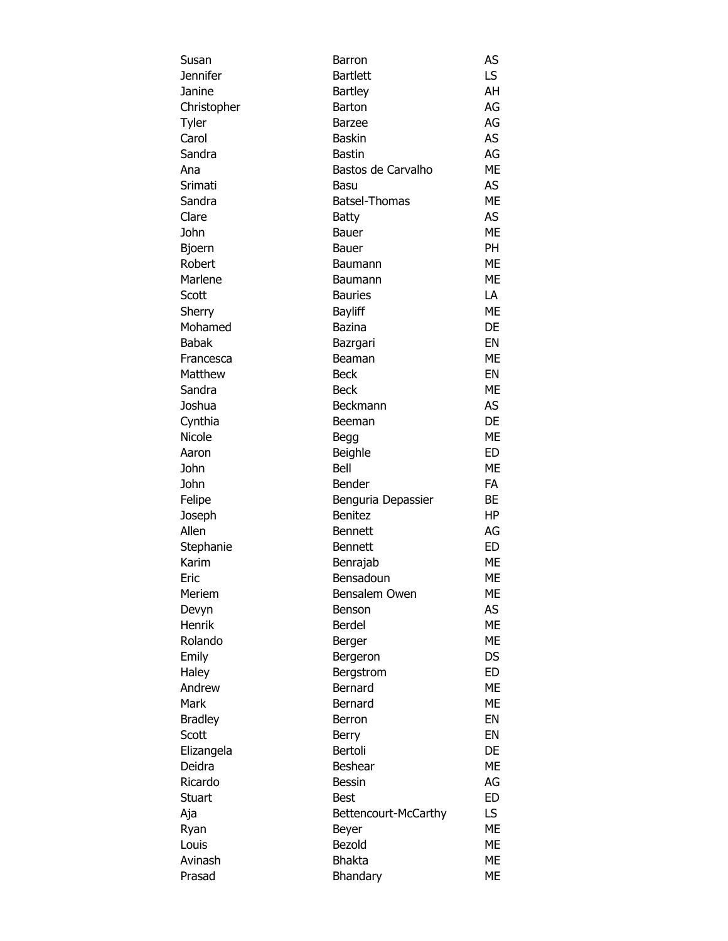| Susan          | Barron               | AS        |
|----------------|----------------------|-----------|
| Jennifer       | <b>Bartlett</b>      | LS        |
| Janine         | <b>Bartley</b>       | AH        |
| Christopher    | <b>Barton</b>        | AG        |
| Tyler          | <b>Barzee</b>        | AG        |
| Carol          | <b>Baskin</b>        | AS        |
| Sandra         | <b>Bastin</b>        | AG        |
| Ana            | Bastos de Carvalho   | <b>ME</b> |
| Srimati        | Basu                 | AS        |
| Sandra         | <b>Batsel-Thomas</b> | <b>ME</b> |
| Clare          | <b>Batty</b>         | AS        |
| John           | Bauer                | <b>ME</b> |
| Bjoern         | Bauer                | PH.       |
| Robert         |                      | <b>ME</b> |
|                | Baumann              | ME        |
| Marlene        | Baumann              |           |
| Scott          | <b>Bauries</b>       | LA        |
| Sherry         | <b>Bayliff</b>       | ME        |
| Mohamed        | <b>Bazina</b>        | DE        |
| <b>Babak</b>   | Bazrgari             | EN        |
| Francesca      | Beaman               | <b>ME</b> |
| Matthew        | <b>Beck</b>          | EN        |
| Sandra         | <b>Beck</b>          | <b>ME</b> |
| Joshua         | Beckmann             | AS        |
| Cynthia        | Beeman               | DE        |
| Nicole         | Begg                 | <b>ME</b> |
| Aaron          | Beighle              | <b>ED</b> |
| John           | Bell                 | <b>ME</b> |
| John           | Bender               | <b>FA</b> |
| Felipe         | Benguria Depassier   | BE        |
| Joseph         | <b>Benitez</b>       | HP        |
| Allen          | <b>Bennett</b>       | AG        |
| Stephanie      | <b>Bennett</b>       | ED        |
| Karim          | Benrajab             | ME        |
| Eric           | Bensadoun            | ME        |
| Meriem         | Bensalem Owen        | МE        |
| Devyn          | Benson               | AS        |
| Henrik         | Berdel               | ME        |
| Rolando        | Berger               | ME        |
| Emily          | Bergeron             | DS.       |
| Haley          | Bergstrom            | <b>ED</b> |
| Andrew         | Bernard              | <b>ME</b> |
| Mark           | Bernard              | <b>ME</b> |
| <b>Bradley</b> | Berron               | EN        |
| Scott          | Berry                | EN        |
| Elizangela     | Bertoli              | DE        |
| Deidra         | Beshear              | <b>ME</b> |
| Ricardo        | <b>Bessin</b>        | AG        |
|                |                      |           |
| Stuart         | <b>Best</b>          | <b>ED</b> |
| Aja            | Bettencourt-McCarthy | LS.       |
| Ryan           | Beyer                | <b>ME</b> |
| Louis          | Bezold               | <b>ME</b> |
| Avinash        | <b>Bhakta</b>        | ME        |
| Prasad         | Bhandary             | ME        |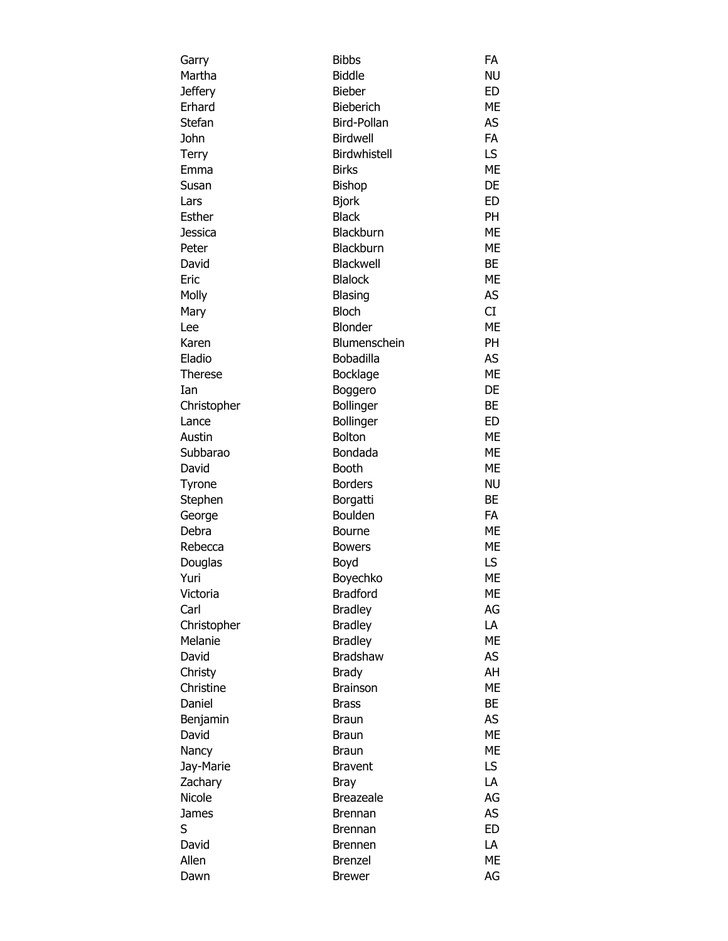| Garry          | <b>Bibbs</b>     | FA        |
|----------------|------------------|-----------|
| Martha         | <b>Biddle</b>    | <b>NU</b> |
| <b>Jeffery</b> | <b>Bieber</b>    | <b>ED</b> |
| Erhard         | <b>Bieberich</b> | ME        |
| Stefan         | Bird-Pollan      | AS        |
| John           | <b>Birdwell</b>  | <b>FA</b> |
| Terry          | Birdwhistell     | LS        |
| Emma           | <b>Birks</b>     | ME        |
| Susan          | Bishop           | DE        |
| Lars           | <b>Bjork</b>     | ED        |
| Esther         | <b>Black</b>     | PH        |
| Jessica        | Blackburn        | <b>ME</b> |
| Peter          | Blackburn        | ME        |
| David          | Blackwell        | BE        |
| Eric           | <b>Blalock</b>   | ME        |
| Molly          | Blasing          | AS        |
| Mary           | <b>Bloch</b>     | CI        |
| Lee            | <b>Blonder</b>   | ME        |
| Karen          | Blumenschein     | PH        |
| Eladio         | Bobadilla        | AS        |
| Therese        | <b>Bocklage</b>  | <b>ME</b> |
| Ian            | Boggero          | DE        |
| Christopher    | <b>Bollinger</b> | BE        |
| Lance          | Bollinger        | ED        |
| Austin         | Bolton           | ME        |
| Subbarao       | Bondada          | <b>ME</b> |
| David          | <b>Booth</b>     | ME        |
|                | <b>Borders</b>   | <b>NU</b> |
| Tyrone         |                  |           |
| Stephen        | Borgatti         | BE        |
| George         | Boulden          | <b>FA</b> |
| Debra          | Bourne           | ME        |
| Rebecca        | <b>Bowers</b>    | <b>ME</b> |
| Douglas        | Boyd             | LS.       |
| Yuri           | Boyechko         | ME        |
| Victoria       | <b>Bradford</b>  | ME        |
| Carl           | <b>Bradley</b>   | AG        |
| Christopher    | <b>Bradley</b>   | LA        |
| Melanie        | <b>Bradley</b>   | <b>ME</b> |
| David          | Bradshaw         | AS        |
| Christy        | <b>Brady</b>     | AH        |
| Christine      | <b>Brainson</b>  | ME        |
| Daniel         | <b>Brass</b>     | ВE        |
| Benjamin       | Braun            | AS        |
| David          | <b>Braun</b>     | ME        |
| Nancy          | Braun            | ME        |
| Jay-Marie      | <b>Bravent</b>   | LS        |
| Zachary        | Bray             | LA        |
| <b>Nicole</b>  | <b>Breazeale</b> | AG        |
| <b>James</b>   | <b>Brennan</b>   | <b>AS</b> |
| S              | Brennan          | <b>ED</b> |
| David          | <b>Brennen</b>   | LA        |
| Allen          | <b>Brenzel</b>   | ME        |
| Dawn           | <b>Brewer</b>    | AG        |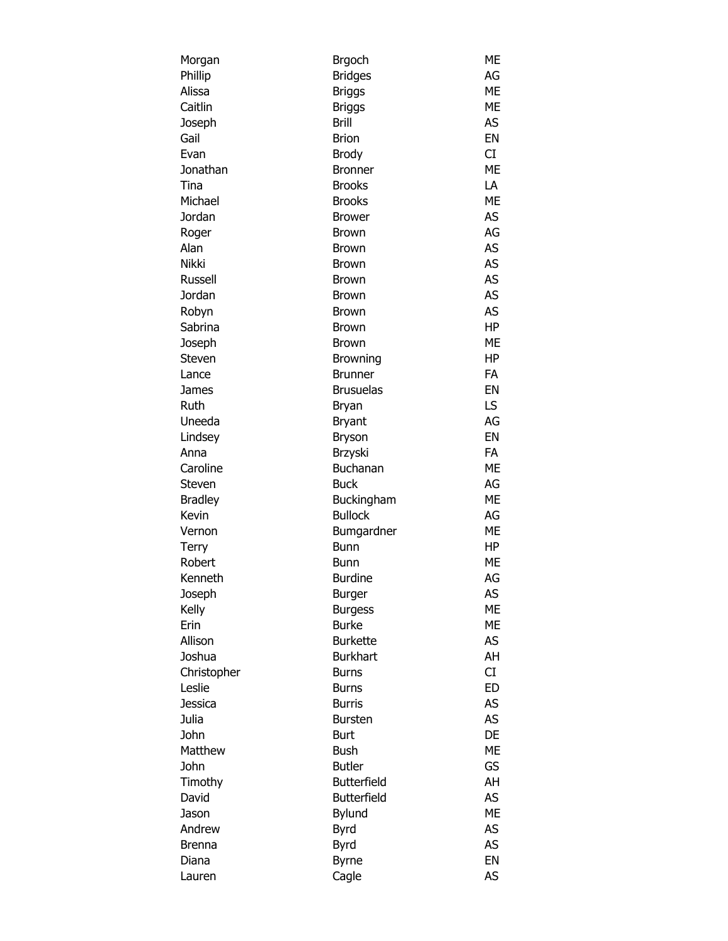| Morgan         | <b>Brgoch</b>      | ME        |
|----------------|--------------------|-----------|
| Phillip        | <b>Bridges</b>     | AG        |
| Alissa         | <b>Briggs</b>      | ME        |
| Caitlin        | <b>Briggs</b>      | ME        |
| Joseph         | <b>Brill</b>       | AS        |
| Gail           | <b>Brion</b>       | EN        |
| Evan           | <b>Brody</b>       | CI        |
| Jonathan       | <b>Bronner</b>     | <b>ME</b> |
| Tina           | <b>Brooks</b>      | LA        |
| Michael        | <b>Brooks</b>      | <b>ME</b> |
| Jordan         | <b>Brower</b>      | AS        |
| Roger          | Brown              | AG        |
| Alan           | Brown              | AS        |
| <b>Nikki</b>   | Brown              | AS        |
| Russell        | Brown              | AS        |
| Jordan         | <b>Brown</b>       | AS        |
| Robyn          | Brown              | <b>AS</b> |
| Sabrina        | Brown              | HP        |
| Joseph         | <b>Brown</b>       | <b>ME</b> |
| Steven         | <b>Browning</b>    | HP        |
| Lance          | <b>Brunner</b>     | FA        |
| James          | <b>Brusuelas</b>   | EN        |
| Ruth           | Bryan              | LS        |
| Uneeda         | <b>Bryant</b>      | AG        |
| Lindsey        | Bryson             | EN        |
| Anna           | Brzyski            | FA        |
| Caroline       | Buchanan           | ME        |
| Steven         | <b>Buck</b>        | AG        |
| <b>Bradley</b> | Buckingham         | ME        |
| Kevin          | <b>Bullock</b>     | AG        |
| Vernon         | Bumgardner         | ME        |
| Terry          | Bunn               | HP        |
| Robert         | Bunn               | ME        |
| Kenneth        | <b>Burdine</b>     | AG        |
| Joseph         | <b>Burger</b>      | AS        |
| Kelly          | <b>Burgess</b>     | ME        |
| Erin           | <b>Burke</b>       | <b>ME</b> |
| Allison        | <b>Burkette</b>    | AS        |
| Joshua         | <b>Burkhart</b>    | AH        |
| Christopher    | <b>Burns</b>       | CI        |
| Leslie         | <b>Burns</b>       | ED        |
| <b>Jessica</b> | <b>Burris</b>      | AS        |
| Julia          |                    | AS        |
| John           | <b>Bursten</b>     | DE        |
| Matthew        | Burt               | <b>ME</b> |
|                | Bush               |           |
| John           | <b>Butler</b>      | GS        |
| Timothy        | <b>Butterfield</b> | AH        |
| David          | Butterfield        | AS        |
| Jason          | <b>Bylund</b>      | <b>ME</b> |
| Andrew         | Byrd               | AS        |
| <b>Brenna</b>  | Byrd               | AS        |
| Diana          | <b>Byrne</b>       | EN        |
| Lauren         | Cagle              | AS        |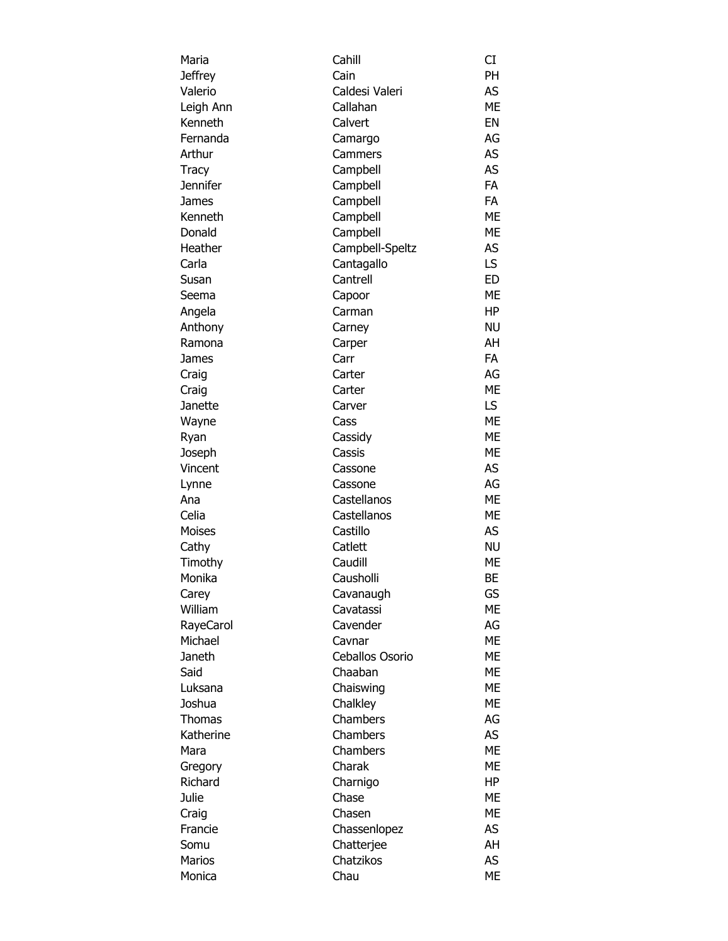| Maria         | Cahill          | CI        |
|---------------|-----------------|-----------|
| Jeffrey       | Cain            | <b>PH</b> |
| Valerio       | Caldesi Valeri  | AS        |
| Leigh Ann     | Callahan        | <b>ME</b> |
| Kenneth       | Calvert         | EN        |
| Fernanda      | Camargo         | AG        |
| Arthur        | Cammers         | AS        |
| Tracy         | Campbell        | AS        |
| Jennifer      | Campbell        | <b>FA</b> |
| James         | Campbell        | <b>FA</b> |
| Kenneth       | Campbell        | <b>ME</b> |
| Donald        | Campbell        | <b>ME</b> |
| Heather       | Campbell-Speltz | AS        |
| Carla         | Cantagallo      | LS        |
| Susan         | Cantrell        | <b>ED</b> |
| Seema         | Capoor          | <b>ME</b> |
| Angela        | Carman          | HP        |
| Anthony       | Carney          | <b>NU</b> |
| Ramona        | Carper          | AH        |
| James         | Carr            | FA        |
| Craig         | Carter          | AG        |
| Craig         | Carter          | <b>ME</b> |
| Janette       | Carver          | LS.       |
| Wayne         | Cass            | <b>ME</b> |
| Ryan          | Cassidy         | ME        |
| Joseph        | Cassis          | <b>ME</b> |
| Vincent       | Cassone         | AS        |
| Lynne         | Cassone         | AG        |
| Ana           | Castellanos     | <b>ME</b> |
| Celia         | Castellanos     | ME        |
| Moises        | Castillo        | AS        |
| Cathy         | Catlett         | <b>NU</b> |
| Timothy       | Caudill         | <b>ME</b> |
| Monika        | Causholli       | BE        |
| Carey         | Cavanaugh       | GS        |
| William       | Cavatassi       | <b>ME</b> |
| RayeCarol     | Cavender        | AG        |
| Michael       | Cavnar          | <b>ME</b> |
| Janeth        | Ceballos Osorio | <b>ME</b> |
| Said          | Chaaban         | <b>ME</b> |
| Luksana       | Chaiswing       | ME        |
| Joshua        | Chalkley        | ME        |
| <b>Thomas</b> | Chambers        | AG        |
| Katherine     | Chambers        | AS        |
| Mara          | Chambers        | <b>ME</b> |
| Gregory       | Charak          | <b>ME</b> |
| Richard       | Charnigo        | HP        |
| Julie         | Chase           | <b>ME</b> |
| Craig         | Chasen          | <b>ME</b> |
| Francie       | Chassenlopez    | AS        |
| Somu          | Chatterjee      | AH        |
| Marios        | Chatzikos       | AS.       |
| Monica        | Chau            | ME        |
|               |                 |           |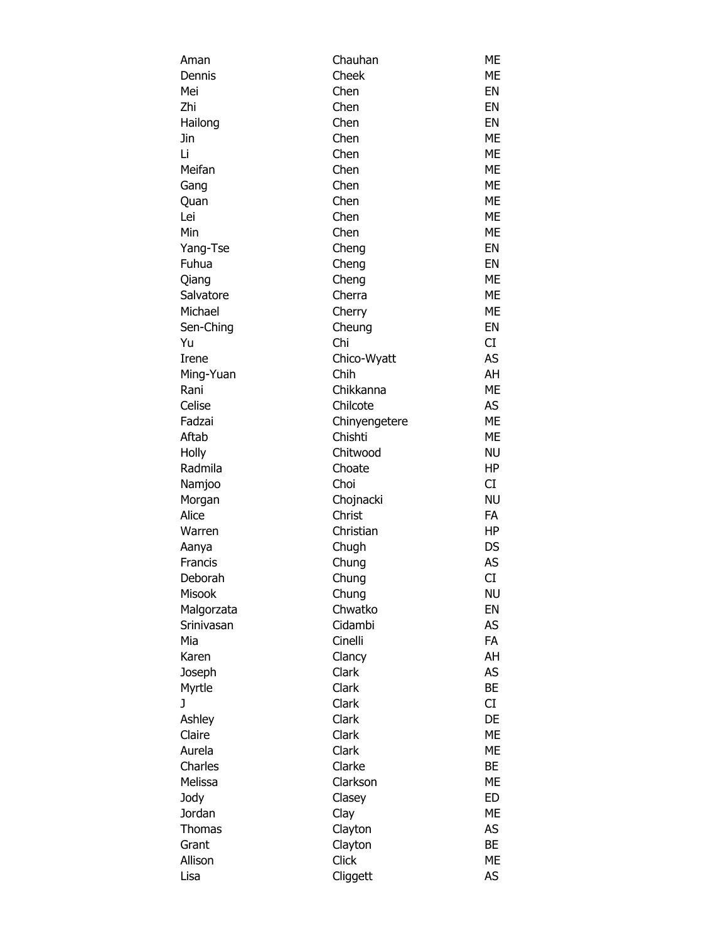| Aman       | Chauhan       | <b>ME</b> |
|------------|---------------|-----------|
| Dennis     | Cheek         | <b>ME</b> |
| Mei        | Chen          | EN        |
| Zhi        | Chen          | EN        |
| Hailong    | Chen          | EN        |
| Jin        | Chen          | <b>ME</b> |
| Li         | Chen          | <b>ME</b> |
| Meifan     | Chen          | <b>ME</b> |
| Gang       | Chen          | <b>ME</b> |
| Quan       | Chen          | ME        |
| Lei        | Chen          | ME        |
| Min        | Chen          | ME        |
| Yang-Tse   | Cheng         | EN        |
| Fuhua      | Cheng         | EN        |
| Qiang      | Cheng         | <b>ME</b> |
| Salvatore  | Cherra        | <b>ME</b> |
| Michael    | Cherry        | <b>ME</b> |
| Sen-Ching  | Cheung        | EN        |
| Yu         | Chi           | CI        |
|            |               | <b>AS</b> |
| Irene      | Chico-Wyatt   |           |
| Ming-Yuan  | Chih          | AH        |
| Rani       | Chikkanna     | <b>ME</b> |
| Celise     | Chilcote      | AS        |
| Fadzai     | Chinyengetere | <b>ME</b> |
| Aftab      | Chishti       | ME        |
| Holly      | Chitwood      | <b>NU</b> |
| Radmila    | Choate        | HP        |
| Namjoo     | Choi          | CI        |
| Morgan     | Chojnacki     | <b>NU</b> |
| Alice      | Christ        | FA        |
| Warren     | Christian     | HP        |
| Aanya      | Chugh         | DS        |
| Francis    | Chung         | AS        |
| Deborah    | Chung         | CI        |
| Misook     | Chung         | <b>NU</b> |
| Malgorzata | Chwatko       | EN        |
| Srinivasan | Cidambi       | AS        |
| Mia        | Cinelli       | FA        |
| Karen      | Clancy        | AH        |
| Joseph     | Clark         | AS        |
| Myrtle     | Clark         | <b>BE</b> |
| J          | Clark         | CI        |
| Ashley     | Clark         | DE        |
| Claire     | Clark         | <b>ME</b> |
| Aurela     | Clark         | ME        |
| Charles    | Clarke        | BE        |
| Melissa    | Clarkson      | <b>ME</b> |
| Jody       | Clasey        | <b>ED</b> |
| Jordan     | Clay          | <b>ME</b> |
| Thomas     | Clayton       | AS        |
| Grant      | Clayton       | <b>BE</b> |
| Allison    | Click         | <b>ME</b> |
| Lisa       | Cliggett      | AS        |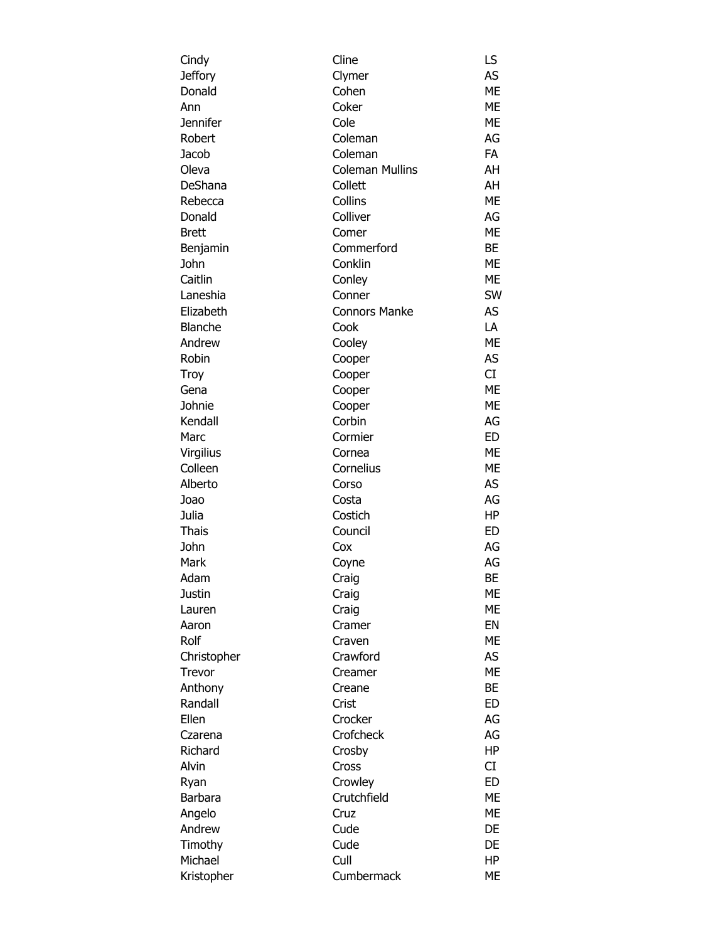| Cindy          | Cline                  | LS        |
|----------------|------------------------|-----------|
| Jeffory        | Clymer                 | AS        |
| Donald         | Cohen                  | ME        |
| Ann            | Coker                  | <b>ME</b> |
| Jennifer       | Cole                   | <b>ME</b> |
| Robert         | Coleman                | AG        |
| Jacob          | Coleman                | <b>FA</b> |
| Oleva          | <b>Coleman Mullins</b> | AH        |
| DeShana        | Collett                | AH        |
| Rebecca        | Collins                | <b>ME</b> |
| Donald         | Colliver               | AG        |
| Brett          | Comer                  | <b>ME</b> |
| Benjamin       | Commerford             | BE        |
| John           | Conklin                | <b>ME</b> |
| Caitlin        | Conley                 | <b>ME</b> |
| Laneshia       | Conner                 | SW        |
| Elizabeth      | <b>Connors Manke</b>   | AS        |
| <b>Blanche</b> | Cook                   | LA        |
| Andrew         | Cooley                 | <b>ME</b> |
| Robin          | Cooper                 | AS        |
| Troy           | Cooper                 | CI        |
| Gena           | Cooper                 | <b>ME</b> |
| Johnie         | Cooper                 | <b>ME</b> |
| Kendall        | Corbin                 | AG        |
| Marc           | Cormier                | <b>ED</b> |
| Virgilius      | Cornea                 | <b>ME</b> |
| Colleen        | Cornelius              | <b>ME</b> |
| Alberto        | Corso                  | AS        |
| Joao           | Costa                  | AG        |
| Julia          | Costich                | HP        |
| <b>Thais</b>   | Council                | ED        |
| John           | Cox                    | AG        |
| Mark           |                        | AG        |
|                | Coyne                  | <b>BE</b> |
| Adam           | Craig                  | ME        |
| Justin         | Craig                  | <b>ME</b> |
| Lauren         | Craig                  | EN        |
| Aaron          | Cramer                 |           |
| Rolf           | Craven                 | <b>ME</b> |
| Christopher    | Crawford               | AS        |
| Trevor         | Creamer                | <b>ME</b> |
| Anthony        | Creane                 | <b>BE</b> |
| Randall        | Crist                  | ED        |
| Ellen          | Crocker                | AG        |
| Czarena        | Crofcheck              | AG        |
| Richard        | Crosby                 | <b>HP</b> |
| Alvin          | Cross                  | CI        |
| Ryan           | Crowley                | <b>ED</b> |
| Barbara        | Crutchfield            | <b>ME</b> |
| Angelo         | Cruz                   | <b>ME</b> |
| Andrew         | Cude                   | DE        |
| Timothy        | Cude                   | DE        |
| Michael        | Cull                   | HP        |
| Kristopher     | Cumbermack             | ME        |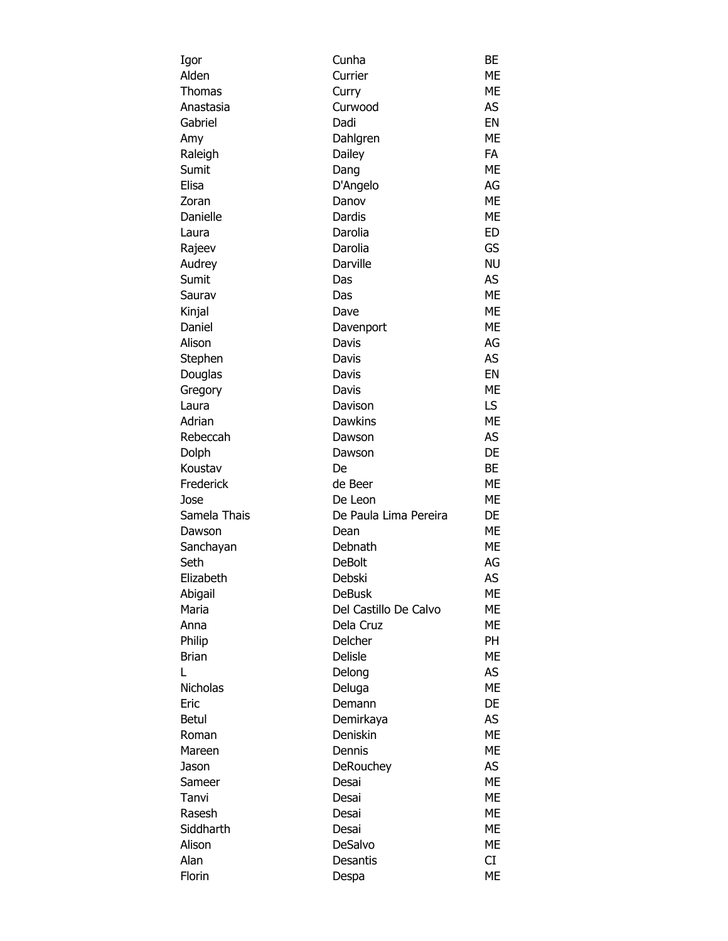| Igor         | Cunha                 | BЕ        |
|--------------|-----------------------|-----------|
| Alden        | Currier               | ME        |
| Thomas       | Curry                 | ME        |
| Anastasia    | Curwood               | AS        |
| Gabriel      | Dadi                  | EN        |
| Amy          | Dahlgren              | <b>ME</b> |
| Raleigh      | Dailey                | <b>FA</b> |
| Sumit        | Dang                  | ME        |
| Elisa        | D'Angelo              | AG        |
| Zoran        | Danov                 | <b>ME</b> |
| Danielle     | Dardis                | ME        |
| Laura        | Darolia               | <b>ED</b> |
| Rajeev       | Darolia               | GS        |
| Audrey       | Darville              | <b>NU</b> |
| Sumit        | Das                   | AS        |
| Saurav       | Das                   | <b>ME</b> |
| Kinjal       | Dave                  | <b>ME</b> |
| Daniel       | Davenport             | ME        |
| Alison       | Davis                 | AG        |
| Stephen      | Davis                 | AS        |
| Douglas      | Davis                 | EN        |
| Gregory      | Davis                 | ME        |
| Laura        | Davison               | LS        |
| Adrian       | <b>Dawkins</b>        | ME        |
| Rebeccah     | Dawson                | AS        |
| Dolph        | Dawson                | DE        |
| Koustav      | De                    | BE        |
| Frederick    | de Beer               | ME        |
| Jose         | De Leon               | ME        |
| Samela Thais | De Paula Lima Pereira | DE        |
| Dawson       | Dean                  | ME        |
| Sanchayan    | Debnath               | ME        |
| Seth         | <b>DeBolt</b>         | AG        |
| Elizabeth    | Debski                | AS        |
| Abigail      | <b>DeBusk</b>         | ME        |
| Maria        | Del Castillo De Calvo | МE        |
| Anna         | Dela Cruz             | ME        |
| Philip       | Delcher               | PH        |
| <b>Brian</b> | <b>Delisle</b>        | <b>ME</b> |
| Г            | Delong                | AS        |
| Nicholas     | Deluga                | <b>ME</b> |
| Eric         | Demann                | DE        |
| Betul        | Demirkaya             | AS        |
| Roman        | Deniskin              | <b>ME</b> |
| Mareen       | Dennis                | <b>ME</b> |
| Jason        | DeRouchey             | AS        |
| Sameer       | Desai                 | <b>ME</b> |
| Tanvi        | Desai                 | <b>ME</b> |
| Rasesh       | Desai                 | <b>ME</b> |
| Siddharth    | Desai                 | <b>ME</b> |
| Alison       | DeSalvo               | ME        |
| Alan         | Desantis              | CI        |
| Florin       | Despa                 | ME        |
|              |                       |           |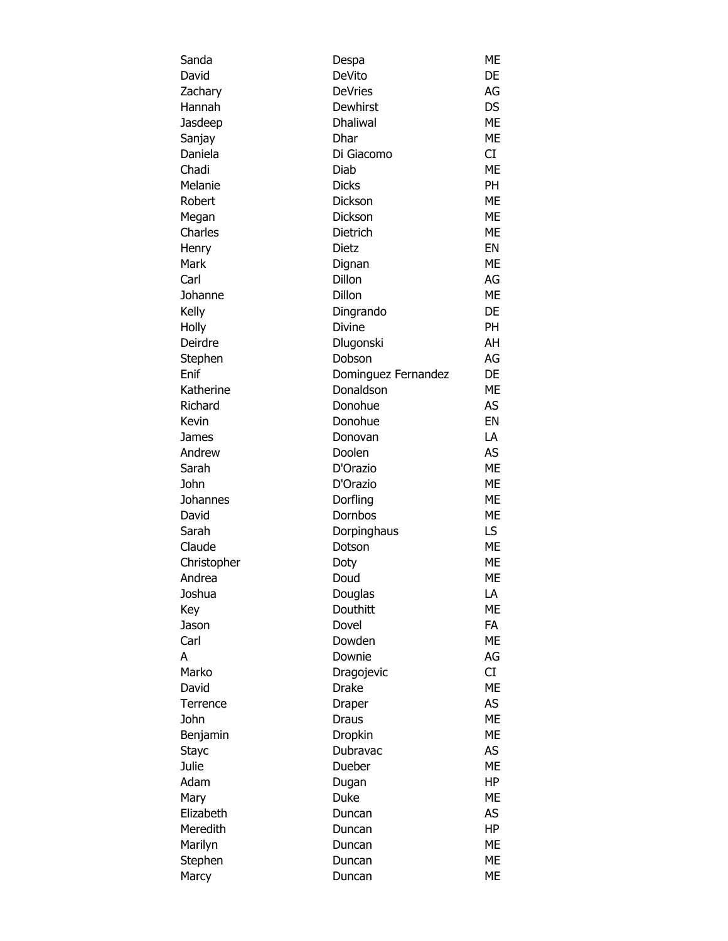| Sanda        | Despa               | МE        |
|--------------|---------------------|-----------|
| David        | DeVito              | DE        |
| Zachary      | <b>DeVries</b>      | AG        |
| Hannah       | Dewhirst            | <b>DS</b> |
| Jasdeep      | <b>Dhaliwal</b>     | <b>ME</b> |
| Sanjay       | Dhar                | ME        |
| Daniela      | Di Giacomo          | CI        |
| Chadi        | Diab                | <b>ME</b> |
| Melanie      | <b>Dicks</b>        | <b>PH</b> |
| Robert       | Dickson             | ME        |
| Megan        | <b>Dickson</b>      | ME        |
| Charles      | Dietrich            | <b>ME</b> |
|              |                     | EN        |
| Henry        | Dietz               |           |
| Mark         | Dignan              | <b>ME</b> |
| Carl         | Dillon              | AG        |
| Johanne      | Dillon              | <b>ME</b> |
| Kelly        | Dingrando           | DE        |
| Holly        | Divine              | PH        |
| Deirdre      | Dlugonski           | AH        |
| Stephen      | Dobson              | AG        |
| Enif         | Dominguez Fernandez | DE        |
| Katherine    | Donaldson           | <b>ME</b> |
| Richard      | Donohue             | AS        |
| Kevin        | Donohue             | EN        |
| James        | Donovan             | LA        |
| Andrew       | Doolen              | <b>AS</b> |
| Sarah        | D'Orazio            | <b>ME</b> |
| John         | D'Orazio            | <b>ME</b> |
| Johannes     | Dorfling            | ME        |
| David        | Dornbos             | ME        |
| Sarah        | Dorpinghaus         | LS        |
| Claude       | Dotson              | <b>ME</b> |
| Christopher  |                     | ME        |
| Andrea       | Doty<br>Doud        | <b>ME</b> |
|              |                     |           |
| Joshua       | Douglas             | LA        |
| Key          | Douthitt            | <b>ME</b> |
| Jason        | Dovel               | <b>FA</b> |
| Carl         | Dowden              | <b>ME</b> |
| A            | Downie              | AG        |
| Marko        | Dragojevic          | CI        |
| David        | <b>Drake</b>        | <b>ME</b> |
| Terrence     | Draper              | AS        |
| John         | Draus               | <b>ME</b> |
| Benjamin     | Dropkin             | <b>ME</b> |
| <b>Stayc</b> | Dubravac            | AS        |
| Julie        | Dueber              | <b>ME</b> |
| Adam         | Dugan               | HP        |
| Mary         | Duke                | ME        |
| Elizabeth    | Duncan              | AS        |
| Meredith     | Duncan              | <b>HP</b> |
| Marilyn      | Duncan              | ME        |
| Stephen      | Duncan              | ME        |
| Marcy        | Duncan              | <b>ME</b> |
|              |                     |           |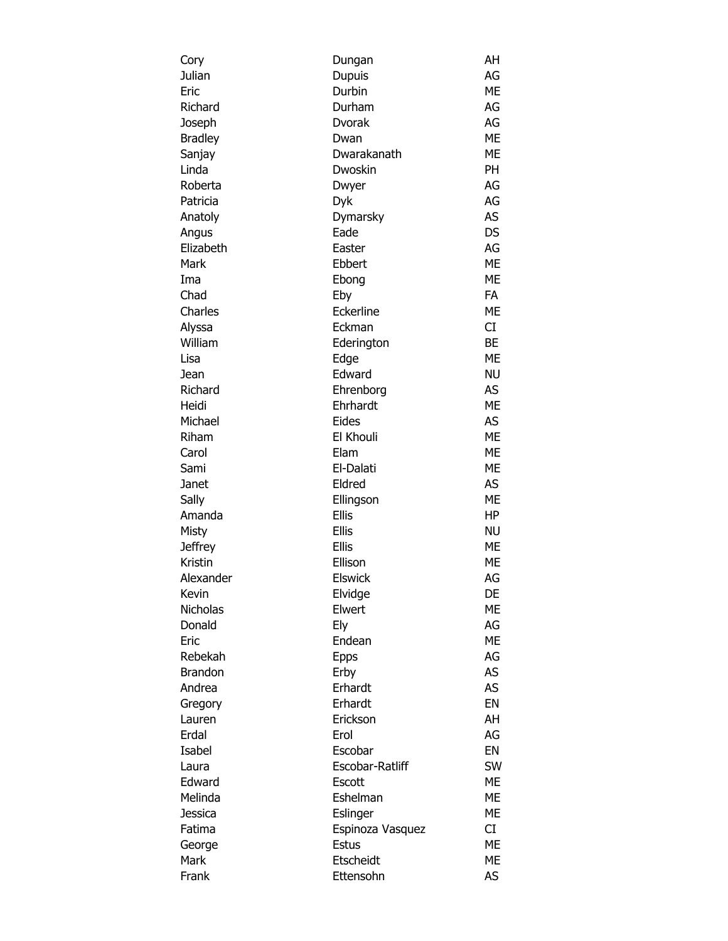| Cory           | Dungan           | AH        |
|----------------|------------------|-----------|
| Julian         | <b>Dupuis</b>    | AG        |
| Eric           | Durbin           | <b>ME</b> |
| Richard        | Durham           | AG        |
| Joseph         | <b>Dvorak</b>    | AG        |
| <b>Bradley</b> | Dwan             | <b>ME</b> |
| Sanjay         | Dwarakanath      | <b>ME</b> |
| Linda          | Dwoskin          | PH        |
| Roberta        | Dwyer            | AG        |
| Patricia       | Dyk              | AG        |
| Anatoly        | Dymarsky         | AS        |
| Angus          | Eade             | <b>DS</b> |
| Elizabeth      | Easter           | AG        |
| Mark           | Ebbert           | <b>ME</b> |
| Ima            |                  | <b>ME</b> |
| Chad           | Ebong            | <b>FA</b> |
|                | Eby              |           |
| Charles        | Eckerline        | <b>ME</b> |
| Alyssa         | Eckman           | CI        |
| William        | Ederington       | <b>BE</b> |
| Lisa           | Edge             | <b>ME</b> |
| Jean           | Edward           | <b>NU</b> |
| Richard        | Ehrenborg        | AS        |
| Heidi          | Ehrhardt         | <b>ME</b> |
| Michael        | Eides            | AS        |
| Riham          | El Khouli        | <b>ME</b> |
| Carol          | Elam             | ME        |
| Sami           | El-Dalati        | <b>ME</b> |
| Janet          | Eldred           | AS        |
| Sally          | Ellingson        | <b>ME</b> |
| Amanda         | <b>Ellis</b>     | <b>HP</b> |
| Misty          | <b>Ellis</b>     | <b>NU</b> |
| Jeffrey        | Ellis            | <b>ME</b> |
| Kristin        | Ellison          | ME        |
| Alexander      | <b>Elswick</b>   | AG        |
| Kevin          | Elvidge          | DE        |
| Nicholas       | Elwert           | ME        |
| Donald         | Ely              | AG        |
| Eric           | Endean           | <b>ME</b> |
| Rebekah        | <b>Epps</b>      | AG        |
| <b>Brandon</b> | Erby             | AS        |
| Andrea         | Erhardt          | AS        |
| Gregory        | Erhardt          | EN        |
| Lauren         | Erickson         | AH        |
| Erdal          | Erol             | AG        |
| Isabel         | Escobar          | EN        |
| Laura          | Escobar-Ratliff  | <b>SW</b> |
|                |                  |           |
| Edward         | Escott           | ME        |
| Melinda        | Eshelman         | ME        |
| Jessica        | Eslinger         | ME        |
| Fatima         | Espinoza Vasquez | CI        |
| George         | <b>Estus</b>     | ME        |
| Mark           | Etscheidt        | ME        |
| Frank          | Ettensohn        | AS        |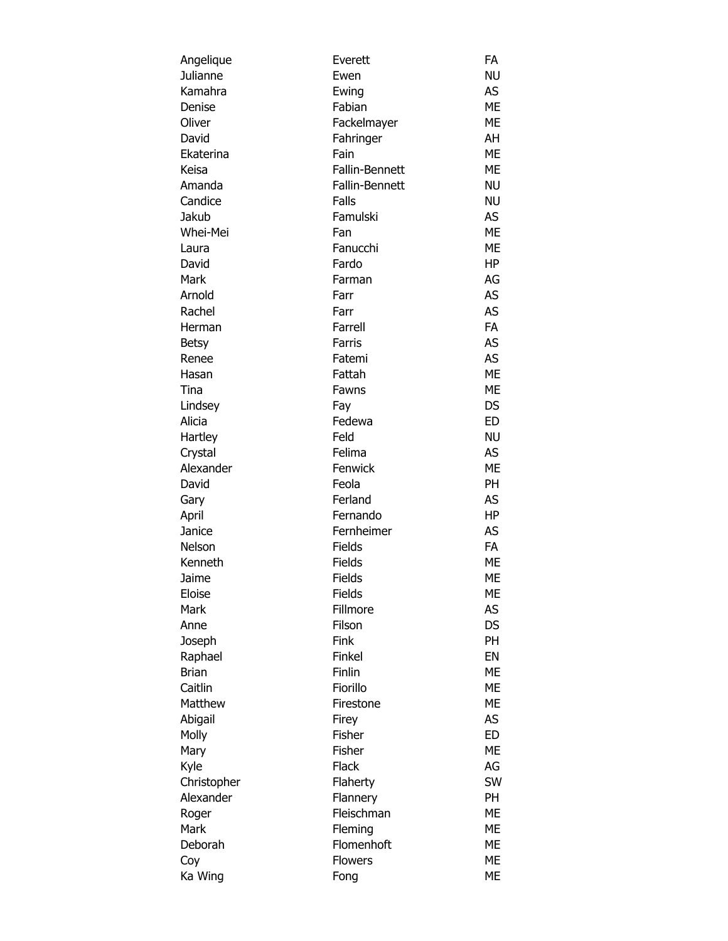| Angelique    | Everett        | FA        |
|--------------|----------------|-----------|
| Julianne     | Ewen           | <b>NU</b> |
| Kamahra      | Ewing          | AS        |
| Denise       | Fabian         | ME        |
| Oliver       | Fackelmayer    | <b>ME</b> |
| David        | Fahringer      | AH        |
| Ekaterina    | Fain           | <b>ME</b> |
| Keisa        | Fallin-Bennett | ME        |
| Amanda       | Fallin-Bennett | <b>NU</b> |
| Candice      | Falls          | <b>NU</b> |
| Jakub        | Famulski       | <b>AS</b> |
| Whei-Mei     | Fan            | <b>ME</b> |
| Laura        | Fanucchi       | ME        |
| David        | Fardo          | <b>HP</b> |
| Mark         | Farman         | AG        |
| Arnold       | Farr           | AS        |
| Rachel       | Farr           | <b>AS</b> |
| Herman       | Farrell        | FA        |
| <b>Betsy</b> | Farris         | <b>AS</b> |
| Renee        | Fatemi         | <b>AS</b> |
| Hasan        | Fattah         | <b>ME</b> |
| Tina         | Fawns          | ME        |
| Lindsey      | Fay            | <b>DS</b> |
| Alicia       | Fedewa         | <b>ED</b> |
| Hartley      | Feld           | <b>NU</b> |
| Crystal      | Felima         | <b>AS</b> |
| Alexander    | Fenwick        | <b>ME</b> |
| David        | Feola          | PH        |
| Gary         | Ferland        | <b>AS</b> |
| April        | Fernando       | <b>HP</b> |
| Janice       | Fernheimer     | <b>AS</b> |
| Nelson       | <b>Fields</b>  | FA        |
| Kenneth      | Fields         | ME        |
| Jaime        | Fields         | ME        |
| Eloise       | <b>Fields</b>  | ME        |
| Mark         | Fillmore       | AS        |
| Anne         | Filson         | <b>DS</b> |
| Joseph       | Fink           | PH        |
| Raphael      | Finkel         | EN        |
| <b>Brian</b> | Finlin         | <b>ME</b> |
| Caitlin      | Fiorillo       | ME        |
| Matthew      | Firestone      | <b>ME</b> |
| Abigail      | Firey          | AS        |
| Molly        | Fisher         | <b>ED</b> |
| Mary         | Fisher         | <b>ME</b> |
| Kyle         | <b>Flack</b>   | AG        |
| Christopher  | Flaherty       | SW        |
| Alexander    | Flannery       | PH        |
| Roger        | Fleischman     | <b>ME</b> |
| Mark         | Fleming        | <b>ME</b> |
| Deborah      | Flomenhoft     | ME        |
| Coy          | <b>Flowers</b> | <b>ME</b> |
|              |                | ME        |
| Ka Wing      | Fong           |           |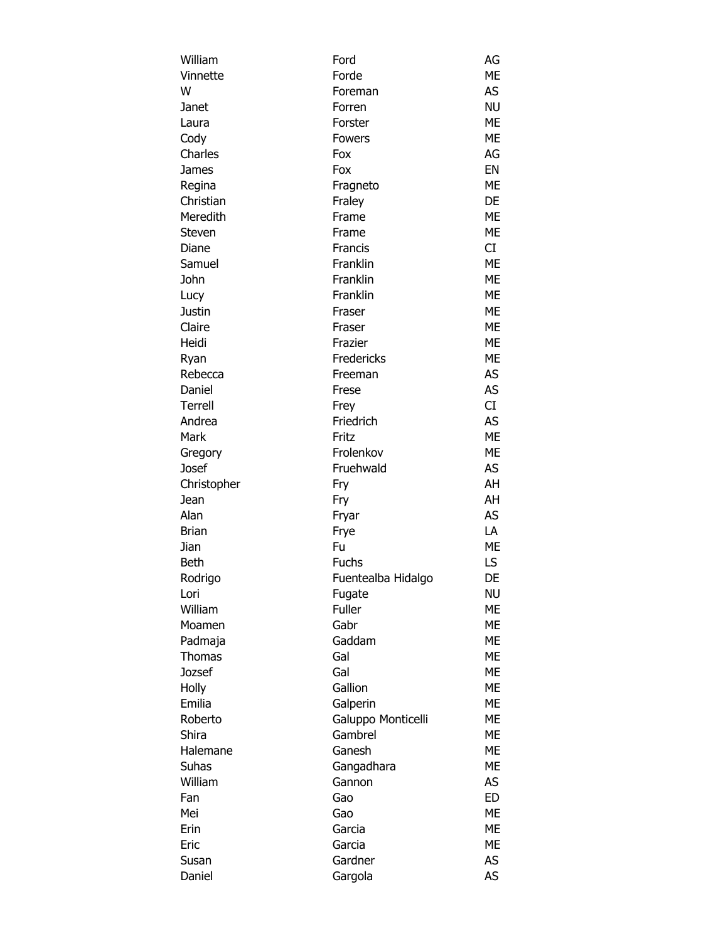| William       | Ford               | AG        |
|---------------|--------------------|-----------|
| Vinnette      | Forde              | <b>ME</b> |
| W             | Foreman            | AS        |
| Janet         | Forren             | <b>NU</b> |
| Laura         | Forster            | <b>ME</b> |
| Cody          | Fowers             | ME        |
| Charles       | Fox                | AG        |
| James         | Fox                | EN        |
| Regina        | Fragneto           | <b>ME</b> |
| Christian     | Fraley             | DE        |
| Meredith      | Frame              | <b>ME</b> |
| Steven        | Frame              | <b>ME</b> |
| Diane         | Francis            | CI        |
| Samuel        | Franklin           | <b>ME</b> |
| John          | Franklin           | <b>ME</b> |
| Lucy          | Franklin           | <b>ME</b> |
| Justin        | Fraser             | <b>ME</b> |
| Claire        | Fraser             | <b>ME</b> |
| Heidi         | Frazier            | <b>ME</b> |
| Ryan          | Fredericks         | ME        |
| Rebecca       | Freeman            | AS        |
| Daniel        | Frese              | <b>AS</b> |
| Terrell       | Frey               | CI        |
| Andrea        | Friedrich          | AS        |
| Mark          | Fritz              | <b>ME</b> |
| Gregory       | Frolenkov          | <b>ME</b> |
| Josef         | Fruehwald          | AS        |
| Christopher   | Fry                | AH        |
| Jean          | Fry                | AH        |
| Alan          | Fryar              | <b>AS</b> |
| <b>Brian</b>  | Frye               | LA        |
| Jian          | Fu                 | <b>ME</b> |
| Beth          | <b>Fuchs</b>       | LS.       |
| Rodrigo       | Fuentealba Hidalgo | DE        |
| Lori          | Fugate             | <b>NU</b> |
| William       | Fuller             | ME        |
| Moamen        | Gabr               | ME        |
| Padmaja       | Gaddam             | <b>ME</b> |
| <b>Thomas</b> | Gal                | <b>ME</b> |
| Jozsef        | Gal                | <b>ME</b> |
| Holly         | Gallion            | ME        |
| Emilia        | Galperin           | <b>ME</b> |
| Roberto       | Galuppo Monticelli | <b>ME</b> |
| Shira         | Gambrel            | <b>ME</b> |
| Halemane      | Ganesh             | <b>ME</b> |
| Suhas         | Gangadhara         | <b>ME</b> |
| William       | Gannon             | AS        |
|               | Gao                | <b>ED</b> |
| Fan<br>Mei    | Gao                | <b>ME</b> |
| Erin          |                    | <b>ME</b> |
|               | Garcia             | ME        |
| Eric          | Garcia             |           |
| Susan         | Gardner            | AS        |
| Daniel        | Gargola            | AS        |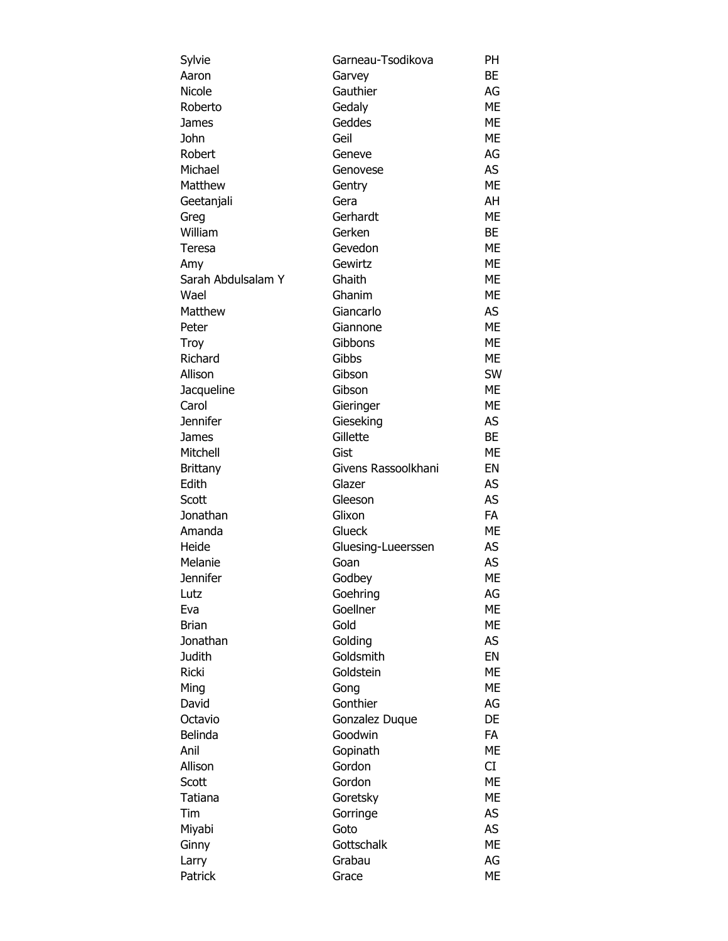| Sylvie                    | Garneau-Tsodikova   | PH        |
|---------------------------|---------------------|-----------|
| Aaron                     | Garvey              | BE        |
| Nicole                    | Gauthier            | AG        |
| Roberto                   | Gedaly              | <b>ME</b> |
| James                     | Geddes              | ME        |
| John                      | Geil                | ME        |
| Robert                    | Geneve              | AG        |
| Michael                   | Genovese            | AS        |
| Matthew                   | Gentry              | <b>ME</b> |
| Geetanjali                | Gera                | AH        |
| Greg                      | Gerhardt            | ME        |
| William                   | Gerken              | BE        |
| Teresa                    | Gevedon             | <b>ME</b> |
|                           | Gewirtz             | ME        |
| Amy<br>Sarah Abdulsalam Y | Ghaith              | ME        |
| Wael                      | Ghanim              | ME        |
|                           |                     |           |
| Matthew                   | Giancarlo           | AS        |
| Peter                     | Giannone            | <b>ME</b> |
| Troy                      | Gibbons             | ME        |
| Richard                   | Gibbs               | ME        |
| Allison                   | Gibson              | <b>SW</b> |
| Jacqueline                | Gibson              | ME        |
| Carol                     | Gieringer           | <b>ME</b> |
| <b>Jennifer</b>           | Gieseking           | AS        |
| James                     | Gillette            | <b>BE</b> |
| Mitchell                  | Gist                | ME        |
| <b>Brittany</b>           | Givens Rassoolkhani | EN        |
| Edith                     | Glazer              | <b>AS</b> |
| Scott                     | Gleeson             | AS        |
| Jonathan                  | Glixon              | <b>FA</b> |
| Amanda                    | Glueck              | ME        |
| Heide                     | Gluesing-Lueerssen  | AS        |
| Melanie                   | Goan                | AS        |
| <b>Jennifer</b>           | Godbey              | <b>ME</b> |
| Lutz                      | Goehring            | AG        |
| Eva                       | Goellner            | МE        |
| <b>Brian</b>              | Gold                | ME        |
| Jonathan                  | Golding             | AS        |
| <b>Judith</b>             | Goldsmith           | EN        |
| Ricki                     | Goldstein           | ME        |
| Ming                      | Gong                | ME        |
| David                     | Gonthier            | AG        |
| Octavio                   | Gonzalez Duque      | DE        |
| Belinda                   | Goodwin             | <b>FA</b> |
| Anil                      | Gopinath            | МE        |
| Allison                   | Gordon              | CI        |
|                           |                     |           |
| Scott                     | Gordon              | ME        |
| Tatiana                   | Goretsky            | ME        |
| Tim                       | Gorringe            | AS        |
| Miyabi                    | Goto                | AS        |
| Ginny                     | Gottschalk          | ME        |
| Larry                     | Grabau              | AG        |
| Patrick                   | Grace               | ME        |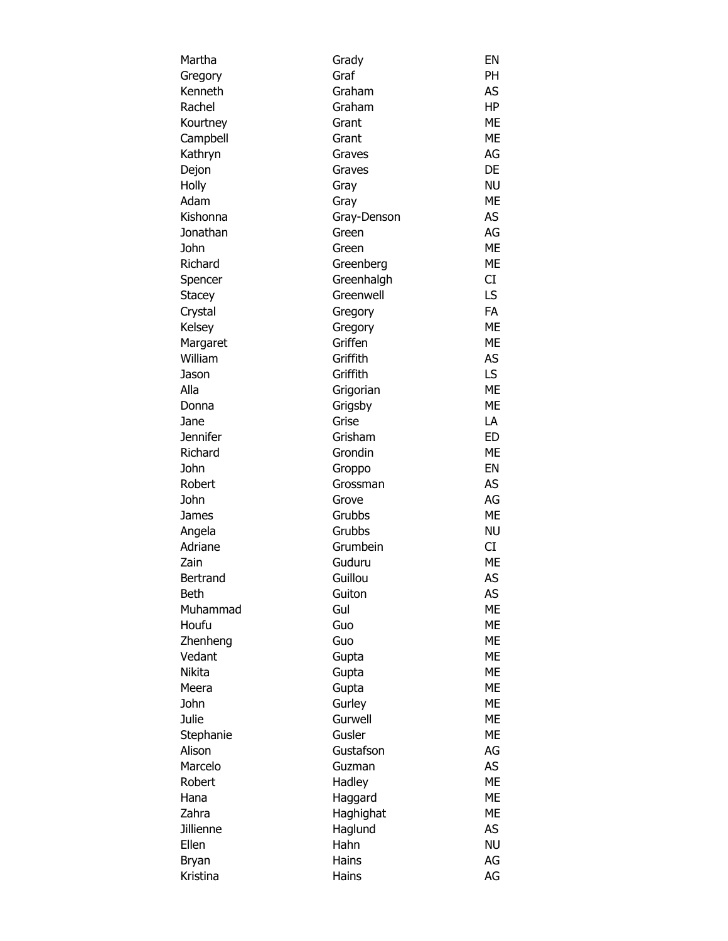| Martha           | Grady           | EN        |
|------------------|-----------------|-----------|
| Gregory          | Graf            | <b>PH</b> |
| Kenneth          | Graham          | AS        |
| Rachel           | Graham          | ΗP        |
| Kourtney         | Grant           | ME        |
| Campbell         | Grant           | ME        |
| Kathryn          | Graves          | AG        |
| Dejon            | Graves          | DE        |
| Holly            | Gray            | <b>NU</b> |
| Adam             | Gray            | <b>ME</b> |
| Kishonna         | Gray-Denson     | AS        |
| Jonathan         | Green           | AG        |
| John             | Green           | <b>ME</b> |
| Richard          | Greenberg       | ME        |
| Spencer          | Greenhalgh      | CI        |
| Stacey           | Greenwell       | LS        |
| Crystal          | Gregory         | <b>FA</b> |
| Kelsey           | Gregory         | <b>ME</b> |
| Margaret         | Griffen         | <b>ME</b> |
| William          | Griffith        | AS        |
| Jason            | Griffith        | LS        |
| Alla             | Grigorian       | <b>ME</b> |
| Donna            | Grigsby         | ME        |
| Jane             | Grise           | LA        |
| <b>Jennifer</b>  | Grisham         | <b>ED</b> |
| Richard          | Grondin         | ME        |
| John             | Groppo          | EN        |
| Robert           | Grossman        | AS        |
| John             | Grove           | AG        |
| James            | Grubbs          | <b>ME</b> |
| Angela           | Grubbs          | <b>NU</b> |
| Adriane          | Grumbein        | CI        |
| Zain             | Guduru          | ME        |
| Bertrand         | Guillou         | AS        |
| Beth             | Guiton          | AS        |
| Muhammad         | Gul             | МE        |
| Houfu            | Guo             | ME        |
| Zhenheng         | Guo             | <b>ME</b> |
| Vedant           | Gupta           | <b>ME</b> |
| Nikita           | Gupta           | ME        |
| Meera            | Gupta           | МE        |
| John             | Gurley          | <b>ME</b> |
| Julie            | Gurwell         | <b>ME</b> |
| Stephanie        | Gusler          | <b>ME</b> |
| Alison           | Gustafson       | AG        |
| Marcelo          | Guzman          | AS        |
| Robert           | Hadley          | <b>ME</b> |
| Hana             |                 | <b>ME</b> |
| Zahra            | Haggard         | <b>ME</b> |
| <b>Jillienne</b> | Haghighat       | AS        |
| Ellen            | Haglund<br>Hahn |           |
|                  |                 | NU        |
| Bryan            | Hains           | AG        |
| Kristina         | Hains           | AG        |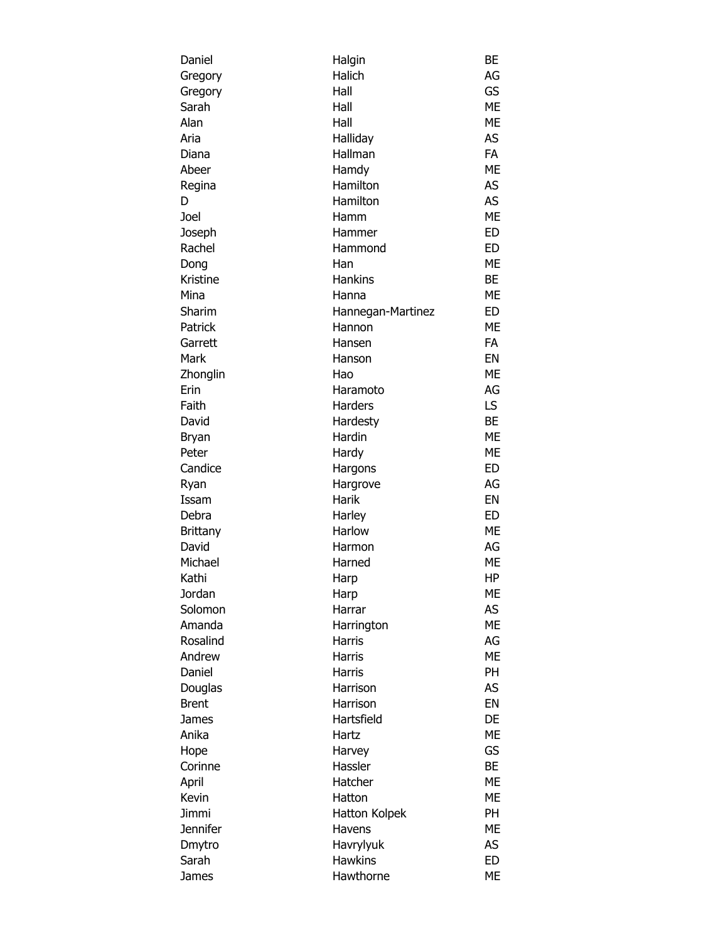| Daniel            | Halgin            | <b>BE</b> |
|-------------------|-------------------|-----------|
| Gregory           | Halich            | AG        |
| Gregory           | Hall              | GS        |
| Sarah             | Hall              | <b>ME</b> |
| Alan              | Hall              | <b>ME</b> |
| Aria              | Halliday          | AS        |
| Diana             | Hallman           | <b>FA</b> |
| Abeer             | Hamdy             | <b>ME</b> |
| Regina            | Hamilton          | AS        |
| D                 | Hamilton          | AS        |
| Joel              | Hamm              | <b>ME</b> |
| Joseph            | Hammer            | <b>ED</b> |
| Rachel            | Hammond           | <b>ED</b> |
| Dong              | Han               | <b>ME</b> |
| Kristine          | Hankins           | <b>BE</b> |
| Mina              | Hanna             | ME        |
| Sharim            | Hannegan-Martinez | ED        |
| Patrick           | Hannon            | <b>ME</b> |
| Garrett           | Hansen            | <b>FA</b> |
| Mark              | Hanson            | EN        |
| Zhonglin          | Hao               | <b>ME</b> |
| Erin              | Haramoto          | AG        |
| Faith             | Harders           | LS.       |
| David             | Hardesty          | <b>BE</b> |
| Bryan             | Hardin            | <b>ME</b> |
| Peter             | Hardy             | <b>ME</b> |
| Candice           | Hargons           | <b>ED</b> |
| Ryan              | Hargrove          | AG        |
| Issam             | Harik             | EN        |
| Debra             | Harley            | ED        |
|                   | Harlow            | ME        |
| Brittany<br>David | Harmon            |           |
|                   |                   | AG        |
| Michael           | Harned            | ME        |
| Kathi             | Harp              | HP        |
| Jordan            | Harp              | ME        |
| Solomon           | Harrar            | AS        |
| Amanda            | Harrington        | <b>ME</b> |
| Rosalind          | <b>Harris</b>     | AG        |
| Andrew            | <b>Harris</b>     | <b>ME</b> |
| Daniel            | <b>Harris</b>     | <b>PH</b> |
| Douglas           | Harrison          | AS        |
| <b>Brent</b>      | Harrison          | EN        |
| James             | Hartsfield        | DE        |
| Anika             | Hartz             | <b>ME</b> |
| Hope              | Harvey            | GS        |
| Corinne           | Hassler           | <b>BE</b> |
| April             | Hatcher           | <b>ME</b> |
| Kevin             | Hatton            | ME        |
| Jimmi             | Hatton Kolpek     | <b>PH</b> |
| Jennifer          | Havens            | <b>ME</b> |
| Dmytro            | Havrylyuk         | AS        |
| Sarah             | <b>Hawkins</b>    | <b>ED</b> |
| James             | Hawthorne         | ME        |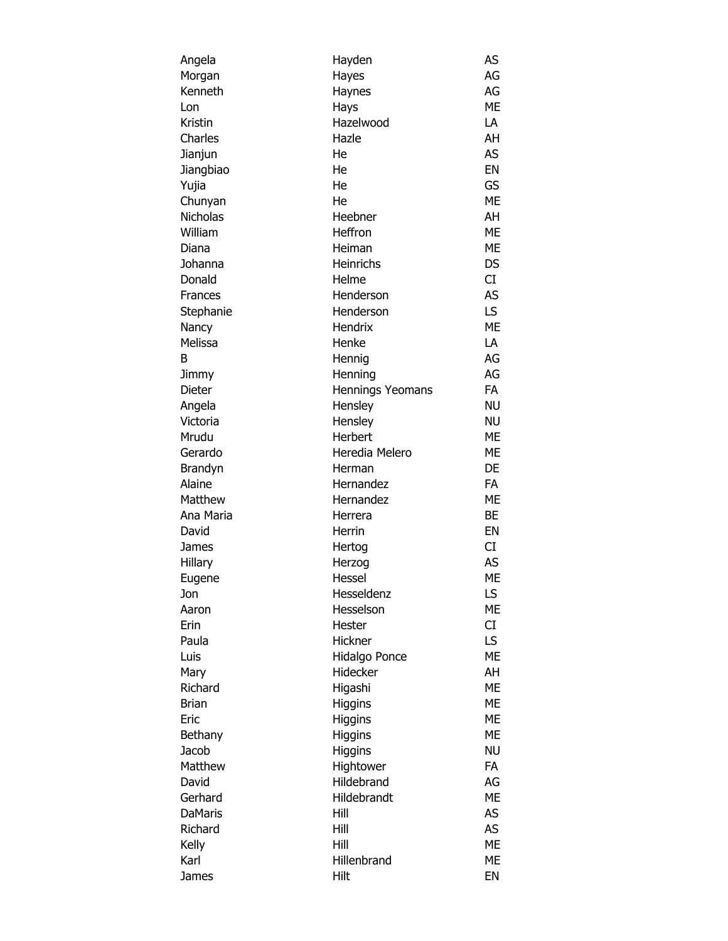| Angela             | Hayden             | AS        |
|--------------------|--------------------|-----------|
| Morgan             | Hayes              | AG        |
| Kenneth            | Haynes             | AG        |
| Lon                | Hays               | ME        |
| Kristin            | Hazelwood          | LA        |
| Charles            | Hazle              | AH        |
| Jianjun            | He                 | AS        |
| Jiangbiao          | He                 | EN        |
| Yujia              | He                 | GS        |
| Chunyan            | He                 | <b>ME</b> |
| Nicholas           | Heebner            | AH        |
| William            | Heffron            | ME        |
| Diana              | Heiman             | ME        |
| Johanna            | Heinrichs          | <b>DS</b> |
| Donald             | Helme              | CI        |
| Frances            | Henderson          | <b>AS</b> |
| Stephanie          | Henderson          | LS        |
| Nancy              | Hendrix            | <b>ME</b> |
| Melissa            | Henke              | LA        |
| В                  | Hennig             | AG        |
| Jimmy              | Henning            | AG        |
| Dieter             | Hennings Yeomans   | <b>FA</b> |
|                    | Hensley            | <b>NU</b> |
| Angela<br>Victoria |                    | <b>NU</b> |
| Mrudu              | Hensley<br>Herbert | ME        |
|                    | Heredia Melero     | ME        |
| Gerardo            |                    | DE        |
| Brandyn<br>Alaine  | Herman             | <b>FA</b> |
|                    | Hernandez          |           |
| Matthew            | Hernandez          | ME        |
| Ana Maria          | Herrera            | BE        |
| David              | Herrin             | EN        |
| James              | Hertog             | CI        |
| Hillary            | Herzog             | <b>AS</b> |
| Eugene             | Hessel             | ME        |
| Jon                | Hesseldenz         | LS        |
| Aaron              | Hesselson          | ME        |
| Erin               | Hester             | CI        |
| Paula              | Hickner            | LS        |
| Luis               | Hidalgo Ponce      | <b>ME</b> |
| Mary               | Hidecker           | AH        |
| Richard            | Higashi            | <b>ME</b> |
| <b>Brian</b>       | Higgins            | ME        |
| Eric               | Higgins            | <b>ME</b> |
| Bethany            | Higgins            | <b>ME</b> |
| Jacob              | Higgins            | <b>NU</b> |
| Matthew            | Hightower          | <b>FA</b> |
| David              | Hildebrand         | AG        |
| Gerhard            | Hildebrandt        | <b>ME</b> |
| <b>DaMaris</b>     | Hill               | AS        |
| Richard            | Hill               | AS        |
| Kelly              | Hill               | <b>ME</b> |
| Karl               | Hillenbrand        | ME        |
| James              | Hilt               | EN        |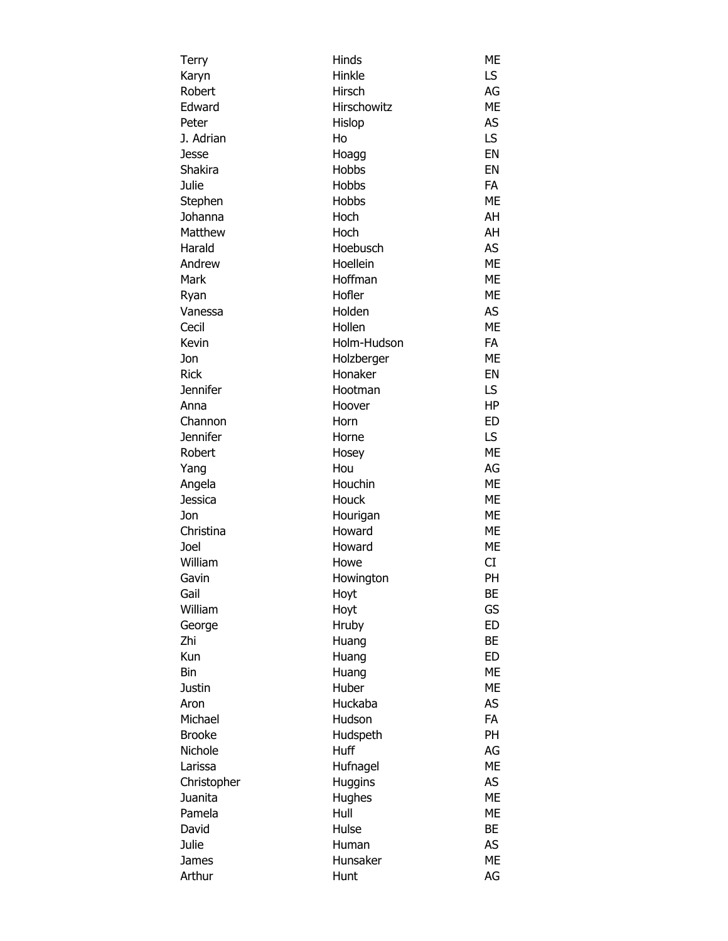| Terry           | Hinds         | ME        |
|-----------------|---------------|-----------|
| Karyn           | Hinkle        | LS        |
| Robert          | Hirsch        | AG        |
| Edward          | Hirschowitz   | <b>ME</b> |
| Peter           | Hislop        | AS        |
| J. Adrian       | Ho            | LS        |
| Jesse           | Hoagg         | EN        |
| Shakira         | Hobbs         | EN        |
| Julie           | Hobbs         | FA        |
| Stephen         | Hobbs         | <b>ME</b> |
| Johanna         | Hoch          | AH        |
| Matthew         | Hoch          | AH        |
| Harald          | Hoebusch      | AS        |
|                 |               |           |
| Andrew          | Hoellein      | <b>ME</b> |
| Mark            | Hoffman       | <b>ME</b> |
| Ryan            | Hofler        | ME        |
| Vanessa         | Holden        | AS        |
| Cecil           | Hollen        | <b>ME</b> |
| Kevin           | Holm-Hudson   | FA        |
| Jon             | Holzberger    | <b>ME</b> |
| <b>Rick</b>     | Honaker       | EN        |
| <b>Jennifer</b> | Hootman       | LS        |
| Anna            | Hoover        | HP        |
| Channon         | Horn          | <b>ED</b> |
| <b>Jennifer</b> | Horne         | LS        |
| Robert          | Hosey         | <b>ME</b> |
| Yang            | Hou           | AG        |
| Angela          | Houchin       | <b>ME</b> |
| Jessica         | Houck         | <b>ME</b> |
| Jon             | Hourigan      | <b>ME</b> |
| Christina       | Howard        | ME        |
| Joel            | Howard        | ME        |
| William         | Howe          | CI        |
| Gavin           | Howington     | PH        |
| Gail            | Hoyt          | BE        |
| William         | Hoyt          | GS        |
| George          | Hruby         | ED        |
| Zhi             | Huang         | BE        |
| Kun             | Huang         | <b>ED</b> |
| Bin             | Huang         | <b>ME</b> |
| Justin          | Huber         | <b>ME</b> |
| Aron            | Huckaba       | AS        |
| Michael         | Hudson        | <b>FA</b> |
| <b>Brooke</b>   | Hudspeth      | <b>PH</b> |
| Nichole         | Huff          | AG        |
| Larissa         | Hufnagel      | <b>ME</b> |
| Christopher     | Huggins       | AS        |
| Juanita         |               | ME        |
| Pamela          | Hughes        | ME        |
| David           | Hull<br>Hulse | <b>BE</b> |
|                 |               |           |
| Julie           | Human         | AS        |
| James           | Hunsaker      | ME        |
| Arthur          | Hunt          | AG        |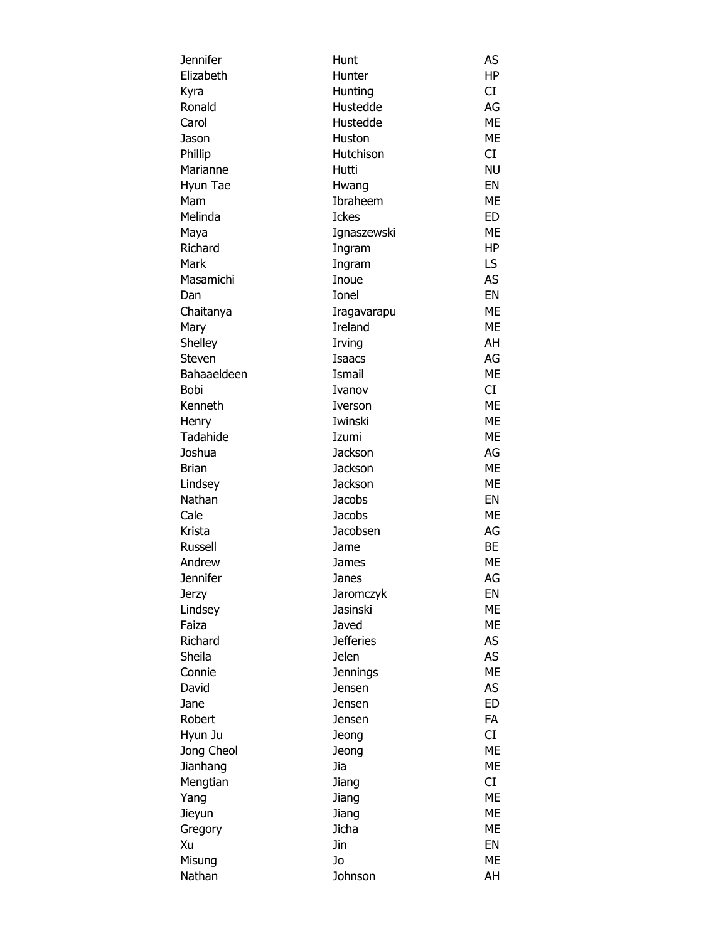| Jennifer    | Hunt             | AS        |
|-------------|------------------|-----------|
| Elizabeth   | Hunter           | HP        |
| Kyra        | Hunting          | CI        |
| Ronald      | Hustedde         | AG        |
| Carol       | Hustedde         | <b>ME</b> |
| Jason       | Huston           | <b>ME</b> |
| Phillip     | Hutchison        | CI        |
| Marianne    | Hutti            | <b>NU</b> |
| Hyun Tae    | Hwang            | EN        |
| Mam         | Ibraheem         | <b>ME</b> |
| Melinda     | <b>Ickes</b>     | ED        |
| Maya        | Ignaszewski      | <b>ME</b> |
| Richard     | Ingram           | HP        |
| Mark        | Ingram           | LS.       |
| Masamichi   | Inoue            | AS        |
| Dan         | Ionel            | EN        |
| Chaitanya   | Iragavarapu      | <b>ME</b> |
| Mary        | Ireland          | <b>ME</b> |
| Shelley     | Irving           | AH        |
| Steven      | <b>Isaacs</b>    | AG        |
| Bahaaeldeen | Ismail           | <b>ME</b> |
| Bobi        | Ivanov           | CI        |
| Kenneth     | Iverson          | <b>ME</b> |
| Henry       | Iwinski          | ME        |
| Tadahide    | Izumi            | <b>ME</b> |
| Joshua      | Jackson          | AG        |
| Brian       | <b>Jackson</b>   | <b>ME</b> |
| Lindsey     | <b>Jackson</b>   | <b>ME</b> |
| Nathan      | <b>Jacobs</b>    | EN        |
| Cale        | <b>Jacobs</b>    | <b>ME</b> |
| Krista      | Jacobsen         | AG        |
| Russell     | Jame             | BE        |
| Andrew      | James            | ME        |
| Jennifer    | Janes            | AG        |
| Jerzy       | Jaromczyk        | EN        |
| Lindsey     | Jasinski         | <b>ME</b> |
| Faiza       | Javed            | ME        |
| Richard     | <b>Jefferies</b> | AS        |
| Sheila      | Jelen            | AS        |
| Connie      | <b>Jennings</b>  | <b>ME</b> |
| David       | Jensen           | AS        |
| Jane        | Jensen           | <b>ED</b> |
| Robert      | Jensen           | <b>FA</b> |
| Hyun Ju     | Jeong            | CI        |
| Jong Cheol  | Jeong            | <b>ME</b> |
| Jianhang    | Jia              | <b>ME</b> |
| Mengtian    | Jiang            | CI        |
| Yang        | Jiang            | <b>ME</b> |
| Jieyun      | Jiang            | <b>ME</b> |
| Gregory     | Jicha            | <b>ME</b> |
| Xu          | Jin              | EN        |
| Misung      | Jo               | <b>ME</b> |
| Nathan      | Johnson          | AH        |
|             |                  |           |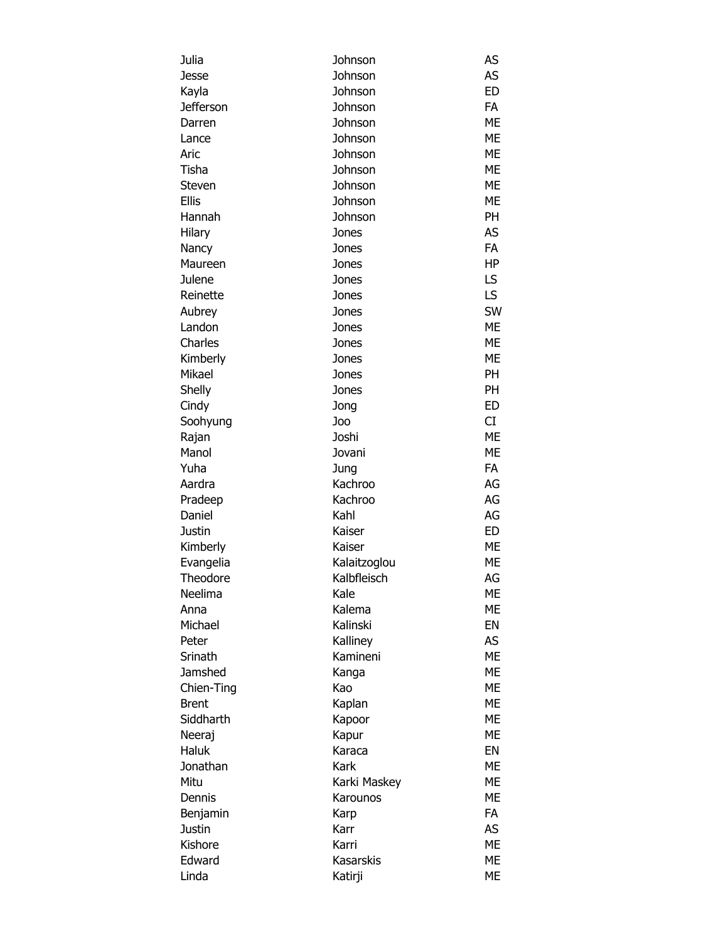| Julia            | Johnson      | AS        |
|------------------|--------------|-----------|
| Jesse            | Johnson      | AS        |
| Kayla            | Johnson      | <b>ED</b> |
| <b>Jefferson</b> | Johnson      | <b>FA</b> |
| Darren           | Johnson      | <b>ME</b> |
| Lance            | Johnson      | ME        |
| Aric             | Johnson      | <b>ME</b> |
| Tisha            | Johnson      | <b>ME</b> |
| Steven           | Johnson      | <b>ME</b> |
| <b>Ellis</b>     | Johnson      | ME        |
| Hannah           | Johnson      | PH        |
| Hilary           | Jones        | AS        |
| Nancy            | Jones        | FA        |
| Maureen          | Jones        | <b>HP</b> |
| Julene           | Jones        | LS        |
| Reinette         | Jones        | LS        |
| Aubrey           | Jones        | SW        |
| Landon           | Jones        | <b>ME</b> |
| Charles          | Jones        | <b>ME</b> |
| Kimberly         | Jones        | <b>ME</b> |
| Mikael           | Jones        | PH        |
| Shelly           | Jones        | PH        |
| Cindy            | Jong         | <b>ED</b> |
| Soohyung         | Joo          | <b>CI</b> |
| Rajan            | Joshi        | <b>ME</b> |
| Manol            | Jovani       | <b>ME</b> |
| Yuha             | Jung         | <b>FA</b> |
| Aardra           | Kachroo      | AG        |
| Pradeep          | Kachroo      | AG        |
| Daniel           | Kahl         | AG        |
| Justin           | Kaiser       | ED        |
| Kimberly         | Kaiser       | ME        |
| Evangelia        | Kalaitzoglou | <b>ME</b> |
| Theodore         | Kalbfleisch  | AG        |
| Neelima          | Kale         | МE        |
| Anna             | Kalema       | МE        |
| Michael          | Kalinski     | EN        |
| Peter            | Kalliney     | AS        |
| Srinath          | Kamineni     | <b>ME</b> |
| Jamshed          | Kanga        | <b>ME</b> |
| Chien-Ting       | Kao          | ME        |
| <b>Brent</b>     | Kaplan       | <b>ME</b> |
| Siddharth        | Kapoor       | ME        |
| Neeraj           | Kapur        | ME        |
| Haluk            | Karaca       | EN        |
| Jonathan         | Kark         | ME        |
| Mitu             | Karki Maskey | ME        |
| Dennis           | Karounos     | МE        |
| Benjamin         | Karp         | <b>FA</b> |
| Justin           | Karr         | AS        |
| Kishore          | Karri        | ME        |
| Edward           | Kasarskis    | ME        |
| Linda            | Katirji      | МE        |
|                  |              |           |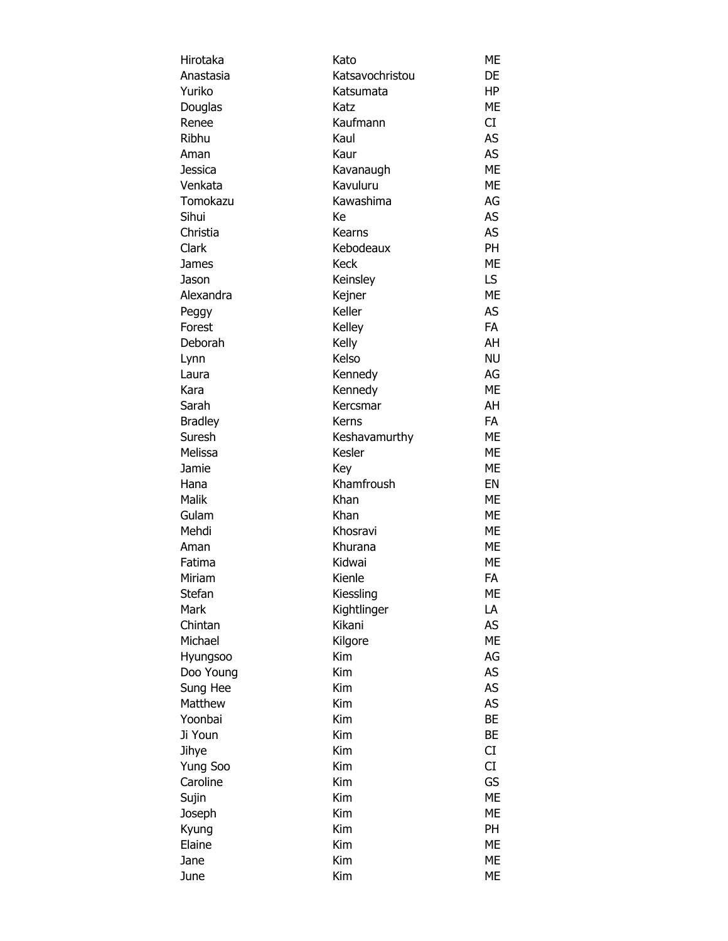| Hirotaka       | Kato                    | ME        |
|----------------|-------------------------|-----------|
| Anastasia      | Katsavochristou         | DE        |
| Yuriko         | Katsumata               | HP        |
| Douglas        | Katz                    | ME        |
| Renee          | Kaufmann                | CI        |
| Ribhu          | Kaul                    | AS        |
| Aman           | Kaur                    | AS        |
| Jessica        | Kavanaugh               | <b>ME</b> |
| Venkata        | Kavuluru                | <b>ME</b> |
| Tomokazu       | Kawashima               | AG        |
| Sihui          | Кe                      | AS        |
| Christia       | Kearns                  | AS        |
| Clark          | Kebodeaux               | PH        |
| James          | <b>Keck</b>             | ME        |
| Jason          | Keinsley                | LS        |
| Alexandra      | Kejner                  | ME        |
| Peggy          | Keller                  | AS        |
| Forest         | Kelley                  | <b>FA</b> |
| Deborah        | Kelly                   | AH        |
| Lynn           | Kelso                   | <b>NU</b> |
| Laura          | Kennedy                 | AG        |
| Kara           | Kennedy                 | ME        |
| Sarah          | Kercsmar                | AH        |
| <b>Bradley</b> | Kerns                   | FA        |
| Suresh         |                         | ME        |
| Melissa        | Keshavamurthy<br>Kesler | ME        |
| Jamie          |                         | ME        |
|                | Key<br>Khamfroush       | EN        |
| Hana           |                         |           |
| Malik          | Khan<br>Khan            | ME        |
| Gulam          |                         | ME        |
| Mehdi          | Khosravi                | ME        |
| Aman           | Khurana                 | ME        |
| Fatima         | Kidwai                  | ME        |
| Miriam         | Kienle                  | FA        |
| Stefan         | Kiessling               | ME        |
| Mark           | Kightlinger             | LA        |
| Chintan        | Kikani                  | AS        |
| Michael        | Kilgore                 | <b>ME</b> |
| Hyungsoo       | Kim                     | AG        |
| Doo Young      | Kim                     | AS        |
| Sung Hee       | Kim                     | <b>AS</b> |
| Matthew        | Kim                     | AS        |
| Yoonbai        | Kim                     | <b>BE</b> |
| Ji Youn        | Kim                     | BE        |
| Jihye          | Kim                     | <b>CI</b> |
| Yung Soo       | Kim                     | CI        |
| Caroline       | Kim                     | GS        |
| Sujin          | Kim                     | <b>ME</b> |
| Joseph         | Kim                     | <b>ME</b> |
| Kyung          | Kim                     | PH        |
| Elaine         | Kim                     | ME        |
| Jane           | Kim                     | ME        |
| June           | Kim                     | ME        |
|                |                         |           |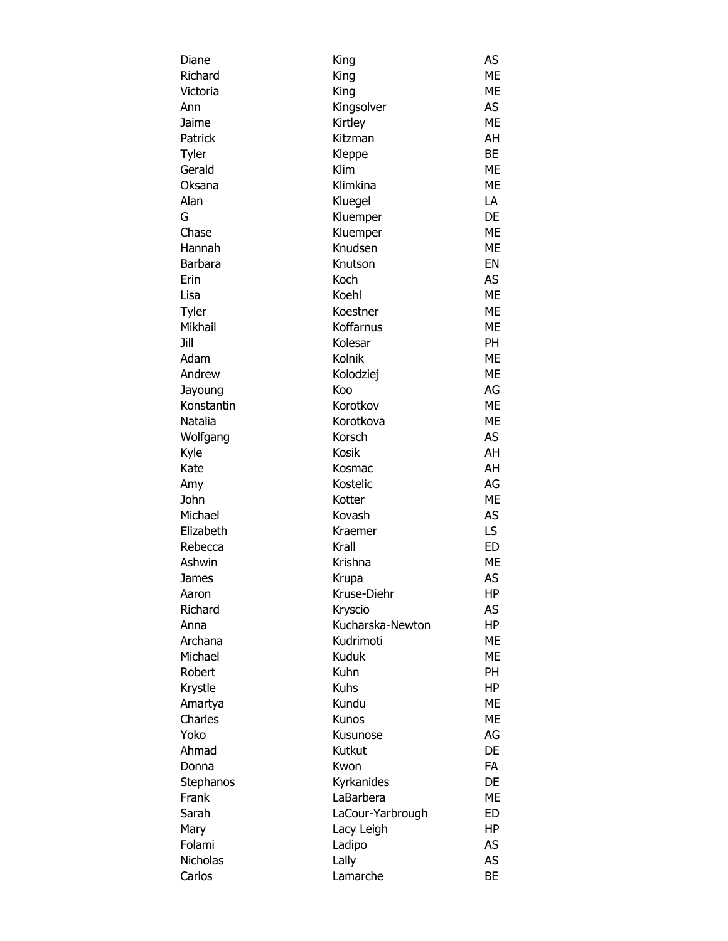| Diane           | King                 | AS        |
|-----------------|----------------------|-----------|
| Richard         | King                 | <b>ME</b> |
| Victoria        | King                 | ME        |
| Ann             | Kingsolver           | AS        |
| Jaime           | Kirtley              | <b>ME</b> |
| Patrick         | Kitzman              | AH        |
| Tyler           | Kleppe               | <b>BE</b> |
| Gerald          | Klim                 | <b>ME</b> |
| Oksana          | Klimkina             | <b>ME</b> |
| Alan            | Kluegel              | LA        |
| G               | Kluemper             | DE        |
| Chase           | Kluemper             | ME        |
| Hannah          | Knudsen              | ME        |
| Barbara         | Knutson              | EN        |
| Erin            | Koch                 | AS        |
| Lisa            | Koehl                | <b>ME</b> |
| Tyler           | Koestner             | ME        |
| Mikhail         | Koffarnus            | <b>ME</b> |
| Jill            | Kolesar              | PH        |
| Adam            | Kolnik               | <b>ME</b> |
| Andrew          | Kolodziej            | <b>ME</b> |
| Jayoung         | Koo                  | AG        |
| Konstantin      | Korotkov             | <b>ME</b> |
| Natalia         | Korotkova            | <b>ME</b> |
| Wolfgang        | Korsch               | AS        |
| Kyle            | Kosik                | AH        |
| Kate            | Kosmac               | AH        |
| Amy             | Kostelic             | AG        |
| John            | Kotter               | ME        |
| Michael         | Kovash               | AS        |
| Elizabeth       | Kraemer              | LS        |
| Rebecca         | Krall                | <b>ED</b> |
| Ashwin          | Krishna              | ME        |
|                 |                      | AS        |
| James           | Krupa<br>Kruse-Diehr |           |
| Aaron           |                      | HP        |
| Richard         | Kryscio              | AS        |
| Anna            | Kucharska-Newton     | HP        |
| Archana         | Kudrimoti            | <b>ME</b> |
| Michael         | Kuduk                | <b>ME</b> |
| Robert          | Kuhn                 | PH        |
| Krystle         | <b>Kuhs</b>          | HP        |
| Amartya         | Kundu                | ME        |
| Charles         | Kunos                | <b>ME</b> |
| Yoko            | Kusunose             | AG        |
| Ahmad           | Kutkut               | DE        |
| Donna           | Kwon                 | FA        |
| Stephanos       | Kyrkanides           | DE        |
| Frank           | LaBarbera            | <b>ME</b> |
| Sarah           | LaCour-Yarbrough     | ED        |
| Mary            | Lacy Leigh           | HP        |
| Folami          | Ladipo               | AS        |
| <b>Nicholas</b> | Lally                | AS        |
| Carlos          | Lamarche             | BE        |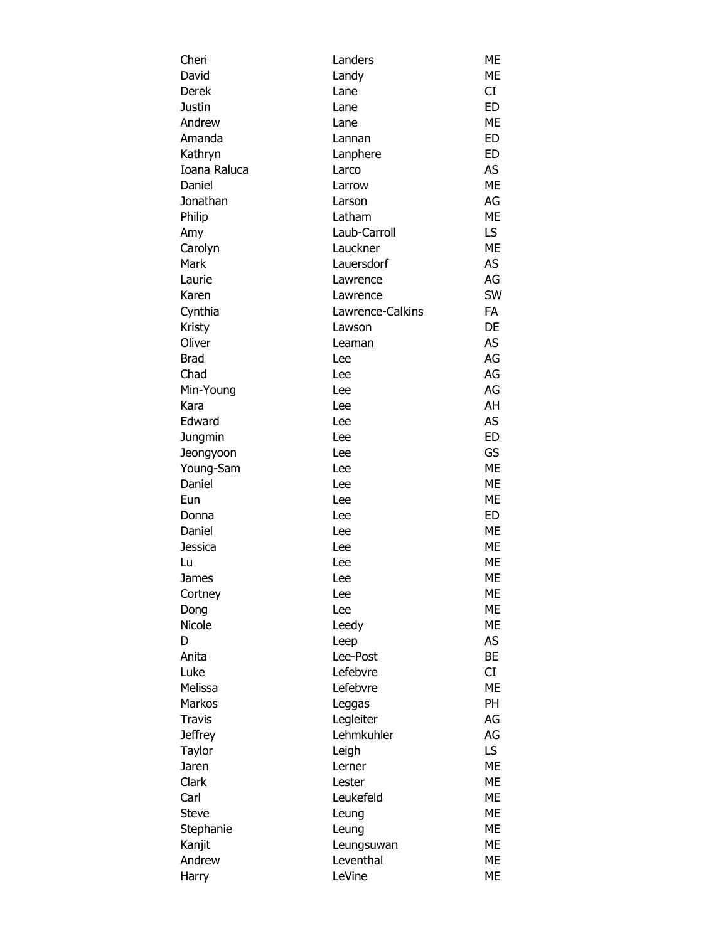| Cheri          | Landers          | ME        |
|----------------|------------------|-----------|
| David          | Landy            | ME        |
| Derek          | Lane             | CI        |
| Justin         | Lane             | <b>ED</b> |
| Andrew         | Lane             | <b>ME</b> |
| Amanda         | Lannan           | <b>ED</b> |
| Kathryn        | Lanphere         | ED        |
| Ioana Raluca   | Larco            | AS        |
| Daniel         | Larrow           | <b>ME</b> |
| Jonathan       | Larson           | AG        |
| Philip         | Latham           | <b>ME</b> |
| Amy            | Laub-Carroll     | LS.       |
| Carolyn        | Lauckner         | ME        |
| Mark           | Lauersdorf       | AS        |
| Laurie         | Lawrence         | AG        |
| Karen          | Lawrence         | SW        |
| Cynthia        | Lawrence-Calkins | <b>FA</b> |
| Kristy         | Lawson           | DE        |
| Oliver         | Leaman           | AS        |
| <b>Brad</b>    | Lee              | AG        |
| Chad           | Lee              | AG        |
| Min-Young      | Lee              | AG        |
| Kara           | Lee              | AH        |
| Edward         | Lee              | AS        |
| Jungmin        | Lee              | <b>ED</b> |
| Jeongyoon      | Lee              | GS        |
| Young-Sam      | Lee              | <b>ME</b> |
| Daniel         | Lee              | <b>ME</b> |
| Eun            | Lee              | ME        |
| Donna          | Lee              | <b>ED</b> |
| Daniel         | Lee              | ME        |
| Jessica        | Lee              | ME        |
| Lu             | Lee              | ME        |
| James          | Lee              | <b>ME</b> |
| Cortney        | Lee              | <b>ME</b> |
| Dong           | Lee              | <b>ME</b> |
| Nicole         | Leedy            | <b>ME</b> |
| D              | Leep             | AS        |
| Anita          | Lee-Post         | <b>BE</b> |
| Luke           | Lefebvre         | CI        |
| Melissa        | Lefebvre         | <b>ME</b> |
| Markos         | Leggas           | <b>PH</b> |
| <b>Travis</b>  | Legleiter        | AG        |
| <b>Jeffrey</b> | Lehmkuhler       | AG        |
| Taylor         | Leigh            | LS.       |
| Jaren          | Lerner           | <b>ME</b> |
| Clark          | Lester           | <b>ME</b> |
| Carl           | Leukefeld        | <b>ME</b> |
| <b>Steve</b>   | Leung            | <b>ME</b> |
| Stephanie      | Leung            | <b>ME</b> |
| Kanjit         | Leungsuwan       | ME        |
| Andrew         | Leventhal        | ME        |
| Harry          | LeVine           | ME        |
|                |                  |           |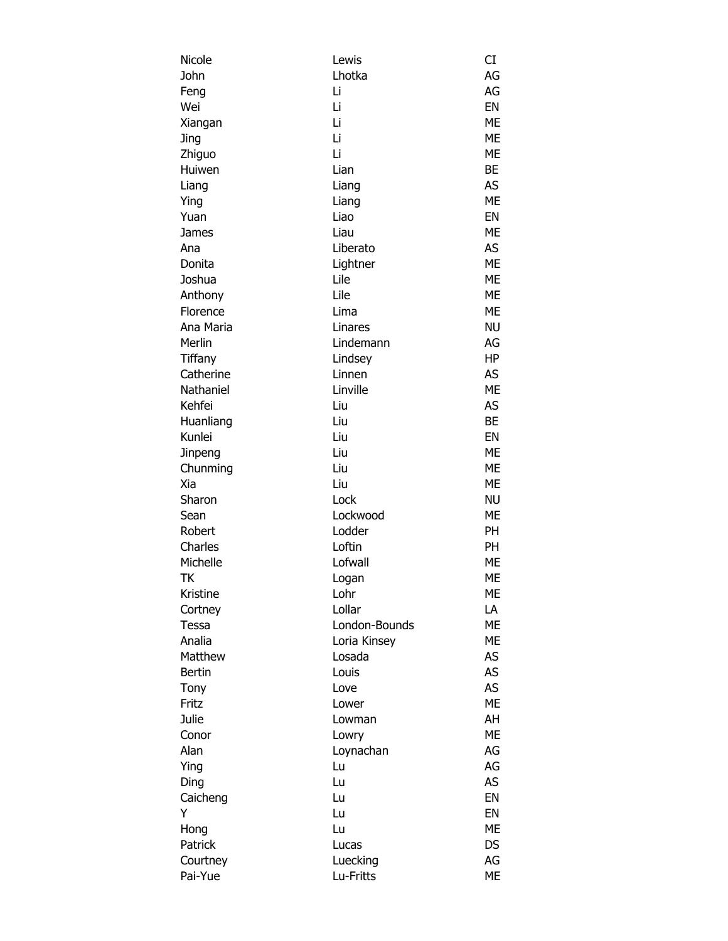| Nicole        | Lewis         | CI        |
|---------------|---------------|-----------|
| John          | Lhotka        | AG        |
| Feng          | Li            | AG        |
| Wei           | Li            | EN        |
| Xiangan       | Li            | <b>ME</b> |
| Jing          | Li            | <b>ME</b> |
| Zhiguo        | Li            | <b>ME</b> |
| Huiwen        | Lian          | BE        |
| Liang         | Liang         | <b>AS</b> |
| Ying          | Liang         | <b>ME</b> |
| Yuan          | Liao          | EN        |
| James         | Liau          | <b>ME</b> |
| Ana           | Liberato      | <b>AS</b> |
| Donita        | Lightner      | <b>ME</b> |
| Joshua        | Lile          | <b>ME</b> |
| Anthony       | Lile          | <b>ME</b> |
| Florence      | Lima          | <b>ME</b> |
| Ana Maria     | Linares       | <b>NU</b> |
| Merlin        | Lindemann     | AG        |
| Tiffany       | Lindsey       | <b>HP</b> |
| Catherine     | Linnen        | AS        |
| Nathaniel     | Linville      | <b>ME</b> |
| Kehfei        | Liu           | AS        |
| Huanliang     | Liu           | <b>BE</b> |
| Kunlei        | Liu           | EN        |
| Jinpeng       | Liu           | <b>ME</b> |
| Chunming      | Liu           | <b>ME</b> |
| Xia           | Liu           | <b>ME</b> |
| Sharon        | Lock          | <b>NU</b> |
| Sean          | Lockwood      | <b>ME</b> |
| Robert        | Lodder        | PH        |
|               | Loftin        |           |
| Charles       |               | PH        |
| Michelle      | Lofwall       | ME        |
| <b>TK</b>     | Logan         | ME        |
| Kristine      | Lohr          | <b>ME</b> |
| Cortney       | Lollar        | LA        |
| Tessa         | London-Bounds | <b>ME</b> |
| Analia        | Loria Kinsey  | <b>ME</b> |
| Matthew       | Losada        | AS        |
| <b>Bertin</b> | Louis         | AS        |
| Tony          | Love          | AS        |
| Fritz         | Lower         | <b>ME</b> |
| Julie         | Lowman        | AH        |
| Conor         | Lowry         | <b>ME</b> |
| Alan          | Loynachan     | AG        |
| Ying          | Lu            | AG        |
| Ding          | Lu            | AS        |
| Caicheng      | Lu            | EN        |
| Y             | Lu            | EN        |
| Hong          | Lu            | <b>ME</b> |
| Patrick       | Lucas         | DS        |
| Courtney      | Luecking      | AG        |
| Pai-Yue       | Lu-Fritts     | ME        |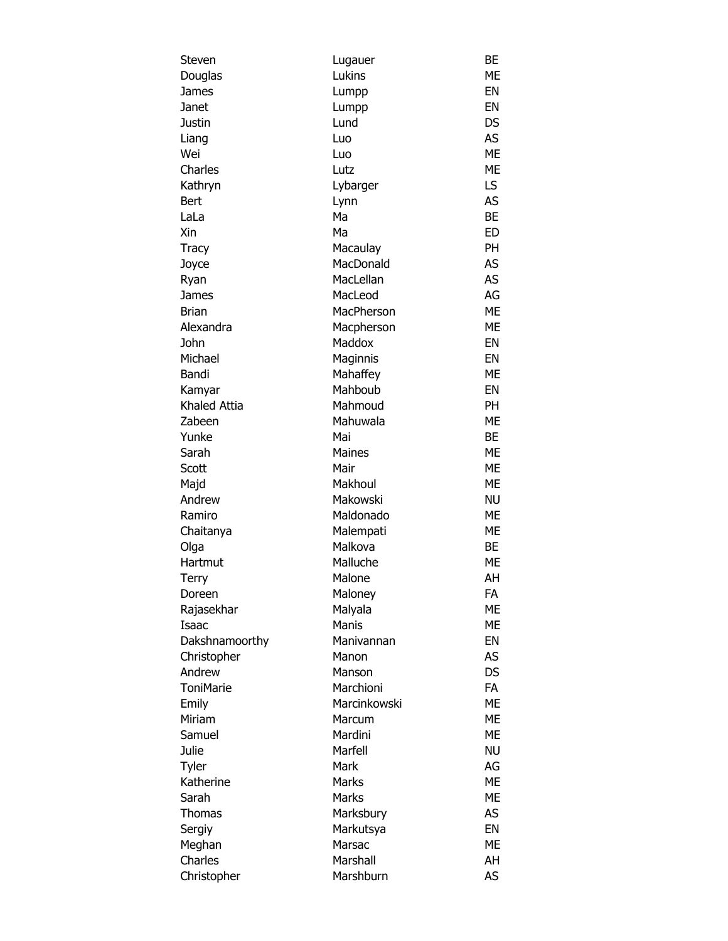| Steven                | Lugauer      | BE        |
|-----------------------|--------------|-----------|
| Douglas               | Lukins       | <b>ME</b> |
| James                 | Lumpp        | EN        |
| Janet                 | Lumpp        | EN        |
| Justin                | Lund         | DS        |
| Liang                 | Luo          | AS        |
| Wei                   | Luo          | <b>ME</b> |
| Charles               | Lutz         | <b>ME</b> |
| Kathryn               | Lybarger     | LS        |
| <b>Bert</b>           | Lynn         | <b>AS</b> |
| LaLa                  | Ma           | <b>BE</b> |
| Xin                   | Ma           | <b>ED</b> |
| <b>Tracy</b>          | Macaulay     | PH        |
| Joyce                 | MacDonald    | AS        |
| Ryan                  | MacLellan    | <b>AS</b> |
| James                 | MacLeod      | AG        |
| <b>Brian</b>          | MacPherson   | <b>ME</b> |
| Alexandra             | Macpherson   | ME        |
| John                  | Maddox       | EN        |
| Michael               | Maginnis     | EN        |
| Bandi                 | Mahaffey     | <b>ME</b> |
| Kamyar                | Mahboub      | EN        |
| Khaled Attia          | Mahmoud      | <b>PH</b> |
| Zabeen                | Mahuwala     | ME        |
| Yunke                 | Mai          | BE        |
| Sarah                 | Maines       | ME        |
| Scott                 | Mair         | ME        |
| Majd                  | Makhoul      | ME        |
| Andrew                | Makowski     | <b>NU</b> |
| Ramiro                | Maldonado    | ME        |
| Chaitanya             | Malempati    | ME        |
| Olga                  | Malkova      | BЕ        |
| Hartmut               | Malluche     | ME        |
| Terry                 | Malone       | AH        |
| Doreen                | Maloney      | FA        |
| Rajasekhar            | Malyala      | ME        |
| Isaac                 | Manis        | ME        |
| Dakshnamoorthy        | Manivannan   | EN        |
|                       | Manon        | AS        |
| Christopher<br>Andrew | Manson       | DS        |
| <b>ToniMarie</b>      | Marchioni    | <b>FA</b> |
|                       | Marcinkowski | ME        |
| Emily<br>Miriam       |              | ME        |
|                       | Marcum       |           |
| Samuel                | Mardini      | ME        |
| Julie                 | Marfell      | <b>NU</b> |
| Tyler                 | Mark         | AG        |
| Katherine             | Marks        | ME        |
| Sarah                 | Marks        | ME        |
| Thomas                | Marksbury    | AS        |
| Sergiy                | Markutsya    | EN        |
| Meghan                | Marsac       | ME        |
| Charles               | Marshall     | AH        |
| Christopher           | Marshburn    | AS        |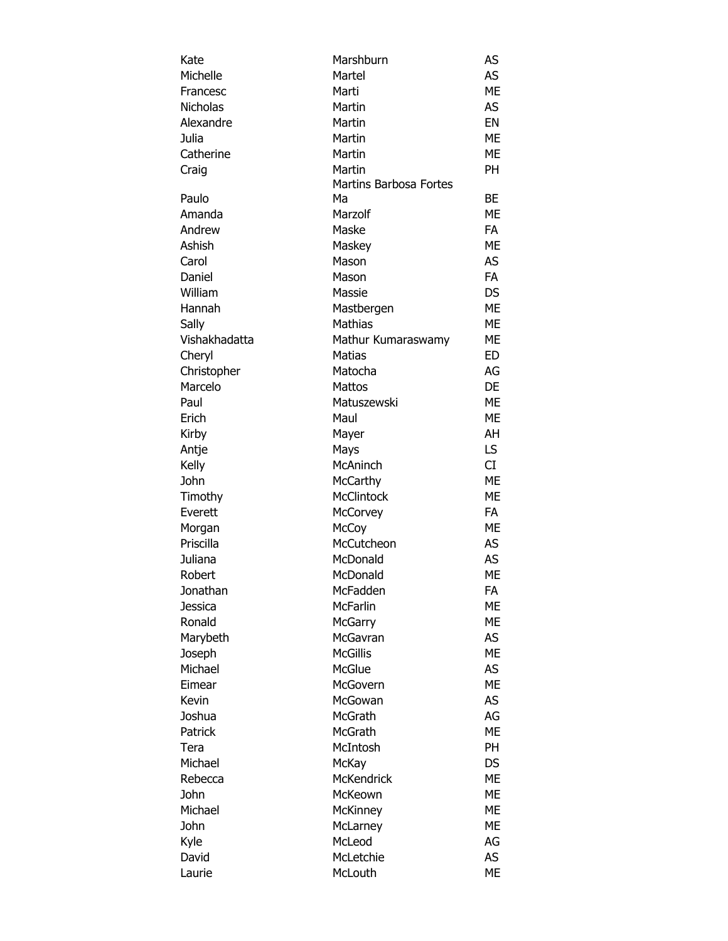| Kate                | Marshburn                     | AS        |
|---------------------|-------------------------------|-----------|
| Michelle            | Martel                        | AS        |
| Francesc            | Marti                         | ME        |
| <b>Nicholas</b>     | Martin                        | AS        |
| Alexandre           | Martin                        | EN        |
| Julia               | Martin                        | ME        |
| Catherine           | Martin                        | ME        |
| Craig               | Martin                        | PH        |
|                     | <b>Martins Barbosa Fortes</b> |           |
| Paulo               | Ma                            | <b>BE</b> |
| Amanda              | Marzolf                       | ME        |
| Andrew              | Maske                         | <b>FA</b> |
| Ashish              | Maskey                        | МE        |
| Carol               | Mason                         | AS        |
| Daniel              | Mason                         | <b>FA</b> |
| William             | Massie                        | <b>DS</b> |
| Hannah              | Mastbergen                    | ME        |
| Sally               | <b>Mathias</b>                | ME        |
| Vishakhadatta       | Mathur Kumaraswamy            | ME        |
| Cheryl              | <b>Matias</b>                 | ED        |
| Christopher         | Matocha                       | AG        |
| Marcelo             | Mattos                        | DE        |
| Paul                | Matuszewski                   | ME        |
| Erich               | Maul                          | ME        |
| Kirby               | Mayer                         | AH        |
| Antje               | Mays                          | LS.       |
| Kelly               | McAninch                      | CI        |
| John                | McCarthy                      | ME        |
| Timothy             | <b>McClintock</b>             | ME        |
| Everett             | <b>McCorvey</b>               | <b>FA</b> |
| Morgan              | McCoy                         | ME        |
| Priscilla           | McCutcheon                    | AS        |
| Juliana             | McDonald                      | AS        |
| Robert              | McDonald                      | ME        |
|                     | McFadden                      | FA        |
| Jonathan<br>Jessica | <b>McFarlin</b>               | ME        |
| Ronald              | McGarry                       | ME        |
|                     | McGavran                      | AS        |
| Marybeth            |                               |           |
| Joseph              | <b>McGillis</b>               | ME        |
| Michael             | McGlue                        | AS        |
| Eimear              | McGovern                      | ME        |
| Kevin               | McGowan                       | AS        |
| Joshua              | McGrath                       | AG        |
| Patrick             | McGrath                       | ME        |
| Tera                | McIntosh                      | <b>PH</b> |
| Michael             | McKay                         | <b>DS</b> |
| Rebecca             | <b>McKendrick</b>             | <b>ME</b> |
| John                | McKeown                       | ME        |
| Michael             | McKinney                      | ME        |
| John                | McLarney                      | <b>ME</b> |
| Kyle                | McLeod                        | AG        |
| David               | McLetchie                     | AS        |
| Laurie              | McLouth                       | ME        |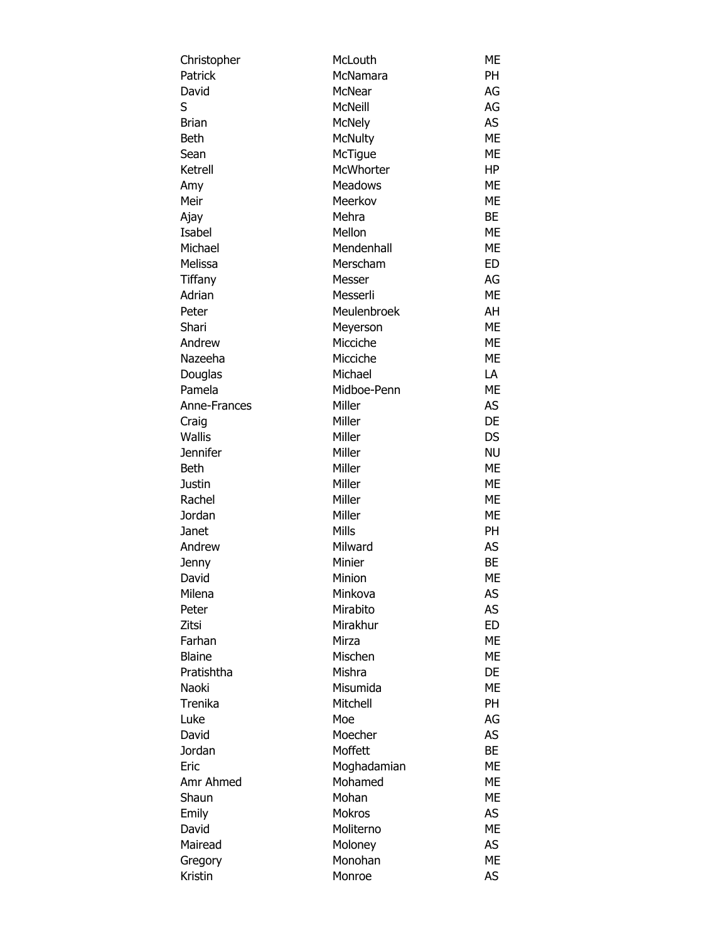| Christopher     | McLouth        | ME        |
|-----------------|----------------|-----------|
| Patrick         | McNamara       | PH        |
| David           | <b>McNear</b>  | AG        |
| S               | <b>McNeill</b> | AG        |
| <b>Brian</b>    | <b>McNely</b>  | <b>AS</b> |
| <b>Beth</b>     | <b>McNulty</b> | <b>ME</b> |
| Sean            | McTigue        | ME        |
| Ketrell         | McWhorter      | HP        |
| Amy             | <b>Meadows</b> | <b>ME</b> |
| Meir            | Meerkov        | ME        |
| Ajay            | Mehra          | BE        |
| Isabel          | Mellon         | ME        |
| Michael         | Mendenhall     | <b>ME</b> |
| Melissa         | Merscham       | <b>ED</b> |
| Tiffany         | Messer         | AG        |
| Adrian          | Messerli       | <b>ME</b> |
| Peter           | Meulenbroek    | AH        |
| Shari           | Meyerson       | <b>ME</b> |
| Andrew          | Micciche       | <b>ME</b> |
| Nazeeha         | Micciche       | ME        |
| Douglas         | Michael        | LA        |
| Pamela          | Midboe-Penn    | ME        |
| Anne-Frances    | Miller         | AS        |
| Craig           | Miller         | DE        |
| Wallis          | Miller         | DS        |
| <b>Jennifer</b> | Miller         | <b>NU</b> |
| <b>Beth</b>     | Miller         | ME        |
| <b>Justin</b>   | Miller         | <b>ME</b> |
|                 |                | <b>ME</b> |
| Rachel          | Miller         |           |
| Jordan          | Miller         | ME        |
| Janet           | Mills          | PH        |
| Andrew          | Milward        | AS        |
| Jenny           | Minier         | <b>BE</b> |
| David           | Minion         | <b>ME</b> |
| Milena          | Minkova        | AS        |
| Peter           | Mirabito       | AS        |
| Zitsi           | Mirakhur       | <b>ED</b> |
| Farhan          | Mirza          | ME        |
| <b>Blaine</b>   | Mischen        | ME        |
| Pratishtha      | Mishra         | DE        |
| Naoki           | Misumida       | МE        |
| Trenika         | Mitchell       | PH        |
| Luke            | Moe            | AG        |
| David           | Moecher        | AS        |
| Jordan          | Moffett        | BE        |
| Eric            | Moghadamian    | МE        |
| Amr Ahmed       | Mohamed        | ME        |
| Shaun           | Mohan          | ME        |
| Emily           | <b>Mokros</b>  | AS        |
| David           | Moliterno      | <b>ME</b> |
| Mairead         | Moloney        | <b>AS</b> |
| Gregory         | Monohan        | ME        |
| Kristin         | Monroe         | AS        |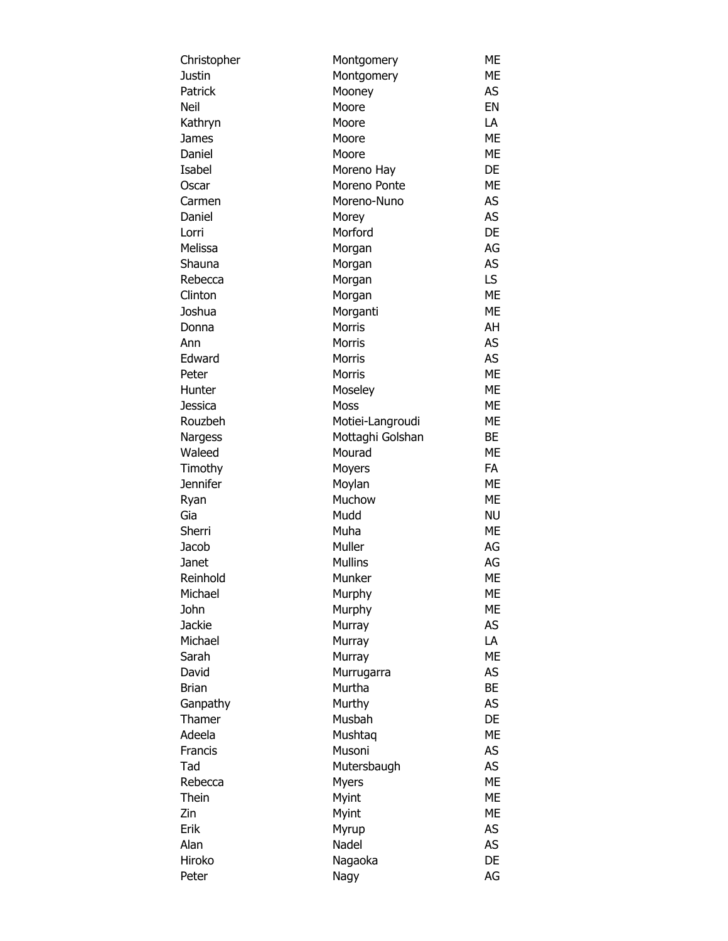| Christopher       | Montgomery       | ME        |
|-------------------|------------------|-----------|
| Justin            | Montgomery       | ME        |
| Patrick           | Mooney           | AS        |
| Neil              | Moore            | EN        |
| Kathryn           | Moore            | LA        |
| James             | Moore            | <b>ME</b> |
| Daniel            | Moore            | <b>ME</b> |
| Isabel            | Moreno Hay       | DE        |
| Oscar             | Moreno Ponte     | <b>ME</b> |
| Carmen            | Moreno-Nuno      | AS        |
| Daniel            | Morey            | AS        |
| Lorri             | Morford          | DE        |
| Melissa           | Morgan           | AG        |
| Shauna            | Morgan           | AS        |
| Rebecca           | Morgan           | LS.       |
| Clinton           | Morgan           | <b>ME</b> |
| Joshua            | Morganti         | <b>ME</b> |
| Donna             | <b>Morris</b>    | AH        |
| Ann               | Morris           | AS        |
| Edward            | <b>Morris</b>    | AS        |
| Peter             | Morris           | <b>ME</b> |
| Hunter            | Moseley          | МE        |
| Jessica           | Moss             | МE        |
| Rouzbeh           |                  | <b>ME</b> |
|                   | Motiei-Langroudi | BE        |
| Nargess<br>Waleed | Mottaghi Golshan | <b>ME</b> |
|                   | Mourad           | <b>FA</b> |
| Timothy           | Moyers           |           |
| Jennifer          | Moylan           | <b>ME</b> |
| Ryan              | Muchow           | <b>ME</b> |
| Gia               | Mudd             | <b>NU</b> |
| Sherri            | Muha             | ME        |
| Jacob             | Muller           | AG        |
| Janet             | <b>Mullins</b>   | AG        |
| Reinhold          | Munker           | <b>ME</b> |
| Michael           | Murphy           | МE        |
| John              | Murphy           | ME        |
| Jackie            | Murray           | AS        |
| Michael           | Murray           | LA        |
| Sarah             | Murray           | <b>ME</b> |
| David             | Murrugarra       | <b>AS</b> |
| <b>Brian</b>      | Murtha           | <b>BE</b> |
| Ganpathy          | Murthy           | AS        |
| Thamer            | Musbah           | DE        |
| Adeela            | Mushtaq          | <b>ME</b> |
| Francis           | Musoni           | AS        |
| Tad               | Mutersbaugh      | AS        |
| Rebecca           | <b>Myers</b>     | ME        |
| Thein             | Myint            | ME        |
| Zin               | Myint            | <b>ME</b> |
| Erik              | Myrup            | AS        |
| Alan              | Nadel            | AS        |
| Hiroko            | Nagaoka          | DE        |
| Peter             | Nagy             | AG        |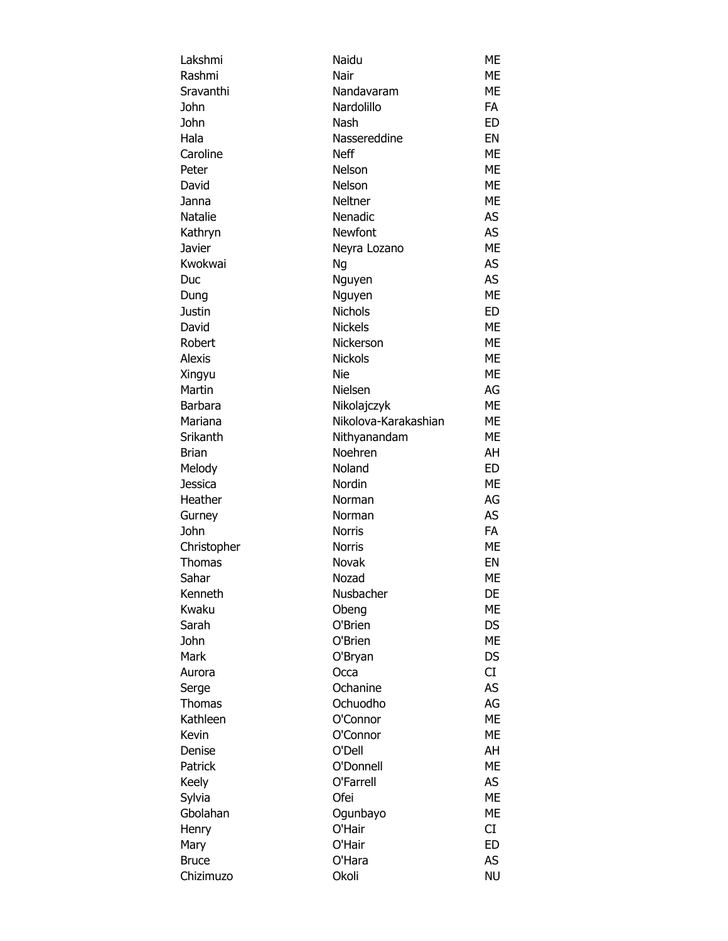| Lakshmi                      | Naidu                | ME        |
|------------------------------|----------------------|-----------|
| Rashmi                       | Nair                 | ME        |
| Sravanthi                    | Nandavaram           | ME        |
| John                         | Nardolillo           | <b>FA</b> |
| John                         | Nash                 | <b>ED</b> |
| Hala                         | Nassereddine         | EN        |
| Caroline                     | <b>Neff</b>          | ME        |
| Peter                        | Nelson               | ME        |
| David                        | Nelson               | ME        |
| Janna                        | Neltner              | ME        |
| Natalie                      | Nenadic              | AS        |
| Kathryn                      | Newfont              | AS        |
| Javier                       | Neyra Lozano         | <b>ME</b> |
| Kwokwai                      | Ng                   | AS        |
| Duc                          | Nguyen               | AS        |
| Dung                         | Nguyen               | <b>ME</b> |
| Justin                       | <b>Nichols</b>       | ED        |
| David                        | <b>Nickels</b>       | <b>ME</b> |
| Robert                       | Nickerson            | <b>ME</b> |
| <b>Alexis</b>                | <b>Nickols</b>       | ME        |
| Xingyu                       | Nie                  | ME        |
| Martin                       | Nielsen              | AG        |
| Barbara                      | Nikolajczyk          | ME        |
| Mariana                      | Nikolova-Karakashian | ME        |
| Srikanth                     | Nithyanandam         | ME        |
| Brian                        | Noehren              | AH        |
| Melody                       | Noland               | ED        |
| Jessica                      | Nordin               | ME        |
| Heather                      | Norman               | AG        |
| Gurney                       | Norman               | AS        |
| John                         | <b>Norris</b>        | <b>FA</b> |
|                              | <b>Norris</b>        | ME        |
| Christopher<br><b>Thomas</b> | Novak                | EN        |
| Sahar                        |                      | ME        |
| Kenneth                      | Nozad<br>Nusbacher   | DE        |
| Kwaku                        |                      | ME        |
| Sarah                        | Obeng                |           |
|                              | O'Brien              | DS        |
| John                         | O'Brien              | <b>ME</b> |
| Mark                         | O'Bryan              | <b>DS</b> |
| Aurora                       | Occa                 | CI        |
| Serge                        | Ochanine             | AS        |
| Thomas                       | Ochuodho             | AG        |
| Kathleen                     | O'Connor             | <b>ME</b> |
| Kevin                        | O'Connor             | ME        |
| Denise                       | O'Dell               | AH        |
| Patrick                      | O'Donnell            | ME        |
| Keely                        | O'Farrell            | AS        |
| Sylvia                       | Ofei                 | <b>ME</b> |
| Gbolahan                     | Ogunbayo             | ME        |
| Henry                        | O'Hair               | CI        |
| Mary                         | O'Hair               | <b>ED</b> |
| <b>Bruce</b>                 | O'Hara               | AS        |
| Chizimuzo                    | Okoli                | <b>NU</b> |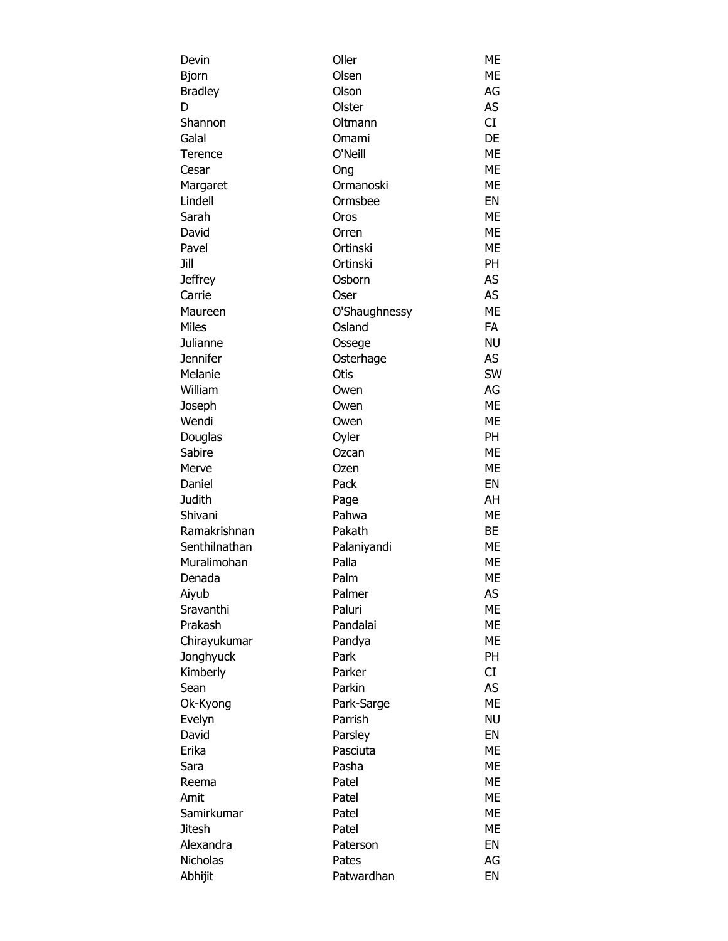| Devin           | Oller         | ME        |
|-----------------|---------------|-----------|
| <b>Bjorn</b>    | Olsen         | МE        |
| <b>Bradley</b>  | Olson         | AG        |
| D               | Olster        | AS        |
| Shannon         | Oltmann       | CI        |
| Galal           | Omami         | DE        |
| Terence         | O'Neill       | МE        |
| Cesar           | Ong           | ME        |
| Margaret        | Ormanoski     | ME        |
| Lindell         | Ormsbee       | EN        |
| Sarah           | Oros          | ME        |
| David           | Orren         | МE        |
| Pavel           | Ortinski      | МE        |
| Jill            | Ortinski      | PH        |
|                 |               |           |
| <b>Jeffrey</b>  | Osborn        | AS        |
| Carrie          | Oser          | AS        |
| Maureen         | O'Shaughnessy | ME        |
| <b>Miles</b>    | Osland        | <b>FA</b> |
| Julianne        | Ossege        | <b>NU</b> |
| <b>Jennifer</b> | Osterhage     | AS        |
| Melanie         | Otis          | SW        |
| William         | Owen          | AG        |
| Joseph          | Owen          | ME        |
| Wendi           | Owen          | ME        |
| Douglas         | Oyler         | <b>PH</b> |
| Sabire          | Ozcan         | ME        |
| Merve           | Ozen          | МE        |
| Daniel          | Pack          | EN        |
| <b>Judith</b>   | Page          | AH        |
| Shivani         | Pahwa         | ME        |
| Ramakrishnan    | Pakath        | BE        |
| Senthilnathan   | Palaniyandi   | МE        |
| Muralimohan     | Palla         | ME        |
| Denada          | Palm          | ME        |
| Aiyub           | Palmer        | AS        |
| Sravanthi       | Paluri        | ME        |
| Prakash         | Pandalai      | ME        |
| Chirayukumar    | Pandya        | ME        |
| Jonghyuck       | Park          | <b>PH</b> |
| Kimberly        | Parker        | CI        |
| Sean            | Parkin        | AS        |
|                 |               | <b>ME</b> |
| Ok-Kyong        | Park-Sarge    |           |
| Evelyn          | Parrish       | <b>NU</b> |
| David           | Parsley       | EN        |
| Erika           | Pasciuta      | ME        |
| Sara            | Pasha         | ME        |
| Reema           | Patel         | МE        |
| Amit            | Patel         | ME        |
| Samirkumar      | Patel         | ME        |
| <b>Jitesh</b>   | Patel         | ME        |
| Alexandra       | Paterson      | EN        |
| <b>Nicholas</b> | Pates         | AG        |
| Abhijit         | Patwardhan    | EN        |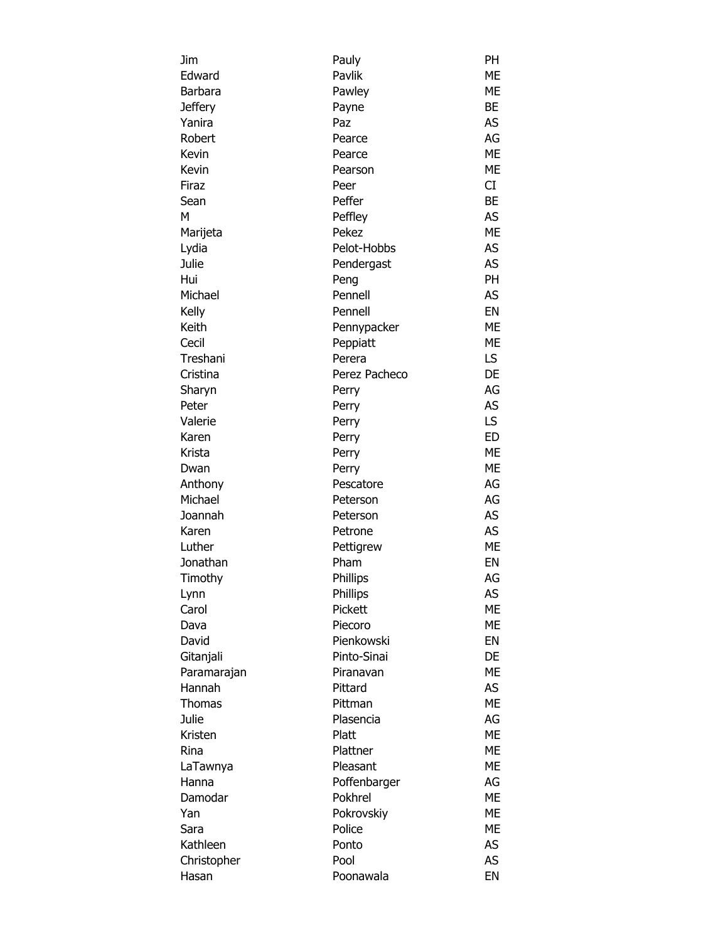| Jim           | Pauly         | PH        |
|---------------|---------------|-----------|
| Edward        | Pavlik        | ME        |
| Barbara       | Pawley        | ME        |
| Jeffery       | Payne         | BE        |
| Yanira        | Paz           | AS        |
| Robert        | Pearce        | AG        |
| Kevin         | Pearce        | <b>ME</b> |
| Kevin         | Pearson       | <b>ME</b> |
| Firaz         | Peer          | CI        |
| Sean          | Peffer        | <b>BE</b> |
| м             | Peffley       | AS        |
| Marijeta      | Pekez         | <b>ME</b> |
| Lydia         | Pelot-Hobbs   | AS        |
| Julie         | Pendergast    | AS        |
| Hui           | Peng          | <b>PH</b> |
| Michael       | Pennell       | AS        |
| Kelly         | Pennell       | EN        |
| Keith         | Pennypacker   | <b>ME</b> |
| Cecil         | Peppiatt      | <b>ME</b> |
| Treshani      | Perera        | LS        |
| Cristina      | Perez Pacheco | DE        |
| Sharyn        | Perry         | AG        |
| Peter         | Perry         | AS        |
| Valerie       | Perry         | LS.       |
| Karen         | Perry         | <b>ED</b> |
| Krista        | Perry         | <b>ME</b> |
| Dwan          | Perry         | <b>ME</b> |
| Anthony       | Pescatore     | AG        |
| Michael       | Peterson      | AG        |
| Joannah       | Peterson      | AS        |
| Karen         | Petrone       | AS        |
| Luther        | Pettigrew     | <b>ME</b> |
| Jonathan      | Pham          | EN        |
| Timothy       | Phillips      | AG        |
| Lynn          | Phillips      | AS        |
| Carol         | Pickett       | ME        |
| Dava          | Piecoro       | ME        |
| David         | Pienkowski    | EN        |
| Gitanjali     | Pinto-Sinai   | DE        |
| Paramarajan   | Piranavan     | <b>ME</b> |
| Hannah        | Pittard       | AS        |
| <b>Thomas</b> | Pittman       | <b>ME</b> |
| Julie         | Plasencia     | AG        |
| Kristen       | Platt         | <b>ME</b> |
| Rina          | Plattner      | ME        |
| LaTawnya      | Pleasant      | ME        |
| Hanna         | Poffenbarger  | AG        |
| Damodar       | Pokhrel       | ME        |
| Yan           | Pokrovskiy    | ME        |
| Sara          | Police        | <b>ME</b> |
| Kathleen      | Ponto         | AS        |
| Christopher   | Pool          | AS        |
| Hasan         | Poonawala     | EN        |
|               |               |           |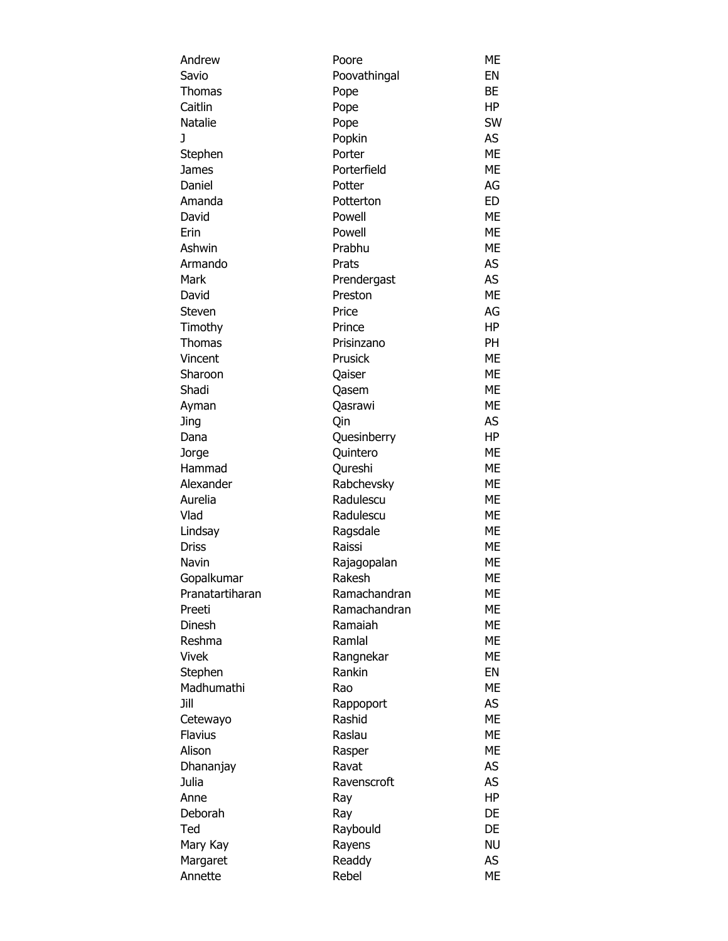| Andrew          | Poore        | МE        |
|-----------------|--------------|-----------|
| Savio           | Poovathingal | EN        |
| <b>Thomas</b>   | Pope         | BE        |
| Caitlin         | Pope         | HP        |
| Natalie         | Pope         | SW        |
| J               | Popkin       | AS        |
| Stephen         | Porter       | <b>ME</b> |
| James           | Porterfield  | <b>ME</b> |
| Daniel          | Potter       | AG        |
| Amanda          | Potterton    | <b>ED</b> |
| David           | Powell       | ME        |
| Erin            | Powell       | ME        |
| Ashwin          | Prabhu       | ME        |
| Armando         | Prats        | AS        |
| Mark            | Prendergast  | AS        |
| David           | Preston      | <b>ME</b> |
| Steven          | Price        | AG        |
| Timothy         | Prince       | HP        |
| <b>Thomas</b>   | Prisinzano   | <b>PH</b> |
| Vincent         | Prusick      | ME        |
| Sharoon         | Qaiser       | <b>ME</b> |
| Shadi           | Qasem        | ME        |
| Ayman           | Qasrawi      | ME        |
| Jing            | Qin          | AS        |
| Dana            | Quesinberry  | HP        |
| Jorge           | Quintero     | ME        |
| Hammad          | Qureshi      | ME        |
| Alexander       | Rabchevsky   | <b>ME</b> |
| Aurelia         | Radulescu    | ME        |
| Vlad            |              | ME        |
|                 | Radulescu    |           |
| Lindsay         | Ragsdale     | ME        |
| <b>Driss</b>    | Raissi       | ME        |
| Navin           | Rajagopalan  | МE        |
| Gopalkumar      | Rakesh       | ME        |
| Pranatartiharan | Ramachandran | МE        |
| Preeti          | Ramachandran | МE        |
| Dinesh          | Ramaiah      | ME        |
| Reshma          | Ramlal       | МE        |
| Vivek           | Rangnekar    | МE        |
| Stephen         | Rankin       | EN        |
| Madhumathi      | Rao          | ME        |
| Jill            | Rappoport    | AS        |
| Cetewayo        | Rashid       | <b>ME</b> |
| <b>Flavius</b>  | Raslau       | ME        |
| Alison          | Rasper       | <b>ME</b> |
| Dhananjay       | Ravat        | AS        |
| Julia           | Ravenscroft  | AS        |
| Anne            | Ray          | HP        |
| Deborah         | Ray          | DE        |
| Ted             | Raybould     | DE        |
| Mary Kay        | Rayens       | <b>NU</b> |
| Margaret        | Readdy       | AS        |
| Annette         | Rebel        | МE        |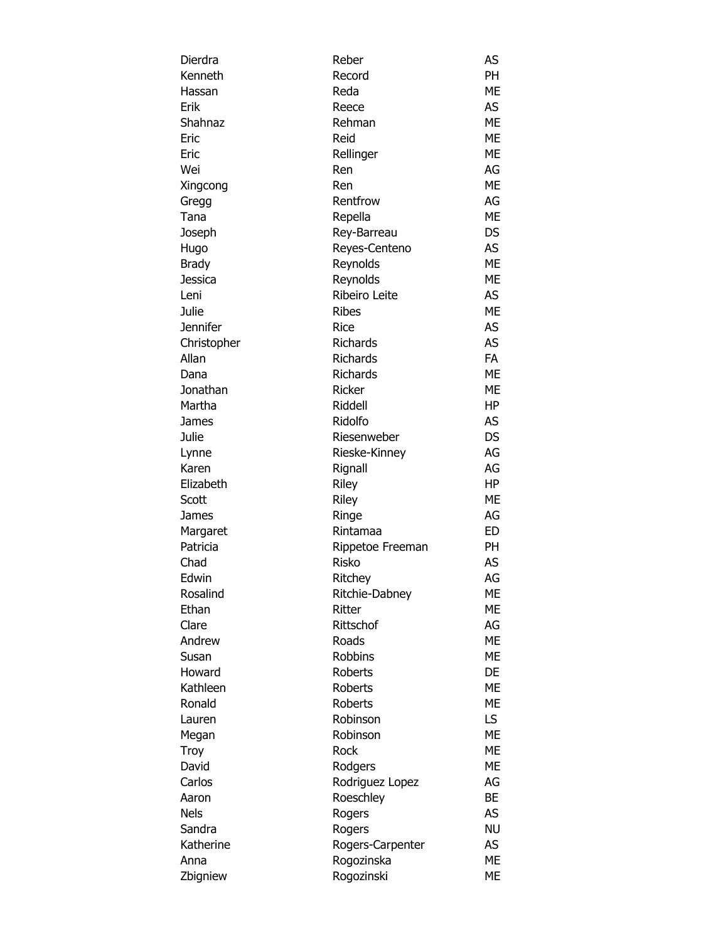| Dierdra     | Reber            | AS        |
|-------------|------------------|-----------|
| Kenneth     | Record           | <b>PH</b> |
| Hassan      | Reda             | ME        |
| Erik        | Reece            | AS        |
| Shahnaz     | Rehman           | ME        |
| Eric        | Reid             | <b>ME</b> |
| Eric        | Rellinger        | ME        |
| Wei         | Ren              | AG        |
| Xingcong    | Ren              | ME        |
| Gregg       | Rentfrow         | AG        |
| Tana        | Repella          | <b>ME</b> |
| Joseph      | Rey-Barreau      | <b>DS</b> |
| Hugo        | Reyes-Centeno    | AS        |
| Brady       | Reynolds         | <b>ME</b> |
| Jessica     | Reynolds         | <b>ME</b> |
| Leni        | Ribeiro Leite    | AS        |
| Julie       | <b>Ribes</b>     | ME        |
| Jennifer    | <b>Rice</b>      | AS        |
| Christopher | <b>Richards</b>  | AS        |
| Allan       | <b>Richards</b>  | <b>FA</b> |
| Dana        | <b>Richards</b>  | ME        |
| Jonathan    | <b>Ricker</b>    | ME        |
| Martha      | Riddell          | HP        |
| James       | Ridolfo          | AS        |
| Julie       | Riesenweber      | <b>DS</b> |
| Lynne       | Rieske-Kinney    | AG        |
| Karen       | Rignall          | AG        |
| Elizabeth   | Riley            | HP        |
| Scott       | Riley            | ME        |
| James       | Ringe            | AG        |
| Margaret    | Rintamaa         | ED        |
| Patricia    | Rippetoe Freeman | PH.       |
| Chad        | <b>Risko</b>     | AS        |
| Edwin       | Ritchey          | AG        |
| Rosalind    | Ritchie-Dabney   | ME        |
| Ethan       | Ritter           | ME        |
| Clare       | Rittschof        | AG        |
| Andrew      | Roads            | <b>ME</b> |
| Susan       | <b>Robbins</b>   | <b>ME</b> |
| Howard      | <b>Roberts</b>   | DE        |
| Kathleen    | <b>Roberts</b>   | ME        |
| Ronald      | Roberts          | МE        |
| Lauren      | Robinson         | LS.       |
| Megan       | Robinson         | ME        |
| Troy        | <b>Rock</b>      | <b>ME</b> |
| David       | Rodgers          | <b>ME</b> |
| Carlos      | Rodriguez Lopez  | AG        |
| Aaron       | Roeschley        | <b>BE</b> |
| <b>Nels</b> | Rogers           | AS        |
| Sandra      | Rogers           | <b>NU</b> |
| Katherine   | Rogers-Carpenter | AS        |
| Anna        | Rogozinska       | <b>ME</b> |
| Zbigniew    | Rogozinski       | МE        |
|             |                  |           |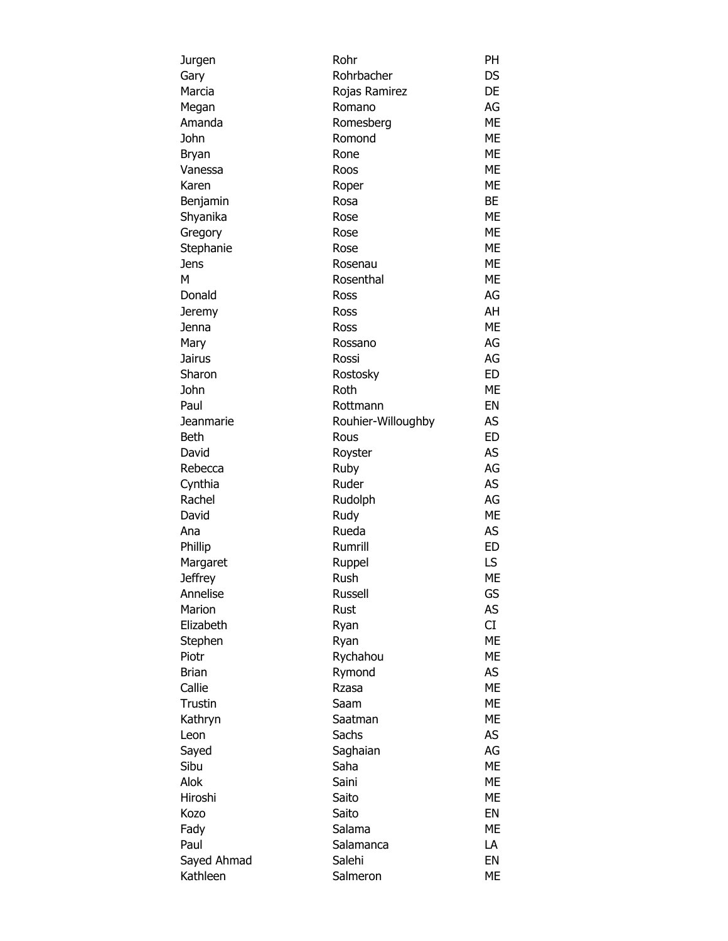| Jurgen         | Rohr               | PH        |
|----------------|--------------------|-----------|
| Gary           | Rohrbacher         | DS        |
| Marcia         | Rojas Ramirez      | DE        |
| Megan          | Romano             | AG        |
| Amanda         | Romesberg          | ME        |
| John           | Romond             | ME        |
| <b>Bryan</b>   | Rone               | ME        |
| Vanessa        | Roos               | ME        |
| Karen          | Roper              | ME        |
| Benjamin       | Rosa               | <b>BE</b> |
| Shyanika       | Rose               | ME        |
| Gregory        | Rose               | ME        |
| Stephanie      | Rose               | <b>ME</b> |
|                |                    | ME        |
| Jens           | Rosenau            |           |
| М              | Rosenthal          | ME        |
| Donald         | Ross               | AG        |
| Jeremy         | Ross               | AH        |
| Jenna          | Ross               | <b>ME</b> |
| Mary           | Rossano            | AG        |
| Jairus         | Rossi              | AG        |
| Sharon         | Rostosky           | <b>ED</b> |
| John           | Roth               | <b>ME</b> |
| Paul           | Rottmann           | EN        |
| Jeanmarie      | Rouhier-Willoughby | AS        |
| Beth           | Rous               | <b>ED</b> |
| David          | Royster            | AS        |
| Rebecca        | Ruby               | AG        |
| Cynthia        | Ruder              | AS        |
| Rachel         | Rudolph            | AG        |
| David          | Rudy               | ME        |
| Ana            | Rueda              | <b>AS</b> |
| Phillip        | Rumrill            | <b>ED</b> |
| Margaret       | Ruppel             | LS        |
| <b>Jeffrey</b> | Rush               | <b>ME</b> |
| Annelise       | <b>Russell</b>     | GS        |
| Marion         | Rust               | AS        |
| Elizabeth      | Ryan               | CI        |
| Stephen        | Ryan               | <b>ME</b> |
| Piotr          | Rychahou           | ME        |
| <b>Brian</b>   | Rymond             | AS        |
| Callie         | Rzasa              | <b>ME</b> |
| Trustin        | Saam               | ME        |
| Kathryn        | Saatman            | ME        |
|                | Sachs              | AS        |
| Leon           |                    |           |
| Sayed          | Saghaian           | AG        |
| Sibu           | Saha               | ME        |
| Alok           | Saini              | ME        |
| Hiroshi        | Saito              | ME        |
| Kozo           | Saito              | EN        |
| Fady           | Salama             | ME        |
| Paul           | Salamanca          | LA        |
| Sayed Ahmad    | Salehi             | EN        |
| Kathleen       | Salmeron           | МE        |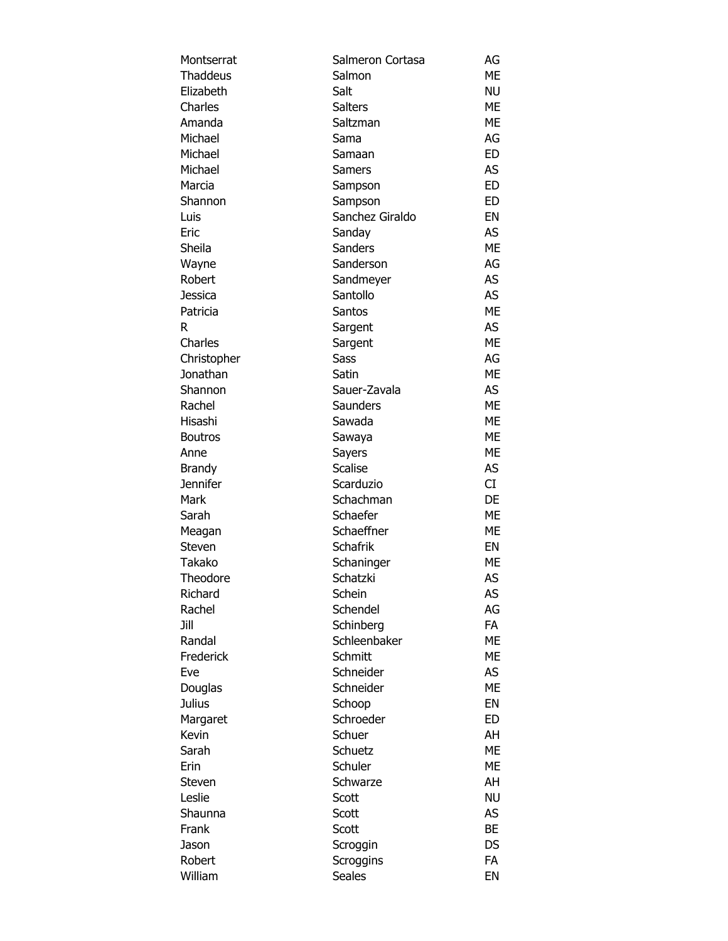| Montserrat      | Salmeron Cortasa | AG        |
|-----------------|------------------|-----------|
| <b>Thaddeus</b> | Salmon           | ME        |
| Elizabeth       | Salt             | <b>NU</b> |
| Charles         | <b>Salters</b>   | ME        |
| Amanda          | Saltzman         | <b>ME</b> |
| Michael         | Sama             | AG        |
| Michael         | Samaan           | <b>ED</b> |
| Michael         | <b>Samers</b>    | AS        |
| Marcia          | Sampson          | ED        |
| Shannon         | Sampson          | ED        |
| Luis            | Sanchez Giraldo  | EN        |
| Eric            | Sanday           | AS        |
| Sheila          | Sanders          | <b>ME</b> |
| Wayne           | Sanderson        | AG        |
| Robert          | Sandmeyer        | AS        |
| Jessica         | Santollo         | AS        |
| Patricia        | <b>Santos</b>    | ME        |
| R               | Sargent          | AS        |
| Charles         | Sargent          | <b>ME</b> |
| Christopher     | Sass             | AG        |
| Jonathan        | Satin            | <b>ME</b> |
| Shannon         | Sauer-Zavala     | AS        |
| Rachel          | Saunders         | <b>ME</b> |
| Hisashi         | Sawada           | ME        |
| <b>Boutros</b>  | Sawaya           | <b>ME</b> |
| Anne            | Sayers           | <b>ME</b> |
| Brandy          | <b>Scalise</b>   | AS        |
| Jennifer        | Scarduzio        | CI        |
| Mark            | Schachman        | DE        |
| Sarah           | Schaefer         | ME        |
| Meagan          | Schaeffner       | <b>ME</b> |
| Steven          | <b>Schafrik</b>  | EN        |
| Takako          | Schaninger       | ME        |
| Theodore        | Schatzki         | <b>AS</b> |
| Richard         | Schein           | AS        |
| Rachel          | Schendel         | AG        |
| Jill            | Schinberg        | <b>FA</b> |
| Randal          | Schleenbaker     | <b>ME</b> |
| Frederick       | Schmitt          | ME        |
| Eve             | Schneider        | AS        |
| Douglas         | Schneider        | <b>ME</b> |
| Julius          | Schoop           | EN        |
| Margaret        | Schroeder        | ED        |
| Kevin           | Schuer           | AH        |
| Sarah           | Schuetz          | <b>ME</b> |
| Erin            | Schuler          | <b>ME</b> |
| Steven          | Schwarze         | AH        |
| Leslie          | Scott            | <b>NU</b> |
| Shaunna         | Scott            | AS        |
| Frank           | Scott            | <b>BE</b> |
| Jason           | Scroggin         | DS        |
| Robert          | Scroggins        | <b>FA</b> |
| William         | Seales           | EN        |
|                 |                  |           |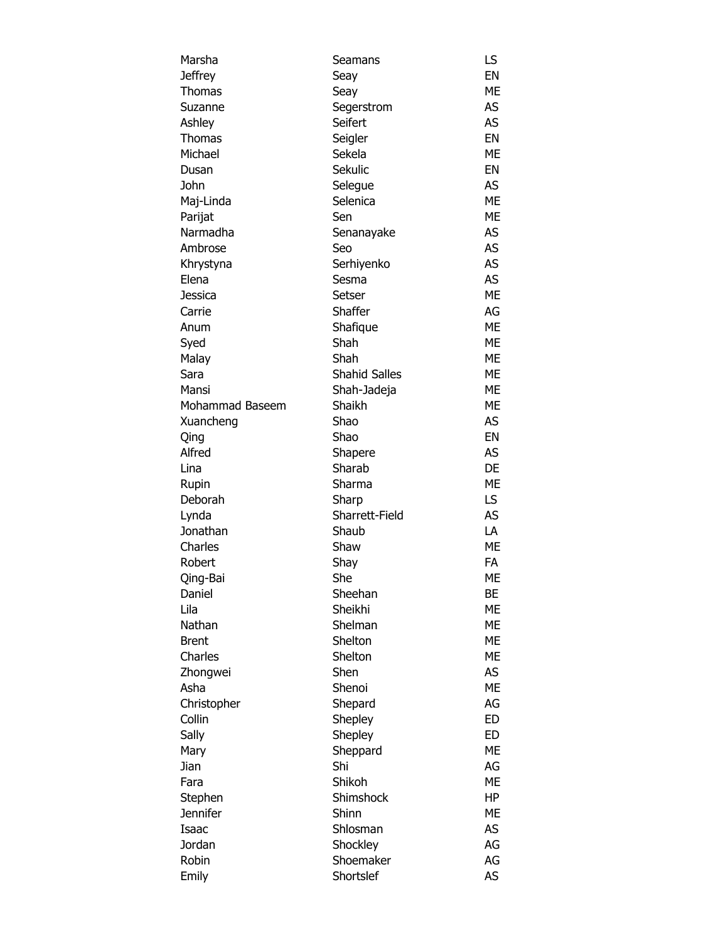| Marsha          | Seamans              | LS        |
|-----------------|----------------------|-----------|
| <b>Jeffrey</b>  | Seay                 | EN        |
| Thomas          | Seay                 | ME        |
| Suzanne         | Segerstrom           | AS        |
| Ashley          | Seifert              | <b>AS</b> |
| <b>Thomas</b>   | Seigler              | EN        |
| Michael         | Sekela               | ME        |
| Dusan           | Sekulic              | EN        |
| John            | Selegue              | AS        |
| Maj-Linda       | Selenica             | <b>ME</b> |
| Parijat         | Sen                  | <b>ME</b> |
| Narmadha        | Senanayake           | AS        |
| Ambrose         | Seo                  | AS        |
|                 |                      | AS        |
| Khrystyna       | Serhiyenko           |           |
| Elena           | Sesma                | AS        |
| Jessica         | Setser               | <b>ME</b> |
| Carrie          | Shaffer              | AG        |
| Anum            | Shafique             | <b>ME</b> |
| Syed            | Shah                 | <b>ME</b> |
| Malay           | Shah                 | ME        |
| Sara            | <b>Shahid Salles</b> | ME        |
| Mansi           | Shah-Jadeja          | ME        |
| Mohammad Baseem | Shaikh               | ME        |
| Xuancheng       | Shao                 | AS        |
| Qing            | Shao                 | EN        |
| Alfred          | Shapere              | AS        |
| Lina            | Sharab               | DE        |
| Rupin           | Sharma               | <b>ME</b> |
| Deborah         | Sharp                | LS.       |
| Lynda           | Sharrett-Field       | AS        |
| Jonathan        | Shaub                | LA        |
| Charles         | Shaw                 | ME        |
| Robert          | Shay                 | FA        |
| Qing-Bai        | She                  | ME        |
| Daniel          | Sheehan              | BЕ        |
| Lila            | Sheikhi              | ME        |
| Nathan          | Shelman              | МE        |
| <b>Brent</b>    | Shelton              | <b>ME</b> |
| Charles         | Shelton              | ME        |
| Zhongwei        | Shen                 | AS        |
| Asha            | Shenoi               | <b>ME</b> |
|                 |                      |           |
| Christopher     | Shepard              | AG        |
| Collin          | Shepley              | ED        |
| Sally           | Shepley              | ED        |
| Mary            | Sheppard             | <b>ME</b> |
| Jian            | Shi                  | AG        |
| Fara            | Shikoh               | МE        |
| Stephen         | Shimshock            | HP        |
| <b>Jennifer</b> | Shinn                | ME        |
| Isaac           | Shlosman             | AS        |
| Jordan          | Shockley             | AG        |
| Robin           | Shoemaker            | AG        |
| Emily           | Shortslef            | AS        |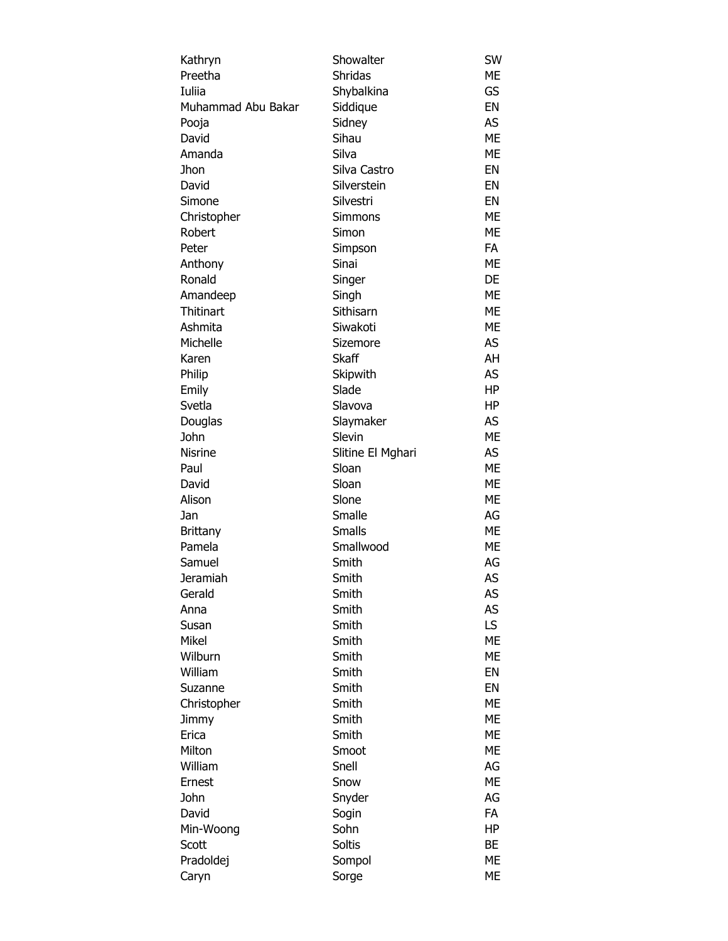| Kathryn            | Showalter                  | SW        |
|--------------------|----------------------------|-----------|
| Preetha            | Shridas                    | МE        |
| Iuliia             | Shybalkina                 | GS        |
| Muhammad Abu Bakar | Siddique                   | EN        |
| Pooja              | Sidney                     | AS        |
| David              | Sihau                      | <b>ME</b> |
| Amanda             | Silva                      | ME        |
| Jhon               | Silva Castro               | EN        |
| David              | Silverstein                | EN        |
| Simone             | Silvestri                  | EN        |
| Christopher        | Simmons                    | <b>ME</b> |
| Robert             | Simon                      | <b>ME</b> |
| Peter              | Simpson                    | FA        |
| Anthony            | Sinai                      | ME        |
| Ronald             | Singer                     | DE        |
| Amandeep           | Singh                      | ME        |
| <b>Thitinart</b>   | Sithisarn                  | ME        |
| Ashmita            | Siwakoti                   | ME        |
| Michelle           | Sizemore                   | AS        |
| Karen              | <b>Skaff</b>               | AH        |
| Philip             | Skipwith                   | AS        |
| Emily              | Slade                      | HP        |
| Svetla             | Slavova                    | HP        |
| Douglas            | Slaymaker                  | AS        |
| John               | Slevin                     | ME        |
| <b>Nisrine</b>     |                            | AS        |
| Paul               | Slitine El Mghari<br>Sloan | <b>ME</b> |
|                    |                            |           |
| David              | Sloan                      | ME        |
| Alison             | Slone                      | ME        |
| Jan                | Smalle                     | AG        |
| Brittany           | <b>Smalls</b>              | ME        |
| Pamela             | Smallwood                  | <b>ME</b> |
| Samuel             | Smith                      | AG        |
| Jeramiah           | Smith                      | AS        |
| Gerald             | Smith                      | AS        |
| Anna               | Smith                      | AS        |
| Susan              | Smith                      | LS        |
| Mikel              | Smith                      | МE        |
| Wilburn            | Smith                      | ME        |
| William            | Smith                      | EN        |
| Suzanne            | Smith                      | EN        |
| Christopher        | Smith                      | ME        |
| Jimmy              | Smith                      | МE        |
| Erica              | Smith                      | МE        |
| Milton             | Smoot                      | МE        |
| William            | Snell                      | AG        |
| Ernest             | Snow                       | ME        |
| John               | Snyder                     | AG        |
| David              | Sogin                      | FA        |
| Min-Woong          | Sohn                       | ΗP        |
| Scott              | Soltis                     | ВE        |
| Pradoldej          | Sompol                     | МE        |
| Caryn              | Sorge                      | МE        |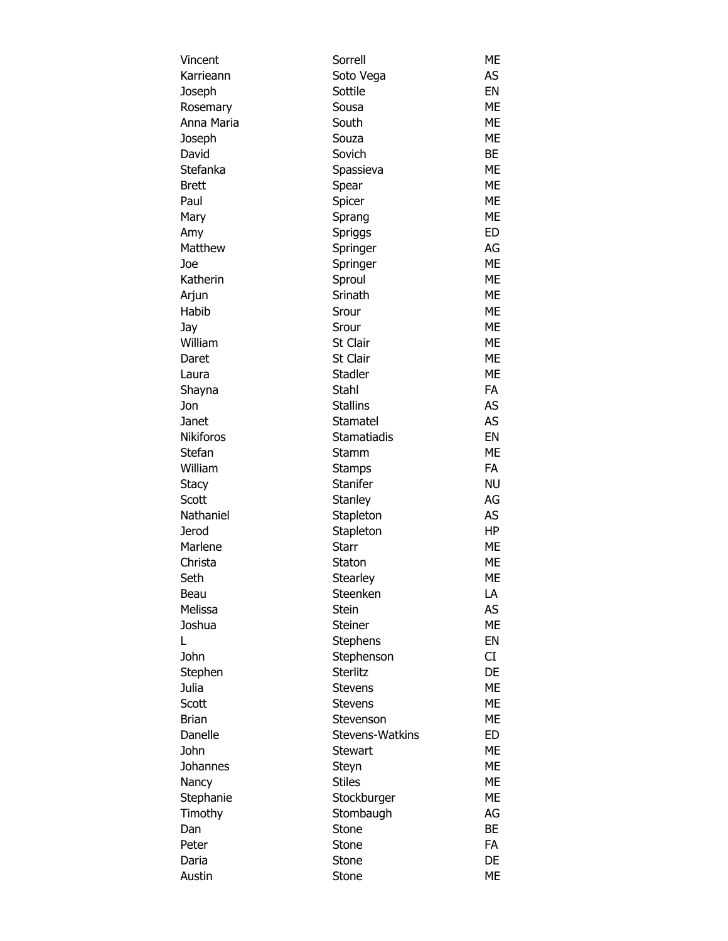| Vincent          | Sorrell         | ME        |
|------------------|-----------------|-----------|
| Karrieann        | Soto Vega       | AS        |
| Joseph           | Sottile         | EN        |
| Rosemary         | Sousa           | <b>ME</b> |
| Anna Maria       | South           | <b>ME</b> |
| Joseph           | Souza           | <b>ME</b> |
| David            | Sovich          | BE        |
| Stefanka         | Spassieva       | ME        |
| Brett            | Spear           | <b>ME</b> |
| Paul             | Spicer          | <b>ME</b> |
| Mary             | Sprang          | ME        |
| Amy              | Spriggs         | ED        |
| Matthew          | Springer        | AG        |
| Joe              | Springer        | <b>ME</b> |
| Katherin         | Sproul          | <b>ME</b> |
| Arjun            | Srinath         | <b>ME</b> |
| Habib            | Srour           | <b>ME</b> |
| Jay              | Srour           | ME        |
| William          | St Clair        | <b>ME</b> |
| Daret            | St Clair        | <b>ME</b> |
| Laura            | <b>Stadler</b>  | <b>ME</b> |
| Shayna           | Stahl           | FA        |
| Jon              | <b>Stallins</b> | AS.       |
| Janet            | Stamatel        | AS        |
| <b>Nikiforos</b> | Stamatiadis     | EN        |
| Stefan           | Stamm           | <b>ME</b> |
| William          | <b>Stamps</b>   | FA        |
| Stacy            | Stanifer        | <b>NU</b> |
| Scott            | Stanley         | AG        |
| Nathaniel        | Stapleton       | AS        |
| Jerod            | Stapleton       | HP        |
| Marlene          | <b>Starr</b>    | ME        |
| Christa          | Staton          | ME        |
| Seth             | <b>Stearley</b> | ME        |
| Beau             | Steenken        | LA        |
| Melissa          | <b>Stein</b>    | AS        |
| Joshua           | Steiner         | <b>ME</b> |
| L                | <b>Stephens</b> | EN        |
| John             | Stephenson      | CI        |
| Stephen          | <b>Sterlitz</b> | DE        |
| Julia            | <b>Stevens</b>  | <b>ME</b> |
| Scott            | <b>Stevens</b>  | <b>ME</b> |
| <b>Brian</b>     | Stevenson       | МE        |
| Danelle          | Stevens-Watkins | ED        |
| John             | <b>Stewart</b>  | <b>ME</b> |
| Johannes         | Steyn           | ME        |
| Nancy            | <b>Stiles</b>   | ME        |
| Stephanie        |                 | ME        |
|                  | Stockburger     | AG        |
| Timothy<br>Dan   | Stombaugh       | <b>BE</b> |
|                  | Stone           |           |
| Peter            | Stone           | FA        |
| Daria            | Stone           | DE        |
| Austin           | Stone           | ME        |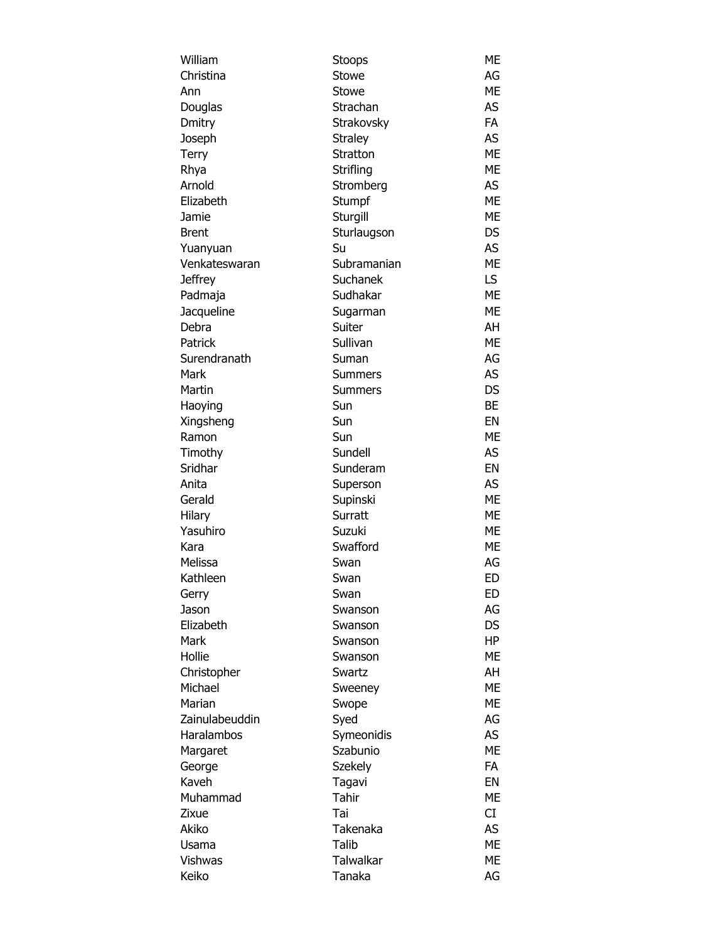| William        | Stoops         | ME        |
|----------------|----------------|-----------|
| Christina      | Stowe          | AG        |
| Ann            | Stowe          | <b>ME</b> |
| Douglas        | Strachan       | AS        |
| Dmitry         | Strakovsky     | <b>FA</b> |
| Joseph         | <b>Straley</b> | AS        |
| <b>Terry</b>   | Stratton       | <b>ME</b> |
| Rhya           | Strifling      | <b>ME</b> |
| Arnold         | Stromberg      | AS        |
| Elizabeth      | Stumpf         | <b>ME</b> |
| Jamie          | Sturgill       | <b>ME</b> |
| <b>Brent</b>   | Sturlaugson    | DS.       |
| Yuanyuan       | Su             | AS        |
| Venkateswaran  | Subramanian    | <b>ME</b> |
| <b>Jeffrey</b> | Suchanek       | LS.       |
| Padmaja        | Sudhakar       | ME        |
| Jacqueline     | Sugarman       | ME        |
| Debra          | Suiter         | AH        |
| Patrick        | Sullivan       | <b>ME</b> |
| Surendranath   | Suman          | AG        |
| Mark           | Summers        | AS        |
| Martin         | <b>Summers</b> | <b>DS</b> |
| Haoying        | Sun            | <b>BE</b> |
| Xingsheng      | Sun            | <b>EN</b> |
| Ramon          | Sun            | <b>ME</b> |
| Timothy        | Sundell        | AS        |
| Sridhar        | Sunderam       | EN        |
| Anita          | Superson       | AS        |
| Gerald         | Supinski       | <b>ME</b> |
| Hilary         | Surratt        | ME        |
| Yasuhiro       | Suzuki         | ME        |
| Kara           | Swafford       | ME        |
| Melissa        | Swan           | AG        |
| Kathleen       | Swan           | FD.       |
| Gerry          | Swan           | ED        |
| Jason          | Swanson        | AG        |
| Elizabeth      | Swanson        | DS        |
| Mark           | Swanson        | HP        |
| Hollie         | Swanson        | ME        |
| Christopher    | Swartz         | AH        |
| Michael        | Sweeney        | ME        |
| Marian         | Swope          | МE        |
| Zainulabeuddin | Syed           | AG        |
| Haralambos     | Symeonidis     | AS        |
| Margaret       | Szabunio       | ME        |
| George         | <b>Szekely</b> | FA        |
| Kaveh          | Tagavi         | EN        |
| Muhammad       | Tahir          | ME        |
| Zixue          | Tai            | CI        |
| Akiko          | Takenaka       | AS        |
| Usama          | Talib          | ME        |
| Vishwas        | Talwalkar      | МE        |
| Keiko          | Tanaka         | AG        |
|                |                |           |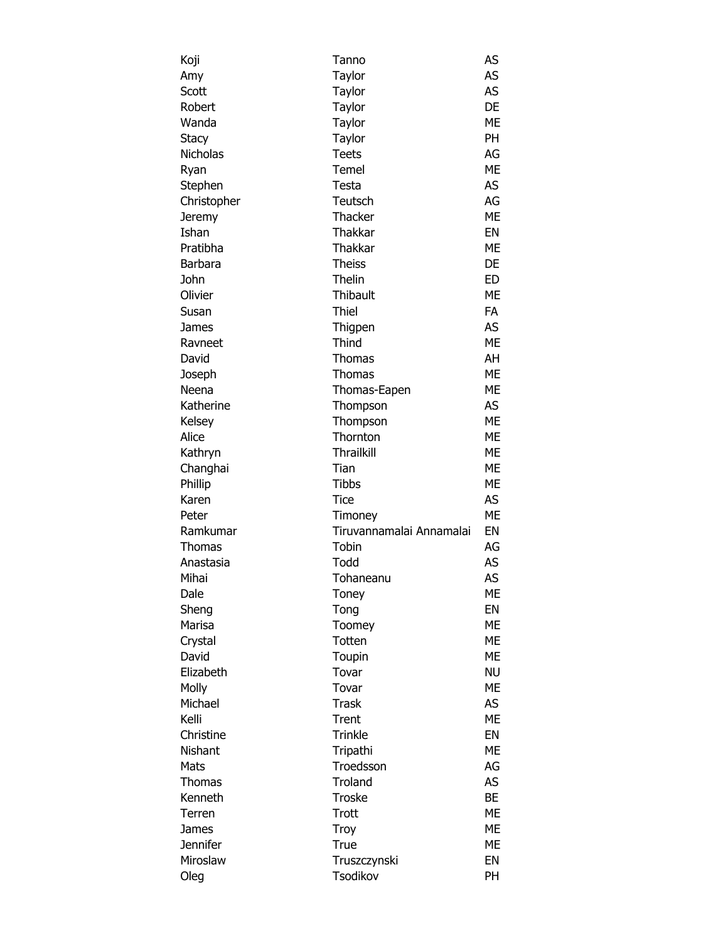| Koji            | Tanno                    | AS        |
|-----------------|--------------------------|-----------|
| Amy             | Taylor                   | AS        |
| Scott           | Taylor                   | AS        |
| Robert          | Taylor                   | DE        |
| Wanda           | Taylor                   | ME        |
| Stacy           | Taylor                   | PH        |
| <b>Nicholas</b> | <b>Teets</b>             | AG        |
| Ryan            | Temel                    | <b>ME</b> |
| Stephen         | Testa                    | AS        |
| Christopher     | Teutsch                  | AG        |
| Jeremy          | Thacker                  | <b>ME</b> |
| Ishan           | Thakkar                  | EN        |
| Pratibha        | Thakkar                  | <b>ME</b> |
|                 |                          |           |
| Barbara         | <b>Theiss</b>            | DE        |
| John            | Thelin                   | <b>ED</b> |
| Olivier         | Thibault                 | <b>ME</b> |
| Susan           | Thiel                    | <b>FA</b> |
| James           | Thigpen                  | AS        |
| Ravneet         | Thind                    | ME        |
| David           | Thomas                   | AH        |
| Joseph          | Thomas                   | <b>ME</b> |
| Neena           | Thomas-Eapen             | <b>ME</b> |
| Katherine       | Thompson                 | AS        |
| Kelsey          | Thompson                 | <b>ME</b> |
| Alice           | Thornton                 | ME        |
| Kathryn         | <b>Thrailkill</b>        | <b>ME</b> |
| Changhai        | Tian                     | <b>ME</b> |
| Phillip         | <b>Tibbs</b>             | <b>ME</b> |
| Karen           | <b>Tice</b>              | AS        |
| Peter           | Timoney                  | <b>ME</b> |
| Ramkumar        | Tiruvannamalai Annamalai | EN        |
| Thomas          | Tobin                    | AG        |
| Anastasia       | Todd                     | AS        |
| Mihai           | Tohaneanu                | AS        |
| Dale            | Toney                    | ME        |
| Sheng           | Tong                     | EN        |
| Marisa          | Toomey                   | <b>ME</b> |
| Crystal         | Totten                   | ME        |
| David           | Toupin                   | ME        |
| Elizabeth       | Tovar                    | <b>NU</b> |
| Molly           | Tovar                    | <b>ME</b> |
| Michael         | <b>Trask</b>             | AS        |
| Kelli           |                          | <b>ME</b> |
|                 | Trent                    |           |
| Christine       | <b>Trinkle</b>           | EN        |
| Nishant         | Tripathi                 | ME        |
| Mats            | Troedsson                | AG        |
| Thomas          | Troland                  | AS        |
| Kenneth         | <b>Troske</b>            | BE        |
| Terren          | Trott                    | ME        |
| James           | Troy                     | ME        |
| <b>Jennifer</b> | True                     | ME        |
| Miroslaw        | Truszczynski             | EN        |
| Oleg            | Tsodikov                 | PH        |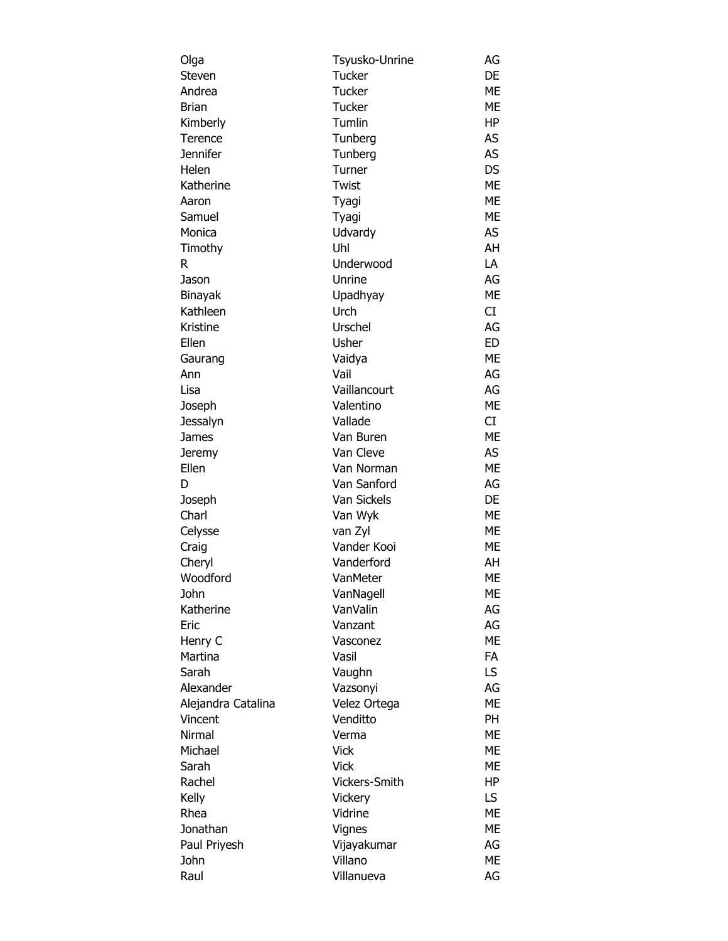| Olga               | Tsyusko-Unrine | AG        |
|--------------------|----------------|-----------|
| Steven             | Tucker         | <b>DE</b> |
| Andrea             | Tucker         | ME        |
| Brian              | Tucker         | ME        |
| Kimberly           | Tumlin         | <b>HP</b> |
| Terence            | Tunberg        | AS        |
| Jennifer           | Tunberg        | AS        |
| Helen              | Turner         | <b>DS</b> |
| Katherine          | Twist          | <b>ME</b> |
| Aaron              | Tyagi          | ME        |
| Samuel             | Tyagi          | <b>ME</b> |
| Monica             | Udvardy        | AS        |
| Timothy            | Uhl            | AH        |
| R                  | Underwood      | LA        |
| Jason              | Unrine         | AG        |
| Binayak            | Upadhyay       | <b>ME</b> |
| Kathleen           | Urch           | CI        |
| Kristine           | Urschel        | AG        |
| Ellen              | Usher          | <b>ED</b> |
| Gaurang            | Vaidya         | ME        |
| Ann                | Vail           | AG        |
| Lisa               | Vaillancourt   | AG        |
| Joseph             | Valentino      | ME        |
| Jessalyn           | Vallade        | CI.       |
| James              | Van Buren      | ME        |
|                    | Van Cleve      | AS        |
| Jeremy<br>Ellen    | Van Norman     | <b>ME</b> |
| D                  | Van Sanford    | AG        |
|                    | Van Sickels    |           |
| Joseph             |                | DE        |
| Charl              | Van Wyk        | ME        |
| Celysse            | van Zyl        | ME        |
| Craig              | Vander Kooi    | ME        |
| Cheryl             | Vanderford     | AH        |
| Woodford           | VanMeter       | <b>ME</b> |
| John               | VanNagell      | ME        |
| Katherine          | VanValin       | AG        |
| Eric               | Vanzant        | AG        |
| Henry C            | Vasconez       | ME        |
| Martina            | Vasil          | FA        |
| Sarah              | Vaughn         | LS.       |
| Alexander          | Vazsonyi       | AG        |
| Alejandra Catalina | Velez Ortega   | <b>ME</b> |
| Vincent            | Venditto       | <b>PH</b> |
| <b>Nirmal</b>      | Verma          | ME        |
| Michael            | <b>Vick</b>    | ME        |
| Sarah              | <b>Vick</b>    | ME        |
| Rachel             | Vickers-Smith  | HP        |
| Kelly              | Vickery        | LS.       |
| Rhea               | Vidrine        | <b>ME</b> |
| Jonathan           | Vignes         | <b>ME</b> |
| Paul Priyesh       | Vijayakumar    | AG        |
| John               | Villano        | ME        |
| Raul               | Villanueva     | AG        |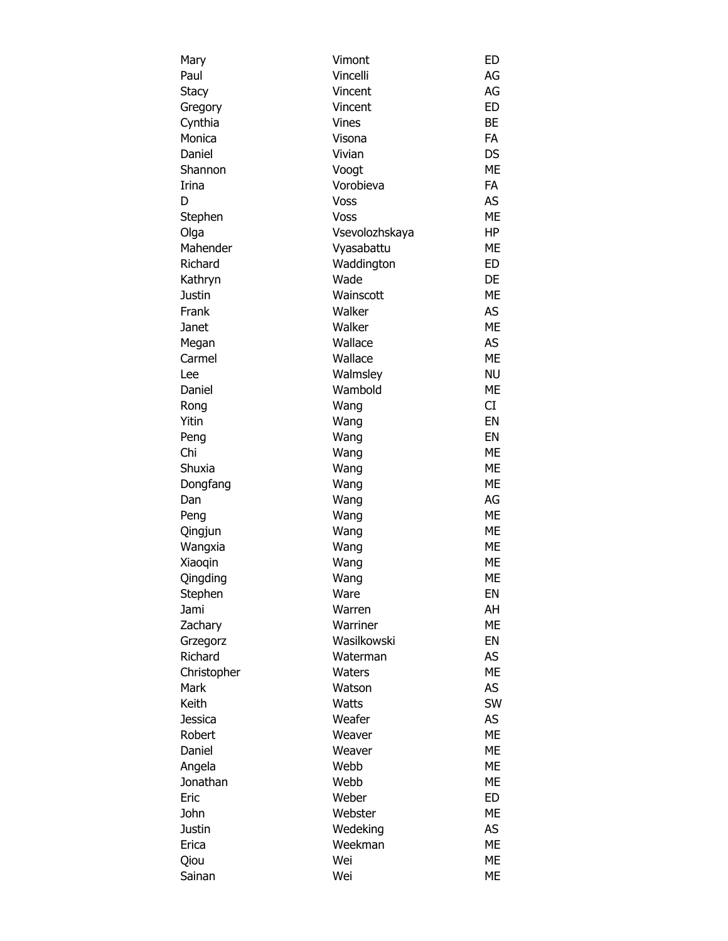| Mary        | Vimont         | <b>ED</b> |
|-------------|----------------|-----------|
| Paul        | Vincelli       | AG        |
| Stacy       | Vincent        | AG        |
| Gregory     | Vincent        | <b>ED</b> |
| Cynthia     | Vines          | <b>BE</b> |
| Monica      | Visona         | <b>FA</b> |
| Daniel      | Vivian         | DS        |
| Shannon     | Voogt          | <b>ME</b> |
| Irina       | Vorobieva      | FA        |
| D           | Voss           | AS        |
| Stephen     | Voss           | <b>ME</b> |
| Olga        | Vsevolozhskaya | HP        |
| Mahender    | Vyasabattu     | ME        |
| Richard     | Waddington     | ED        |
| Kathryn     | Wade           | DE        |
| Justin      | Wainscott      | <b>ME</b> |
| Frank       | Walker         | AS        |
| Janet       | Walker         | <b>ME</b> |
| Megan       | Wallace        | AS        |
| Carmel      | Wallace        | <b>ME</b> |
| Lee         | Walmsley       | <b>NU</b> |
| Daniel      | Wambold        | ME        |
| Rong        | Wang           | CI        |
| Yitin       | Wang           | EN        |
| Peng        | Wang           | EN        |
| Chi         | Wang           | <b>ME</b> |
| Shuxia      |                | <b>ME</b> |
|             | Wang           | <b>ME</b> |
| Dongfang    | Wang           |           |
| Dan         | Wang           | AG        |
| Peng        | Wang           | <b>ME</b> |
| Qingjun     | Wang           | ME        |
| Wangxia     | Wang           | ME        |
| Xiaoqin     | Wang           | ME        |
| Qingding    | Wang           | ME        |
| Stephen     | Ware           | EN        |
| Jami        | Warren         | AH        |
| Zachary     | Warriner       | <b>ME</b> |
| Grzegorz    | Wasilkowski    | EN        |
| Richard     | Waterman       | AS        |
| Christopher | Waters         | <b>ME</b> |
| Mark        | Watson         | AS        |
| Keith       | Watts          | <b>SW</b> |
| Jessica     | Weafer         | AS        |
| Robert      | Weaver         | <b>ME</b> |
| Daniel      | Weaver         | <b>ME</b> |
| Angela      | Webb           | <b>ME</b> |
| Jonathan    | Webb           | ME        |
| Eric        | Weber          | ED        |
| John        | Webster        | ME        |
| Justin      | Wedeking       | AS        |
| Erica       | Weekman        | <b>ME</b> |
| Qiou        | Wei            | ME        |
| Sainan      | Wei            | ME        |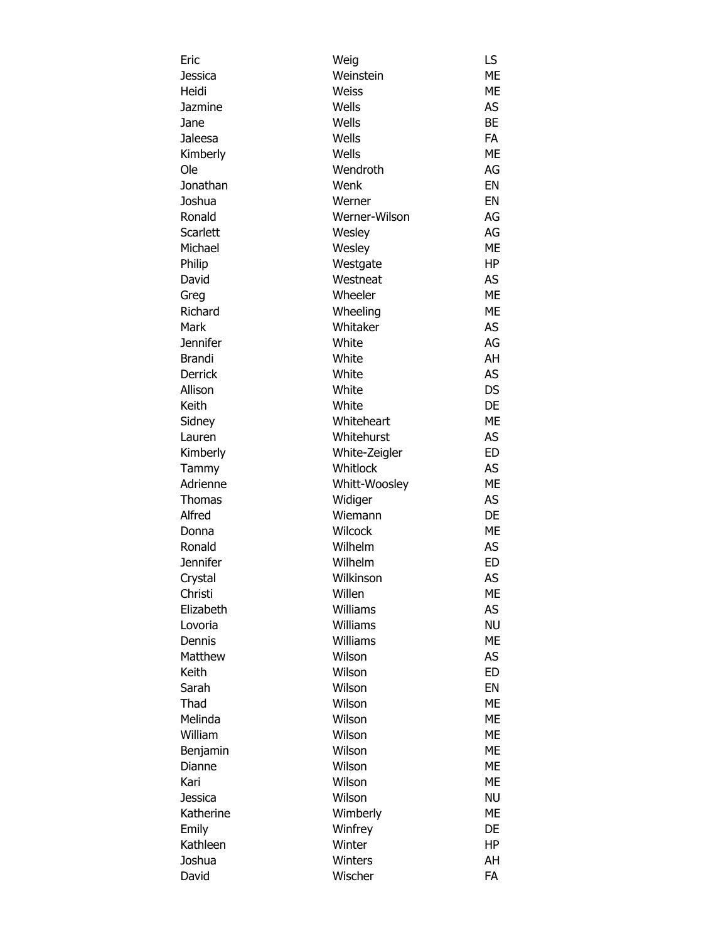| Eric            | Weig          | LS        |
|-----------------|---------------|-----------|
| Jessica         | Weinstein     | ME        |
| Heidi           | Weiss         | ME        |
| Jazmine         | Wells         | AS        |
| Jane            | Wells         | <b>BE</b> |
| Jaleesa         | Wells         | <b>FA</b> |
| Kimberly        | Wells         | <b>ME</b> |
| Ole             | Wendroth      | AG        |
| Jonathan        | Wenk          | EN        |
| Joshua          | Werner        | EN        |
| Ronald          | Werner-Wilson | AG        |
| <b>Scarlett</b> | Wesley        | AG        |
| Michael         |               | ME        |
|                 | Wesley        |           |
| Philip          | Westgate      | HP        |
| David           | Westneat      | AS        |
| Greg            | Wheeler       | <b>ME</b> |
| Richard         | Wheeling      | <b>ME</b> |
| Mark            | Whitaker      | AS        |
| <b>Jennifer</b> | White         | AG        |
| Brandi          | White         | AH        |
| <b>Derrick</b>  | White         | AS        |
| Allison         | White         | <b>DS</b> |
| Keith           | White         | DE        |
| Sidney          | Whiteheart    | ME        |
| Lauren          | Whitehurst    | AS        |
| Kimberly        | White-Zeigler | <b>ED</b> |
| Tammy           | Whitlock      | AS        |
| Adrienne        | Whitt-Woosley | ME        |
| Thomas          | Widiger       | AS        |
| Alfred          | Wiemann       | DE        |
| Donna           | Wilcock       | ME        |
| Ronald          | Wilhelm       | AS        |
| <b>Jennifer</b> | Wilhelm       | <b>ED</b> |
| Crystal         | Wilkinson     | AS        |
| Christi         | Willen        | ME        |
| Elizabeth       | Williams      | AS        |
| Lovoria         | Williams      | <b>NU</b> |
| Dennis          | Williams      | <b>ME</b> |
| Matthew         | Wilson        | AS        |
| Keith           | Wilson        | <b>ED</b> |
|                 | Wilson        |           |
| Sarah           |               | EN        |
| Thad            | Wilson        | <b>ME</b> |
| Melinda         | Wilson        | <b>ME</b> |
| William         | Wilson        | ME        |
| Benjamin        | Wilson        | ME        |
| Dianne          | Wilson        | ME        |
| Kari            | Wilson        | ME        |
| Jessica         | Wilson        | <b>NU</b> |
| Katherine       | Wimberly      | ME        |
| Emily           | Winfrey       | DE        |
| Kathleen        | Winter        | HP        |
| Joshua          | Winters       | AH        |
| David           | Wischer       | FA        |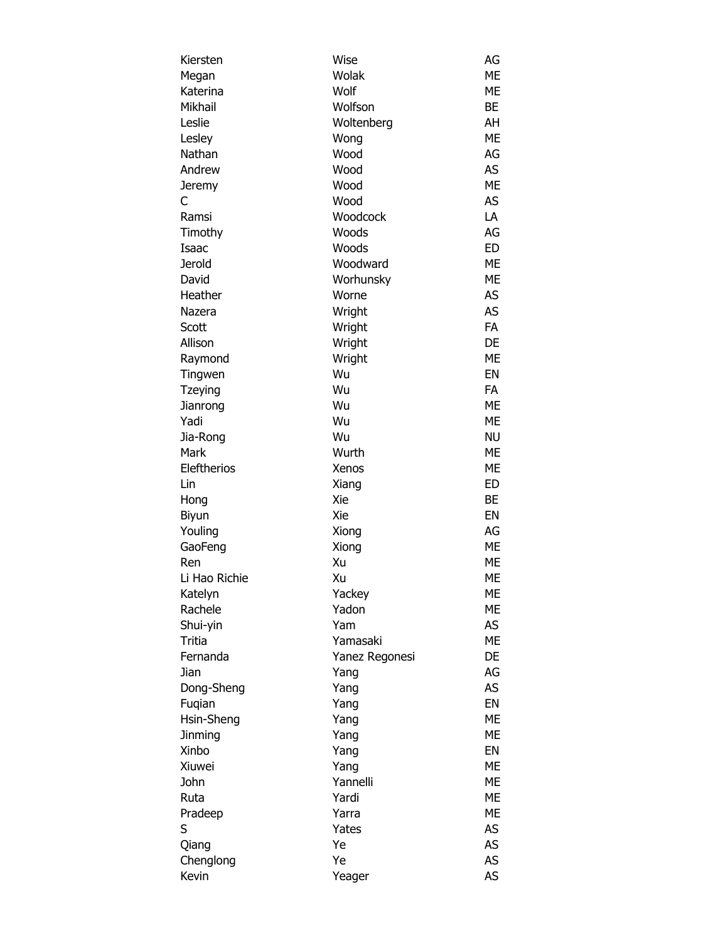| Kiersten                  | Wise           | AG        |
|---------------------------|----------------|-----------|
| Megan                     | Wolak          | <b>ME</b> |
| Katerina                  | Wolf           | ME        |
| Mikhail                   | Wolfson        | BE        |
| Leslie                    | Woltenberg     | AH        |
| Lesley                    | Wong           | <b>ME</b> |
| Nathan                    | Wood           | AG        |
| Andrew                    | Wood           | <b>AS</b> |
| Jeremy                    | Wood           | <b>ME</b> |
| С                         | Wood           | <b>AS</b> |
| Ramsi                     | Woodcock       | LA        |
| Timothy                   | Woods          | AG        |
| Isaac                     | Woods          | <b>ED</b> |
| <b>Jerold</b>             | Woodward       | <b>ME</b> |
| David                     | Worhunsky      | <b>ME</b> |
| Heather                   | Worne          | AS        |
| Nazera                    | Wright         | AS        |
| Scott                     | Wright         | FA        |
| Allison                   | Wright         | DE        |
|                           | Wright         | <b>ME</b> |
| Raymond                   | Wu             | EN        |
| Tingwen<br><b>Tzeying</b> | Wu             | <b>FA</b> |
|                           | Wu             | ME        |
| Jianrong<br>Yadi          | Wu             | ME        |
|                           | Wu             | <b>NU</b> |
| Jia-Rong<br>Mark          | Wurth          | <b>ME</b> |
| Eleftherios               |                | ME        |
|                           | Xenos          | <b>ED</b> |
| Lin                       | Xiang          |           |
| Hong                      | Xie            | BE<br>EN  |
| Biyun                     | Xie            |           |
| Youling                   | Xiong          | AG        |
| GaoFeng                   | Xiong          | <b>ME</b> |
| Ren                       | Xu             | ME        |
| Li Hao Richie             | Xu             | ME        |
| Katelyn                   | Yackey         | МE        |
| Rachele                   | Yadon          | ME        |
| Shui-yin                  | Yam            | AS        |
| Tritia                    | Yamasaki       | ME        |
| Fernanda                  | Yanez Regonesi | DE        |
| Jian                      | Yang           | AG        |
| Dong-Sheng                | Yang           | AS        |
| Fuqian                    | Yang           | EN        |
| Hsin-Sheng                | Yang           | ME        |
| Jinming                   | Yang           | <b>ME</b> |
| Xinbo                     | Yang           | EN        |
| Xiuwei                    | Yang           | <b>ME</b> |
| John                      | Yannelli       | ME        |
| Ruta                      | Yardi          | <b>ME</b> |
| Pradeep                   | Yarra          | ME        |
| S                         | Yates          | <b>AS</b> |
| Qiang                     | Ye             | <b>AS</b> |
| Chenglong                 | Ye             | AS        |
| Kevin                     | Yeager         | AS        |